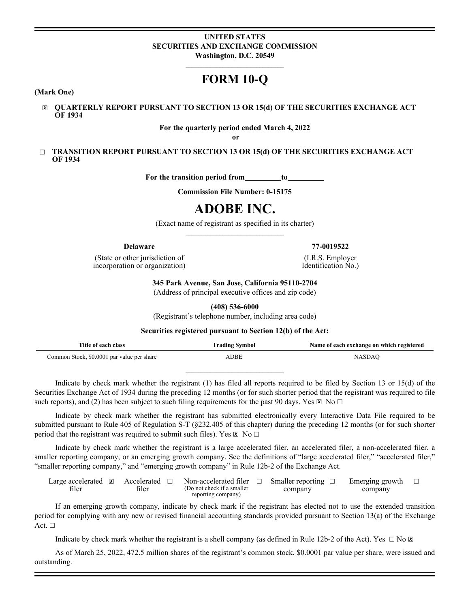# **UNITED STATES SECURITIES AND EXCHANGE COMMISSION Washington, D.C. 20549**

# **FORM 10-Q**

**(Mark One)**

☒ **QUARTERLY REPORT PURSUANT TO SECTION 13 OR 15(d) OF THE SECURITIES EXCHANGE ACT OF 1934**

# **For the quarterly period ended March 4, 2022**

**or**

□ **TRANSITION REPORT PURSUANT TO SECTION 13 OR 15(d) OF THE SECURITIES EXCHANGE ACT OF 1934**

For the transition period from\_\_\_\_\_\_\_\_to\_

**Commission File Number: 0-15175**

# **ADOBE INC.**

(Exact name of registrant as specified in its charter)

(State or other jurisdiction of incorporation or organization)

**Delaware 77-0019522**

(I.R.S. Employer Identification No.)

**345 Park Avenue, San Jose, California 95110-2704**

(Address of principal executive offices and zip code)

**(408) 536-6000**

(Registrant's telephone number, including area code)

**Securities registered pursuant to Section 12(b) of the Act:**

| Title of each class                        | <b>Trading Symbol</b> | Name of each exchange on which registered |
|--------------------------------------------|-----------------------|-------------------------------------------|
| Common Stock, \$0.0001 par value per share | ADBE                  | <b>NASDAO</b>                             |

Indicate by check mark whether the registrant (1) has filed all reports required to be filed by Section 13 or 15(d) of the Securities Exchange Act of 1934 during the preceding 12 months (or for such shorter period that the registrant was required to file such reports), and (2) has been subject to such filing requirements for the past 90 days. Yes  $\boxtimes$  No  $\Box$ 

Indicate by check mark whether the registrant has submitted electronically every Interactive Data File required to be submitted pursuant to Rule 405 of Regulation S-T (§232.405 of this chapter) during the preceding 12 months (or for such shorter period that the registrant was required to submit such files). Yes  $\boxtimes$  No  $\Box$ 

Indicate by check mark whether the registrant is a large accelerated filer, an accelerated filer, a non-accelerated filer, a smaller reporting company, or an emerging growth company. See the definitions of "large accelerated filer," "accelerated filer," "smaller reporting company," and "emerging growth company" in Rule 12b-2 of the Exchange Act.

| Large accelerated | Accelerated | Non-accelerated filer                             | Smaller reporting | Emerging growth |  |
|-------------------|-------------|---------------------------------------------------|-------------------|-----------------|--|
| filer             | filer       | (Do not check if a smaller)<br>reporting company) | company           | company         |  |

If an emerging growth company, indicate by check mark if the registrant has elected not to use the extended transition period for complying with any new or revised financial accounting standards provided pursuant to Section 13(a) of the Exchange Act. □

Indicate by check mark whether the registrant is a shell company (as defined in Rule 12b-2 of the Act). Yes  $\Box$  No  $\Box$ 

As of March 25, 2022, 472.5 million shares of the registrant's common stock, \$0.0001 par value per share, were issued and outstanding.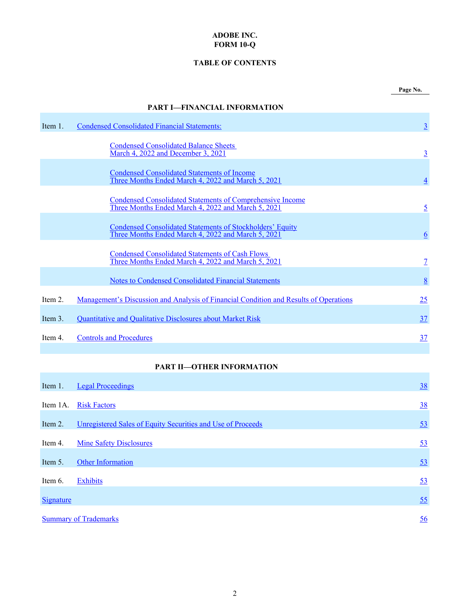# **ADOBE INC. FORM 10-Q**

# **TABLE OF CONTENTS**

<span id="page-1-0"></span>

|            | <b>PART I-FINANCIAL INFORMATION</b>                                                                                    |                |
|------------|------------------------------------------------------------------------------------------------------------------------|----------------|
| Item 1.    | <b>Condensed Consolidated Financial Statements:</b>                                                                    | $\overline{3}$ |
|            | <b>Condensed Consolidated Balance Sheets</b><br>March 4, 2022 and December 3, 2021                                     | $\overline{3}$ |
|            | <b>Condensed Consolidated Statements of Income</b><br>Three Months Ended March 4, 2022 and March 5, 2021               | $\overline{4}$ |
|            | <b>Condensed Consolidated Statements of Comprehensive Income</b><br>Three Months Ended March 4, 2022 and March 5, 2021 | $\overline{5}$ |
|            | <b>Condensed Consolidated Statements of Stockholders' Equity</b><br>Three Months Ended March 4, 2022 and March 5, 2021 | 6              |
|            | <b>Condensed Consolidated Statements of Cash Flows</b><br>Three Months Ended March 4, 2022 and March 5, 2021           | $\overline{1}$ |
|            | Notes to Condensed Consolidated Financial Statements                                                                   | <u>8</u>       |
| Item 2.    | <u>Management's Discussion and Analysis of Financial Condition and Results of Operations</u>                           | 25             |
| Item $3$ . | <b>Quantitative and Qualitative Disclosures about Market Risk</b>                                                      | 37             |
| Item 4.    | <b>Controls and Procedures</b>                                                                                         | 37             |
|            |                                                                                                                        |                |

# **PART II—OTHER INFORMATION**

| Item 1.          | <b>Legal Proceedings</b>                                    | <u>38</u> |
|------------------|-------------------------------------------------------------|-----------|
|                  |                                                             |           |
| Item 1A.         | <b>Risk Factors</b>                                         | <u>38</u> |
|                  |                                                             |           |
| Item 2.          | Unregistered Sales of Equity Securities and Use of Proceeds | 53        |
|                  |                                                             |           |
| Item 4.          | <b>Mine Safety Disclosures</b>                              | 53        |
|                  |                                                             |           |
| Item 5.          | Other Information                                           | 53        |
|                  |                                                             |           |
| Item 6.          | <b>Exhibits</b>                                             | 53        |
|                  |                                                             |           |
| <b>Signature</b> |                                                             | 55        |
|                  |                                                             |           |
|                  | <b>Summary of Trademarks</b>                                | 56        |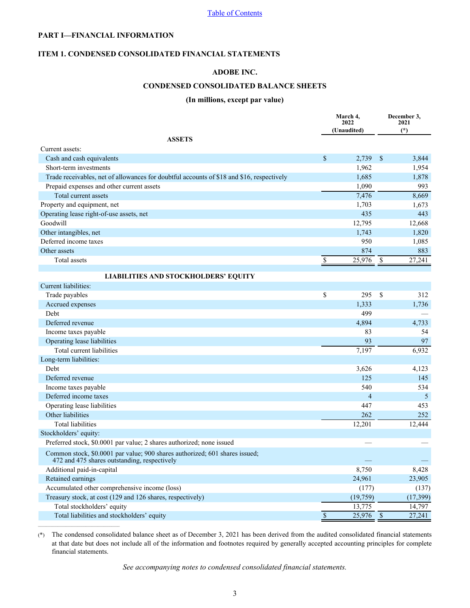# <span id="page-2-0"></span>**PART I—FINANCIAL INFORMATION**

 $\mathcal{L}_\text{max}$ 

# **ITEM 1. CONDENSED CONSOLIDATED FINANCIAL STATEMENTS**

# **ADOBE INC.**

# **CONDENSED CONSOLIDATED BALANCE SHEETS**

# **(In millions, except par value)**

|                                                                                                                             |              | March 4,<br>2022 |                          | December 3,<br>2021 |
|-----------------------------------------------------------------------------------------------------------------------------|--------------|------------------|--------------------------|---------------------|
|                                                                                                                             |              | (Unaudited)      |                          | $(*)$               |
| <b>ASSETS</b>                                                                                                               |              |                  |                          |                     |
| Current assets:                                                                                                             |              |                  |                          |                     |
| Cash and cash equivalents                                                                                                   | \$           | 2,739            | \$                       | 3,844               |
| Short-term investments                                                                                                      |              | 1,962            |                          | 1,954               |
| Trade receivables, net of allowances for doubtful accounts of \$18 and \$16, respectively                                   |              | 1,685            |                          | 1,878               |
| Prepaid expenses and other current assets                                                                                   |              | 1,090            |                          | 993                 |
| Total current assets                                                                                                        |              | 7,476            |                          | 8,669               |
| Property and equipment, net                                                                                                 |              | 1,703            |                          | 1,673               |
| Operating lease right-of-use assets, net                                                                                    |              | 435              |                          | 443                 |
| Goodwill                                                                                                                    |              | 12,795           |                          | 12,668              |
| Other intangibles, net                                                                                                      |              | 1,743            |                          | 1,820               |
| Deferred income taxes                                                                                                       |              | 950              |                          | 1,085               |
| Other assets                                                                                                                |              | 874              |                          | 883                 |
| Total assets                                                                                                                | \$           | 25,976           | $\overline{\mathcal{S}}$ | 27,241              |
|                                                                                                                             |              |                  |                          |                     |
| <b>LIABILITIES AND STOCKHOLDERS' EQUITY</b>                                                                                 |              |                  |                          |                     |
| Current liabilities:                                                                                                        |              |                  |                          |                     |
| Trade payables                                                                                                              | \$           | 295              | \$                       | 312                 |
| Accrued expenses                                                                                                            |              | 1,333            |                          | 1,736               |
| Debt                                                                                                                        |              | 499              |                          |                     |
| Deferred revenue                                                                                                            |              | 4,894            |                          | 4,733               |
| Income taxes payable                                                                                                        |              | 83               |                          | 54                  |
| Operating lease liabilities                                                                                                 |              | 93               |                          | 97                  |
| Total current liabilities                                                                                                   |              | 7,197            |                          | 6,932               |
| Long-term liabilities:                                                                                                      |              |                  |                          |                     |
| Debt                                                                                                                        |              | 3,626            |                          | 4,123               |
| Deferred revenue                                                                                                            |              | 125              |                          | 145                 |
| Income taxes payable                                                                                                        |              | 540              |                          | 534                 |
| Deferred income taxes                                                                                                       |              | $\overline{4}$   |                          | 5                   |
| Operating lease liabilities                                                                                                 |              | 447              |                          | 453                 |
| Other liabilities                                                                                                           |              | 262              |                          | 252                 |
| <b>Total liabilities</b>                                                                                                    |              | 12,201           |                          | 12,444              |
| Stockholders' equity:                                                                                                       |              |                  |                          |                     |
| Preferred stock, \$0.0001 par value; 2 shares authorized; none issued                                                       |              |                  |                          |                     |
| Common stock, \$0.0001 par value; 900 shares authorized; 601 shares issued;<br>472 and 475 shares outstanding, respectively |              |                  |                          |                     |
| Additional paid-in-capital                                                                                                  |              | 8,750            |                          | 8,428               |
| Retained earnings                                                                                                           |              | 24,961           |                          | 23,905              |
| Accumulated other comprehensive income (loss)                                                                               |              | (177)            |                          | (137)               |
| Treasury stock, at cost (129 and 126 shares, respectively)                                                                  |              | (19, 759)        |                          | (17, 399)           |
| Total stockholders' equity                                                                                                  |              | 13,775           |                          | 14,797              |
| Total liabilities and stockholders' equity                                                                                  | $\mathbb{S}$ | 25,976           | $\mathcal{S}$            | 27,241              |

(\*) The condensed consolidated balance sheet as of December 3, 2021 has been derived from the audited consolidated financial statements at that date but does not include all of the information and footnotes required by generally accepted accounting principles for complete financial statements.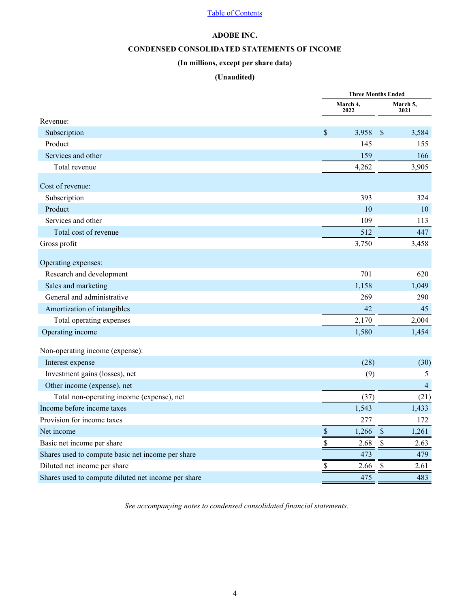# **ADOBE INC.**

# **CONDENSED CONSOLIDATED STATEMENTS OF INCOME**

# **(In millions, except per share data)**

# **(Unaudited)**

<span id="page-3-0"></span>

|                                                     |                           | <b>Three Months Ended</b> |                  |  |  |  |
|-----------------------------------------------------|---------------------------|---------------------------|------------------|--|--|--|
|                                                     | March 4,<br>2022          |                           | March 5,<br>2021 |  |  |  |
| Revenue:                                            |                           |                           |                  |  |  |  |
| Subscription                                        | \$                        | 3,958<br>$\mathcal{S}$    | 3,584            |  |  |  |
| Product                                             |                           | 145                       | 155              |  |  |  |
| Services and other                                  |                           | 159                       | 166              |  |  |  |
| Total revenue                                       |                           | 4,262                     | 3,905            |  |  |  |
| Cost of revenue:                                    |                           |                           |                  |  |  |  |
| Subscription                                        |                           | 393                       | 324              |  |  |  |
| Product                                             |                           | 10                        | 10               |  |  |  |
| Services and other                                  |                           | 109                       | 113              |  |  |  |
| Total cost of revenue                               |                           | 512                       | 447              |  |  |  |
| Gross profit                                        |                           | 3,750                     | 3,458            |  |  |  |
| Operating expenses:                                 |                           |                           |                  |  |  |  |
| Research and development                            |                           | 701                       | 620              |  |  |  |
| Sales and marketing                                 |                           | 1,158                     | 1,049            |  |  |  |
| General and administrative                          |                           | 269                       | 290              |  |  |  |
| Amortization of intangibles                         |                           | 42                        | 45               |  |  |  |
| Total operating expenses                            |                           | 2,170                     | 2,004            |  |  |  |
| Operating income                                    |                           | 1,580                     | 1,454            |  |  |  |
| Non-operating income (expense):                     |                           |                           |                  |  |  |  |
| Interest expense                                    |                           | (28)                      | (30)             |  |  |  |
| Investment gains (losses), net                      |                           | (9)                       | 5                |  |  |  |
| Other income (expense), net                         |                           |                           | $\overline{4}$   |  |  |  |
| Total non-operating income (expense), net           |                           | (37)                      | (21)             |  |  |  |
| Income before income taxes                          |                           | 1,543                     | 1,433            |  |  |  |
| Provision for income taxes                          |                           | 277                       | 172              |  |  |  |
| Net income                                          | $\mathcal{S}$             | 1,266<br>$\mathcal{S}$    | 1,261            |  |  |  |
| Basic net income per share                          | $\boldsymbol{\mathsf{S}}$ | 2.68<br>$\mathcal{S}$     | 2.63             |  |  |  |
| Shares used to compute basic net income per share   |                           | 473                       | 479              |  |  |  |
| Diluted net income per share                        | \$                        | 2.66<br>\$                | 2.61             |  |  |  |
| Shares used to compute diluted net income per share |                           | 475                       | 483              |  |  |  |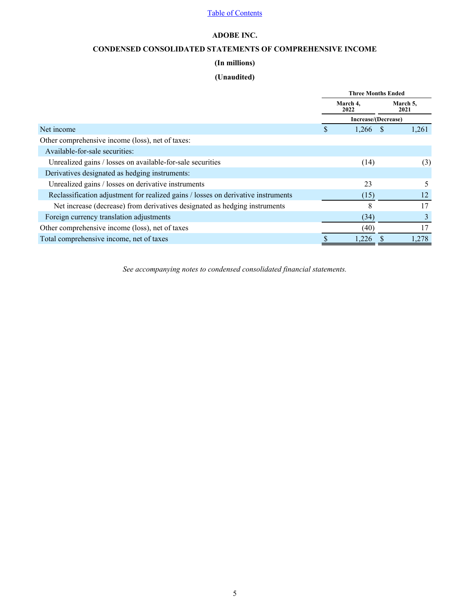# **ADOBE INC.**

# **CONDENSED CONSOLIDATED STATEMENTS OF COMPREHENSIVE INCOME**

# **(In millions)**

# **(Unaudited)**

<span id="page-4-0"></span>

|                                                                                   |   | <b>Three Months Ended</b> |              |                  |
|-----------------------------------------------------------------------------------|---|---------------------------|--------------|------------------|
|                                                                                   |   | March 4,<br>2022          |              | March 5,<br>2021 |
|                                                                                   |   | Increase/(Decrease)       |              |                  |
| Net income                                                                        | S | 1,266                     | <sup>S</sup> | 1,261            |
| Other comprehensive income (loss), net of taxes:                                  |   |                           |              |                  |
| Available-for-sale securities:                                                    |   |                           |              |                  |
| Unrealized gains / losses on available-for-sale securities                        |   | (14)                      |              | (3)              |
| Derivatives designated as hedging instruments:                                    |   |                           |              |                  |
| Unrealized gains / losses on derivative instruments                               |   | 23                        |              |                  |
| Reclassification adjustment for realized gains / losses on derivative instruments |   | (15)                      |              | 12               |
| Net increase (decrease) from derivatives designated as hedging instruments        |   | 8                         |              | 17               |
| Foreign currency translation adjustments                                          |   | (34)                      |              | 3                |
| Other comprehensive income (loss), net of taxes                                   |   | (40)                      |              | 17               |
| Total comprehensive income, net of taxes                                          |   | 1,226                     |              | 1,278            |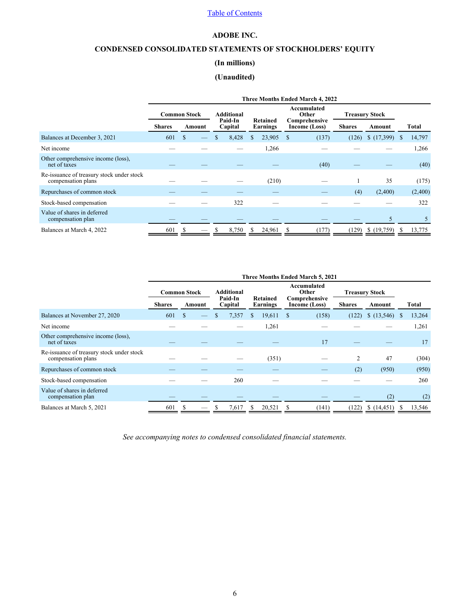# **ADOBE INC.**

# <span id="page-5-0"></span>**CONDENSED CONSOLIDATED STATEMENTS OF STOCKHOLDERS' EQUITY**

# **(In millions)**

# **(Unaudited)**

|                                                                 |               |                                                                                    | Three Months Ended March 4, 2022 |         |       |  |        |    |       |       |            |                                        |         |  |  |  |  |                                |  |               |        |  |       |
|-----------------------------------------------------------------|---------------|------------------------------------------------------------------------------------|----------------------------------|---------|-------|--|--------|----|-------|-------|------------|----------------------------------------|---------|--|--|--|--|--------------------------------|--|---------------|--------|--|-------|
|                                                                 |               | Accumulated<br>Other<br><b>Common Stock</b><br>Additional<br><b>Treasury Stock</b> |                                  |         |       |  |        |    |       |       |            |                                        |         |  |  |  |  |                                |  |               |        |  |       |
|                                                                 | <b>Shares</b> |                                                                                    | Amount                           | Capital |       |  |        |    |       |       |            | Paid-In<br><b>Retained</b><br>Earnings |         |  |  |  |  | Comprehensive<br>Income (Loss) |  | <b>Shares</b> | Amount |  | Total |
| Balances at December 3, 2021                                    | 601           | \$.                                                                                |                                  |         | 8,428 |  | 23,905 | \$ | (137) | (126) | (17,399)   | S                                      | 14,797  |  |  |  |  |                                |  |               |        |  |       |
| Net income                                                      |               |                                                                                    |                                  |         |       |  | 1,266  |    |       |       |            |                                        | 1,266   |  |  |  |  |                                |  |               |        |  |       |
| Other comprehensive income (loss),<br>net of taxes              |               |                                                                                    |                                  |         |       |  |        |    | (40)  |       |            |                                        | (40)    |  |  |  |  |                                |  |               |        |  |       |
| Re-issuance of treasury stock under stock<br>compensation plans |               |                                                                                    |                                  |         |       |  | (210)  |    |       |       | 35         |                                        | (175)   |  |  |  |  |                                |  |               |        |  |       |
| Repurchases of common stock                                     |               |                                                                                    |                                  |         |       |  |        |    |       | (4)   | (2,400)    |                                        | (2,400) |  |  |  |  |                                |  |               |        |  |       |
| Stock-based compensation                                        |               |                                                                                    |                                  |         | 322   |  |        |    |       |       |            |                                        | 322     |  |  |  |  |                                |  |               |        |  |       |
| Value of shares in deferred<br>compensation plan                |               |                                                                                    |                                  |         |       |  |        |    |       |       | 5          |                                        | 5       |  |  |  |  |                                |  |               |        |  |       |
| Balances at March 4, 2022                                       | 601           |                                                                                    |                                  |         | 8,750 |  | 24,961 | S  | (177) | (129) | \$(19,759) | S                                      | 13,775  |  |  |  |  |                                |  |               |        |  |       |

|                                                                 |               |                                                                                    |        |         |       |   |        |   | Three Months Ended March 5, 2021 |       |             |          |        |                     |  |                                |  |  |  |  |  |               |        |  |              |
|-----------------------------------------------------------------|---------------|------------------------------------------------------------------------------------|--------|---------|-------|---|--------|---|----------------------------------|-------|-------------|----------|--------|---------------------|--|--------------------------------|--|--|--|--|--|---------------|--------|--|--------------|
|                                                                 |               | Accumulated<br>Additional<br>Other<br><b>Common Stock</b><br><b>Treasury Stock</b> |        |         |       |   |        |   |                                  |       |             |          |        |                     |  |                                |  |  |  |  |  |               |        |  |              |
|                                                                 | <b>Shares</b> |                                                                                    | Amount | Capital |       |   |        |   |                                  |       |             | Earnings |        | Paid-In<br>Retained |  | Comprehensive<br>Income (Loss) |  |  |  |  |  | <b>Shares</b> | Amount |  | <b>Total</b> |
| Balances at November 27, 2020                                   | 601           | S                                                                                  |        |         | 7,357 | S | 19,611 | S | (158)                            | (122) | (13,546)    | S        | 13,264 |                     |  |                                |  |  |  |  |  |               |        |  |              |
| Net income                                                      |               |                                                                                    |        |         |       |   | 1,261  |   |                                  |       |             |          | 1,261  |                     |  |                                |  |  |  |  |  |               |        |  |              |
| Other comprehensive income (loss),<br>net of taxes              |               |                                                                                    |        |         |       |   |        |   | 17                               |       |             |          | 17     |                     |  |                                |  |  |  |  |  |               |        |  |              |
| Re-issuance of treasury stock under stock<br>compensation plans |               |                                                                                    |        |         |       |   | (351)  |   |                                  | 2     | 47          |          | (304)  |                     |  |                                |  |  |  |  |  |               |        |  |              |
| Repurchases of common stock                                     |               |                                                                                    |        |         |       |   |        |   |                                  | (2)   | (950)       |          | (950)  |                     |  |                                |  |  |  |  |  |               |        |  |              |
| Stock-based compensation                                        |               |                                                                                    |        |         | 260   |   |        |   |                                  |       |             |          | 260    |                     |  |                                |  |  |  |  |  |               |        |  |              |
| Value of shares in deferred<br>compensation plan                |               |                                                                                    |        |         |       |   |        |   |                                  |       | (2)         |          | (2)    |                     |  |                                |  |  |  |  |  |               |        |  |              |
| Balances at March 5, 2021                                       | 601           |                                                                                    |        |         | 7,617 |   | 20,521 |   | (141)                            | (122) | \$(14, 451) |          | 13,546 |                     |  |                                |  |  |  |  |  |               |        |  |              |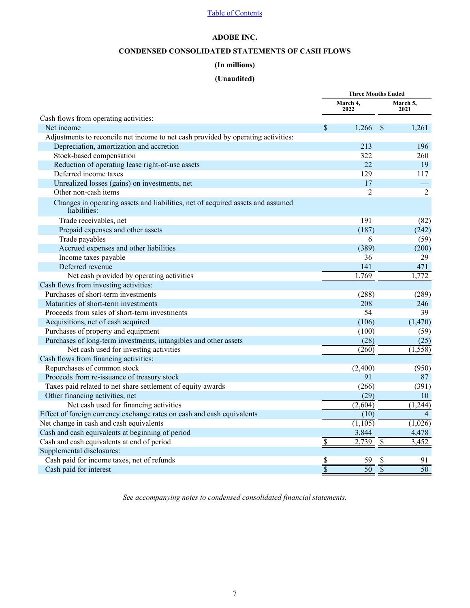# **ADOBE INC.**

# **CONDENSED CONSOLIDATED STATEMENTS OF CASH FLOWS**

# **(In millions)**

# **(Unaudited)**

<span id="page-6-0"></span>

|                                                                                                 | <b>Three Months Ended</b> |                      |                          |                  |
|-------------------------------------------------------------------------------------------------|---------------------------|----------------------|--------------------------|------------------|
|                                                                                                 |                           | March 4,<br>2022     |                          | March 5,<br>2021 |
| Cash flows from operating activities:                                                           |                           |                      |                          |                  |
| Net income                                                                                      | \$                        | 1,266                | $\mathcal{S}$            | 1,261            |
| Adjustments to reconcile net income to net cash provided by operating activities:               |                           |                      |                          |                  |
| Depreciation, amortization and accretion                                                        |                           | 213                  |                          | 196              |
| Stock-based compensation                                                                        |                           | 322                  |                          | 260              |
| Reduction of operating lease right-of-use assets                                                |                           | 22                   |                          | 19               |
| Deferred income taxes                                                                           |                           | 129                  |                          | 117              |
| Unrealized losses (gains) on investments, net                                                   |                           | 17                   |                          |                  |
| Other non-cash items                                                                            |                           | 2                    |                          | $\overline{2}$   |
| Changes in operating assets and liabilities, net of acquired assets and assumed<br>liabilities: |                           |                      |                          |                  |
| Trade receivables, net                                                                          |                           | 191                  |                          | (82)             |
| Prepaid expenses and other assets                                                               |                           | (187)                |                          | (242)            |
| Trade payables                                                                                  |                           | 6                    |                          | (59)             |
| Accrued expenses and other liabilities                                                          |                           | (389)                |                          | (200)            |
| Income taxes payable                                                                            |                           | 36                   |                          | 29               |
| Deferred revenue                                                                                |                           | 141                  |                          | 471              |
| Net cash provided by operating activities                                                       |                           | 1,769                |                          | 1,772            |
| Cash flows from investing activities:                                                           |                           |                      |                          |                  |
| Purchases of short-term investments                                                             |                           | (288)                |                          | (289)            |
| Maturities of short-term investments                                                            |                           | 208                  |                          | 246              |
| Proceeds from sales of short-term investments                                                   |                           | 54                   |                          | 39               |
| Acquisitions, net of cash acquired                                                              |                           | (106)                |                          | (1, 470)         |
| Purchases of property and equipment                                                             |                           | (100)                |                          | (59)             |
| Purchases of long-term investments, intangibles and other assets                                |                           | (28)                 |                          | (25)             |
| Net cash used for investing activities                                                          |                           | (260)                |                          | (1, 558)         |
| Cash flows from financing activities:                                                           |                           |                      |                          |                  |
| Repurchases of common stock                                                                     |                           | (2,400)              |                          | (950)            |
| Proceeds from re-issuance of treasury stock                                                     |                           | 91                   |                          | 87               |
| Taxes paid related to net share settlement of equity awards                                     |                           | (266)                |                          | (391)            |
| Other financing activities, net                                                                 |                           | (29)                 |                          | 10               |
| Net cash used for financing activities                                                          |                           | (2,604)              |                          | (1,244)          |
| Effect of foreign currency exchange rates on cash and cash equivalents                          |                           | (10)                 |                          | $\overline{4}$   |
| Net change in cash and cash equivalents                                                         |                           | $(\overline{1,105})$ |                          | (1,026)          |
| Cash and cash equivalents at beginning of period                                                |                           | 3,844                |                          | 4,478            |
| Cash and cash equivalents at end of period                                                      | \$                        | 2,739                | $\overline{\mathcal{S}}$ | 3,452            |
| Supplemental disclosures:                                                                       |                           |                      |                          |                  |
| Cash paid for income taxes, net of refunds                                                      |                           |                      |                          | 91               |
| Cash paid for interest                                                                          | $rac{S}{S}$               | $\overline{50}$      |                          | $\overline{50}$  |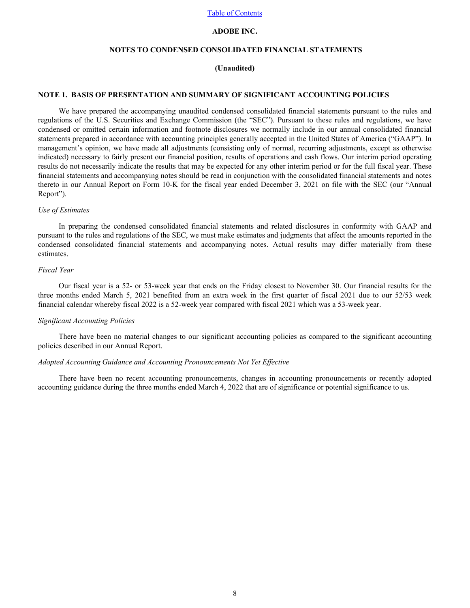# **ADOBE INC.**

# **NOTES TO CONDENSED CONSOLIDATED FINANCIAL STATEMENTS**

# **(Unaudited)**

#### <span id="page-7-0"></span>**NOTE 1. BASIS OF PRESENTATION AND SUMMARY OF SIGNIFICANT ACCOUNTING POLICIES**

We have prepared the accompanying unaudited condensed consolidated financial statements pursuant to the rules and regulations of the U.S. Securities and Exchange Commission (the "SEC"). Pursuant to these rules and regulations, we have condensed or omitted certain information and footnote disclosures we normally include in our annual consolidated financial statements prepared in accordance with accounting principles generally accepted in the United States of America ("GAAP"). In management's opinion, we have made all adjustments (consisting only of normal, recurring adjustments, except as otherwise indicated) necessary to fairly present our financial position, results of operations and cash flows. Our interim period operating results do not necessarily indicate the results that may be expected for any other interim period or for the full fiscal year. These financial statements and accompanying notes should be read in conjunction with the consolidated financial statements and notes thereto in our Annual Report on Form 10-K for the fiscal year ended December 3, 2021 on file with the SEC (our "Annual Report").

#### *Use of Estimates*

In preparing the condensed consolidated financial statements and related disclosures in conformity with GAAP and pursuant to the rules and regulations of the SEC, we must make estimates and judgments that affect the amounts reported in the condensed consolidated financial statements and accompanying notes. Actual results may differ materially from these estimates.

# *Fiscal Year*

Our fiscal year is a 52- or 53-week year that ends on the Friday closest to November 30. Our financial results for the three months ended March 5, 2021 benefited from an extra week in the first quarter of fiscal 2021 due to our 52/53 week financial calendar whereby fiscal 2022 is a 52-week year compared with fiscal 2021 which was a 53-week year.

#### *Significant Accounting Policies*

There have been no material changes to our significant accounting policies as compared to the significant accounting policies described in our Annual Report.

#### *Adopted Accounting Guidance and Accounting Pronouncements Not Yet Effective*

There have been no recent accounting pronouncements, changes in accounting pronouncements or recently adopted accounting guidance during the three months ended March 4, 2022 that are of significance or potential significance to us.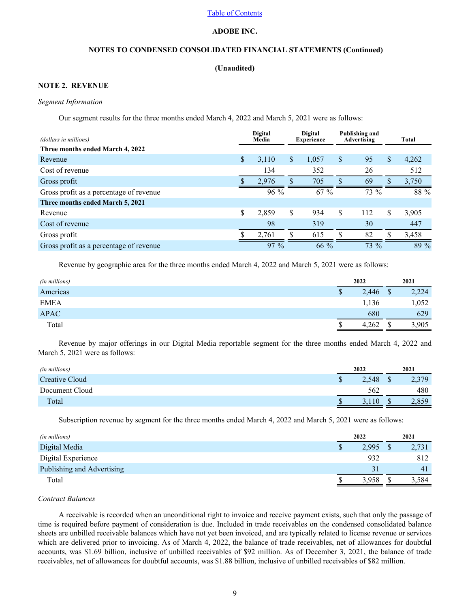# **ADOBE INC.**

# **NOTES TO CONDENSED CONSOLIDATED FINANCIAL STATEMENTS (Continued)**

### **(Unaudited)**

## **NOTE 2. REVENUE**

### *Segment Information*

Our segment results for the three months ended March 4, 2022 and March 5, 2021 were as follows:

| (dollars in millions)                   | <b>Digital</b><br>Media |              | <b>Digital</b><br><b>Experience</b> |    | <b>Publishing and</b><br><b>Advertising</b> | Total       |
|-----------------------------------------|-------------------------|--------------|-------------------------------------|----|---------------------------------------------|-------------|
| Three months ended March 4, 2022        |                         |              |                                     |    |                                             |             |
| Revenue                                 | \$<br>3,110             | $\mathbb{S}$ | 1,057                               | S  | 95                                          | \$<br>4,262 |
| Cost of revenue                         | 134                     |              | 352                                 |    | 26                                          | 512         |
| Gross profit                            | 2.976                   | n.           | 705                                 |    | 69                                          | 3,750       |
| Gross profit as a percentage of revenue | 96 %                    |              | 67%                                 |    | 73 %                                        | 88 %        |
| Three months ended March 5, 2021        |                         |              |                                     |    |                                             |             |
| Revenue                                 | \$<br>2,859             | \$           | 934                                 | \$ | 112                                         | \$<br>3,905 |
| Cost of revenue                         | 98                      |              | 319                                 |    | 30                                          | 447         |
| Gross profit                            | 2,761                   | ዕ            | 615                                 |    | 82                                          | 3,458       |
| Gross profit as a percentage of revenue | $97\%$                  |              | $66\%$                              |    | 73 %                                        | 89 %        |

Revenue by geographic area for the three months ended March 4, 2022 and March 5, 2021 were as follows:

| (in millions) | 2022        | 2021        |
|---------------|-------------|-------------|
| Americas      | 2,446<br>\$ | 2,224<br>\$ |
| <b>EMEA</b>   | 1,136       | 1,052       |
| <b>APAC</b>   | 680         | 629         |
| Total         | 4,262       | 3,905       |

Revenue by major offerings in our Digital Media reportable segment for the three months ended March 4, 2022 and March 5, 2021 were as follows:

| (in millions)  | 2022  |    | 2021  |
|----------------|-------|----|-------|
| Creative Cloud | 2,548 |    | 2,379 |
| Document Cloud | 562   |    | 480   |
| Total          |       | ۰D | 2,859 |
|                |       |    |       |

Subscription revenue by segment for the three months ended March 4, 2022 and March 5, 2021 were as follows:

| (in millions)              |   | 2022  | 2021  |
|----------------------------|---|-------|-------|
| Digital Media              | Φ | 2,995 | 2,731 |
| Digital Experience         |   | 932   | 812   |
| Publishing and Advertising |   | 31    | 41    |
| Total                      |   | 3.958 | 3.584 |

# *Contract Balances*

A receivable is recorded when an unconditional right to invoice and receive payment exists, such that only the passage of time is required before payment of consideration is due. Included in trade receivables on the condensed consolidated balance sheets are unbilled receivable balances which have not yet been invoiced, and are typically related to license revenue or services which are delivered prior to invoicing. As of March 4, 2022, the balance of trade receivables, net of allowances for doubtful accounts, was \$1.69 billion, inclusive of unbilled receivables of \$92 million. As of December 3, 2021, the balance of trade receivables, net of allowances for doubtful accounts, was \$1.88 billion, inclusive of unbilled receivables of \$82 million.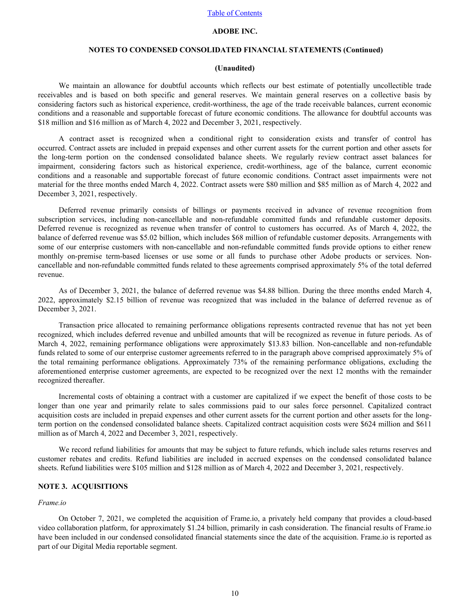# **ADOBE INC.**

# **NOTES TO CONDENSED CONSOLIDATED FINANCIAL STATEMENTS (Continued)**

#### **(Unaudited)**

We maintain an allowance for doubtful accounts which reflects our best estimate of potentially uncollectible trade receivables and is based on both specific and general reserves. We maintain general reserves on a collective basis by considering factors such as historical experience, credit-worthiness, the age of the trade receivable balances, current economic conditions and a reasonable and supportable forecast of future economic conditions. The allowance for doubtful accounts was \$18 million and \$16 million as of March 4, 2022 and December 3, 2021, respectively.

A contract asset is recognized when a conditional right to consideration exists and transfer of control has occurred. Contract assets are included in prepaid expenses and other current assets for the current portion and other assets for the long-term portion on the condensed consolidated balance sheets. We regularly review contract asset balances for impairment, considering factors such as historical experience, credit-worthiness, age of the balance, current economic conditions and a reasonable and supportable forecast of future economic conditions. Contract asset impairments were not material for the three months ended March 4, 2022. Contract assets were \$80 million and \$85 million as of March 4, 2022 and December 3, 2021, respectively.

Deferred revenue primarily consists of billings or payments received in advance of revenue recognition from subscription services, including non-cancellable and non-refundable committed funds and refundable customer deposits. Deferred revenue is recognized as revenue when transfer of control to customers has occurred. As of March 4, 2022, the balance of deferred revenue was \$5.02 billion, which includes \$68 million of refundable customer deposits. Arrangements with some of our enterprise customers with non-cancellable and non-refundable committed funds provide options to either renew monthly on-premise term-based licenses or use some or all funds to purchase other Adobe products or services. Noncancellable and non-refundable committed funds related to these agreements comprised approximately 5% of the total deferred revenue.

As of December 3, 2021, the balance of deferred revenue was \$4.88 billion. During the three months ended March 4, 2022, approximately \$2.15 billion of revenue was recognized that was included in the balance of deferred revenue as of December 3, 2021.

Transaction price allocated to remaining performance obligations represents contracted revenue that has not yet been recognized, which includes deferred revenue and unbilled amounts that will be recognized as revenue in future periods. As of March 4, 2022, remaining performance obligations were approximately \$13.83 billion. Non-cancellable and non-refundable funds related to some of our enterprise customer agreements referred to in the paragraph above comprised approximately 5% of the total remaining performance obligations. Approximately 73% of the remaining performance obligations, excluding the aforementioned enterprise customer agreements, are expected to be recognized over the next 12 months with the remainder recognized thereafter.

Incremental costs of obtaining a contract with a customer are capitalized if we expect the benefit of those costs to be longer than one year and primarily relate to sales commissions paid to our sales force personnel. Capitalized contract acquisition costs are included in prepaid expenses and other current assets for the current portion and other assets for the longterm portion on the condensed consolidated balance sheets. Capitalized contract acquisition costs were \$624 million and \$611 million as of March 4, 2022 and December 3, 2021, respectively.

We record refund liabilities for amounts that may be subject to future refunds, which include sales returns reserves and customer rebates and credits. Refund liabilities are included in accrued expenses on the condensed consolidated balance sheets. Refund liabilities were \$105 million and \$128 million as of March 4, 2022 and December 3, 2021, respectively.

# **NOTE 3. ACQUISITIONS**

### *Frame.io*

On October 7, 2021, we completed the acquisition of Frame.io, a privately held company that provides a cloud-based video collaboration platform, for approximately \$1.24 billion, primarily in cash consideration. The financial results of Frame.io have been included in our condensed consolidated financial statements since the date of the acquisition. Frame io is reported as part of our Digital Media reportable segment.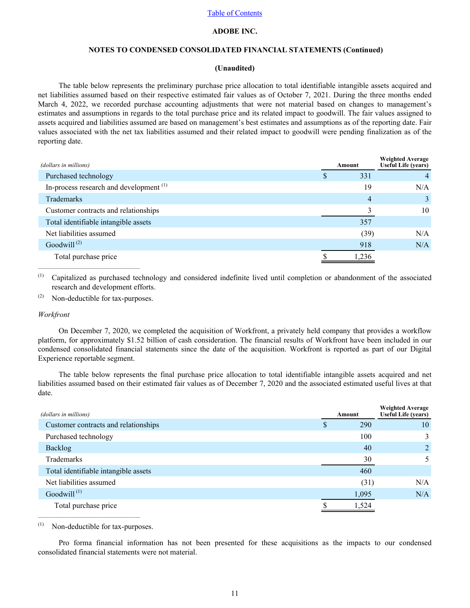# **ADOBE INC.**

# **NOTES TO CONDENSED CONSOLIDATED FINANCIAL STATEMENTS (Continued)**

#### **(Unaudited)**

The table below represents the preliminary purchase price allocation to total identifiable intangible assets acquired and net liabilities assumed based on their respective estimated fair values as of October 7, 2021. During the three months ended March 4, 2022, we recorded purchase accounting adjustments that were not material based on changes to management's estimates and assumptions in regards to the total purchase price and its related impact to goodwill. The fair values assigned to assets acquired and liabilities assumed are based on management's best estimates and assumptions as of the reporting date. Fair values associated with the net tax liabilities assumed and their related impact to goodwill were pending finalization as of the reporting date.

| (dollars in millions)                     | Amount | <b>Weighted Average</b><br>Useful Life (years) |
|-------------------------------------------|--------|------------------------------------------------|
| Purchased technology                      | 331    |                                                |
| In-process research and development $(1)$ | 19     | N/A                                            |
| Trademarks                                | 4      | $\mathcal{E}$                                  |
| Customer contracts and relationships      |        | 10                                             |
| Total identifiable intangible assets      | 357    |                                                |
| Net liabilities assumed                   | (39)   | N/A                                            |
| Goodwill $^{(2)}$                         | 918    | N/A                                            |
| Total purchase price                      | 1,236  |                                                |

(1) Capitalized as purchased technology and considered indefinite lived until completion or abandonment of the associated research and development efforts.

(2) Non-deductible for tax-purposes.

 $\mathcal{L}_\text{max} = \mathcal{L}_\text{max} = \mathcal{L}_\text{max} = \mathcal{L}_\text{max} = \mathcal{L}_\text{max}$ 

#### *Workfront*

On December 7, 2020, we completed the acquisition of Workfront, a privately held company that provides a workflow platform, for approximately \$1.52 billion of cash consideration. The financial results of Workfront have been included in our condensed consolidated financial statements since the date of the acquisition. Workfront is reported as part of our Digital Experience reportable segment.

The table below represents the final purchase price allocation to total identifiable intangible assets acquired and net liabilities assumed based on their estimated fair values as of December 7, 2020 and the associated estimated useful lives at that date.

| (dollars in millions)                | Amount | <b>Weighted Average</b><br>Useful Life (years) |
|--------------------------------------|--------|------------------------------------------------|
| Customer contracts and relationships | 290    | 10                                             |
| Purchased technology                 | 100    | 3                                              |
| Backlog                              | 40     | $\overline{2}$                                 |
| Trademarks                           | 30     | 5.                                             |
| Total identifiable intangible assets | 460    |                                                |
| Net liabilities assumed              | (31)   | N/A                                            |
| Goodwill $^{(1)}$                    | 1,095  | N/A                                            |
| Total purchase price                 | .524   |                                                |
|                                      |        |                                                |

(1) Non-deductible for tax-purposes.

 $\mathcal{L}_\text{max}$ 

Pro forma financial information has not been presented for these acquisitions as the impacts to our condensed consolidated financial statements were not material.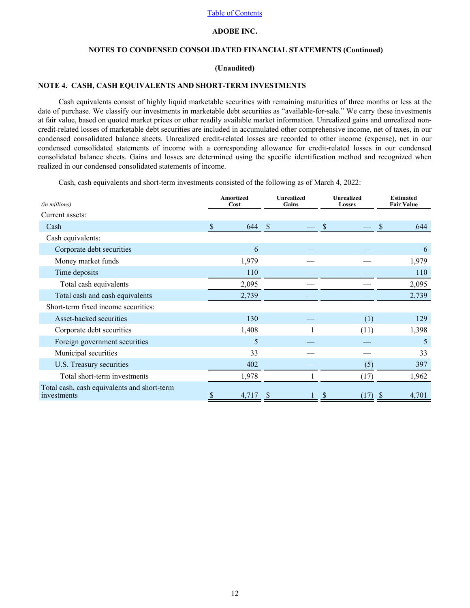## **ADOBE INC.**

# **NOTES TO CONDENSED CONSOLIDATED FINANCIAL STATEMENTS (Continued)**

#### **(Unaudited)**

### <span id="page-11-0"></span>**NOTE 4. CASH, CASH EQUIVALENTS AND SHORT-TERM INVESTMENTS**

Cash equivalents consist of highly liquid marketable securities with remaining maturities of three months or less at the date of purchase. We classify our investments in marketable debt securities as "available-for-sale." We carry these investments at fair value, based on quoted market prices or other readily available market information. Unrealized gains and unrealized noncredit-related losses of marketable debt securities are included in accumulated other comprehensive income, net of taxes, in our condensed consolidated balance sheets. Unrealized credit-related losses are recorded to other income (expense), net in our condensed consolidated statements of income with a corresponding allowance for credit-related losses in our condensed consolidated balance sheets. Gains and losses are determined using the specific identification method and recognized when realized in our condensed consolidated statements of income.

Cash, cash equivalents and short-term investments consisted of the following as of March 4, 2022:

| (in millions)                                              | Amortized<br>Cost                | <b>Unrealized</b><br>Gains | <b>Unrealized</b><br><b>Losses</b> | <b>Estimated</b><br><b>Fair Value</b> |
|------------------------------------------------------------|----------------------------------|----------------------------|------------------------------------|---------------------------------------|
| Current assets:                                            |                                  |                            |                                    |                                       |
| Cash                                                       | $\boldsymbol{\mathsf{S}}$<br>644 | -\$                        | \$                                 | \$<br>644                             |
| Cash equivalents:                                          |                                  |                            |                                    |                                       |
| Corporate debt securities                                  | 6                                |                            |                                    | 6                                     |
| Money market funds                                         | 1,979                            |                            |                                    | 1,979                                 |
| Time deposits                                              | 110                              |                            |                                    | 110                                   |
| Total cash equivalents                                     | 2,095                            |                            |                                    | 2,095                                 |
| Total cash and cash equivalents                            | 2,739                            |                            |                                    | 2,739                                 |
| Short-term fixed income securities:                        |                                  |                            |                                    |                                       |
| Asset-backed securities                                    | 130                              |                            | (1)                                | 129                                   |
| Corporate debt securities                                  | 1,408                            |                            | (11)                               | 1,398                                 |
| Foreign government securities                              | 5                                |                            |                                    | 5                                     |
| Municipal securities                                       | 33                               |                            |                                    | 33                                    |
| U.S. Treasury securities                                   | 402                              |                            | (5)                                | 397                                   |
| Total short-term investments                               | 1,978                            |                            | (17)                               | 1,962                                 |
| Total cash, cash equivalents and short-term<br>investments | 4,717                            |                            | \$<br>(17)                         | 4,701<br><sup>2</sup>                 |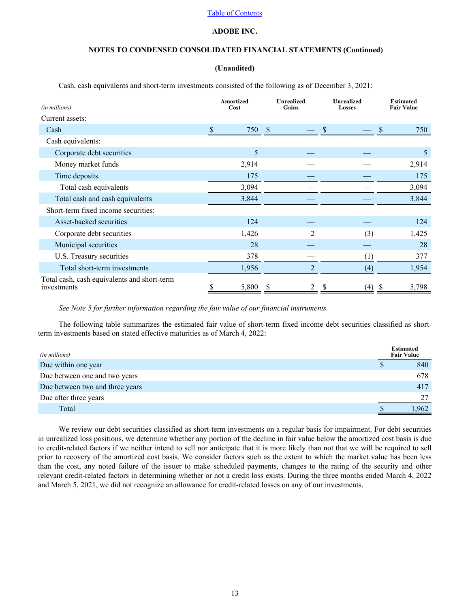## **ADOBE INC.**

# **NOTES TO CONDENSED CONSOLIDATED FINANCIAL STATEMENTS (Continued)**

### **(Unaudited)**

Cash, cash equivalents and short-term investments consisted of the following as of December 3, 2021:

| (in millions)                                              | Amortized<br>Cost | <b>Unrealized</b><br>Gains |                |    | <b>Unrealized</b><br><b>Losses</b> |    | <b>Estimated</b><br><b>Fair Value</b> |
|------------------------------------------------------------|-------------------|----------------------------|----------------|----|------------------------------------|----|---------------------------------------|
| Current assets:                                            |                   |                            |                |    |                                    |    |                                       |
| Cash                                                       | \$<br>750         | - \$                       |                | \$ |                                    | \$ | 750                                   |
| Cash equivalents:                                          |                   |                            |                |    |                                    |    |                                       |
| Corporate debt securities                                  | 5                 |                            |                |    |                                    |    | 5                                     |
| Money market funds                                         | 2,914             |                            |                |    |                                    |    | 2,914                                 |
| Time deposits                                              | 175               |                            |                |    |                                    |    | 175                                   |
| Total cash equivalents                                     | 3,094             |                            |                |    |                                    |    | 3,094                                 |
| Total cash and cash equivalents                            | 3,844             |                            |                |    |                                    |    | 3,844                                 |
| Short-term fixed income securities:                        |                   |                            |                |    |                                    |    |                                       |
| Asset-backed securities                                    | 124               |                            |                |    |                                    |    | 124                                   |
| Corporate debt securities                                  | 1,426             |                            | $\overline{2}$ |    | (3)                                |    | 1,425                                 |
| Municipal securities                                       | 28                |                            |                |    |                                    |    | 28                                    |
| U.S. Treasury securities                                   | 378               |                            |                |    | (1)                                |    | 377                                   |
| Total short-term investments                               | 1,956             |                            | $\overline{2}$ |    | (4)                                |    | 1,954                                 |
| Total cash, cash equivalents and short-term<br>investments | 5,800             |                            | 2              |    | (4)                                | J. | 5,798                                 |

*[See Note 5 for further information regarding the fair value of our financial instruments.](#page-13-0)*

The following table summarizes the estimated fair value of short-term fixed income debt securities classified as shortterm investments based on stated effective maturities as of March 4, 2022:

| (in millions)                   | <b>Estimated</b><br><b>Fair Value</b> |
|---------------------------------|---------------------------------------|
| Due within one year             | 840                                   |
| Due between one and two years   | 678                                   |
| Due between two and three years | 417                                   |
| Due after three years           | 27                                    |
| Total                           | .962                                  |

We review our debt securities classified as short-term investments on a regular basis for impairment. For debt securities in unrealized loss positions, we determine whether any portion of the decline in fair value below the amortized cost basis is due to credit-related factors if we neither intend to sell nor anticipate that it is more likely than not that we will be required to sell prior to recovery of the amortized cost basis. We consider factors such as the extent to which the market value has been less than the cost, any noted failure of the issuer to make scheduled payments, changes to the rating of the security and other relevant credit-related factors in determining whether or not a credit loss exists. During the three months ended March 4, 2022 and March 5, 2021, we did not recognize an allowance for credit-related losses on any of our investments.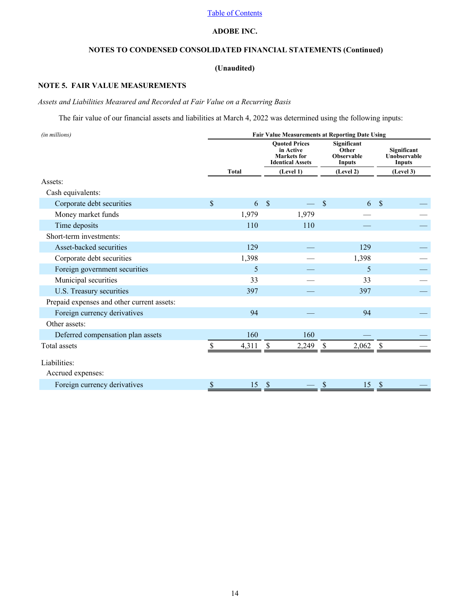# **ADOBE INC.**

# **NOTES TO CONDENSED CONSOLIDATED FINANCIAL STATEMENTS (Continued)**

# **(Unaudited)**

# <span id="page-13-0"></span>**NOTE 5. FAIR VALUE MEASUREMENTS**

# *Assets and Liabilities Measured and Recorded at Fair Value on a Recurring Basis*

The fair value of our financial assets and liabilities at March 4, 2022 was determined using the following inputs:

| <b>Fair Value Measurements at Reporting Date Using</b> |              |                           |                                 |                                                 |                                                     |               |                                       |
|--------------------------------------------------------|--------------|---------------------------|---------------------------------|-------------------------------------------------|-----------------------------------------------------|---------------|---------------------------------------|
|                                                        |              |                           | in Active<br><b>Markets</b> for |                                                 | Significant<br>Other<br><b>Observable</b><br>Inputs |               | Significant<br>Unobservable<br>Inputs |
|                                                        | <b>Total</b> |                           | (Level 1)                       |                                                 | (Level 2)                                           |               | (Level 3)                             |
|                                                        |              |                           |                                 |                                                 |                                                     |               |                                       |
|                                                        |              |                           |                                 |                                                 |                                                     |               |                                       |
| $\mathsf{\$}$                                          | 6            | $\mathcal{S}$             |                                 | $\mathcal{S}$                                   | 6                                                   | $\mathcal{S}$ |                                       |
|                                                        | 1,979        |                           | 1,979                           |                                                 |                                                     |               |                                       |
|                                                        | 110          |                           | 110                             |                                                 |                                                     |               |                                       |
|                                                        |              |                           |                                 |                                                 |                                                     |               |                                       |
|                                                        | 129          |                           |                                 |                                                 | 129                                                 |               |                                       |
|                                                        | 1,398        |                           |                                 |                                                 | 1,398                                               |               |                                       |
|                                                        | 5            |                           |                                 |                                                 | 5                                                   |               |                                       |
|                                                        | 33           |                           |                                 |                                                 | 33                                                  |               |                                       |
|                                                        | 397          |                           |                                 |                                                 | 397                                                 |               |                                       |
|                                                        |              |                           |                                 |                                                 |                                                     |               |                                       |
|                                                        | 94           |                           |                                 |                                                 | 94                                                  |               |                                       |
|                                                        |              |                           |                                 |                                                 |                                                     |               |                                       |
|                                                        | 160          |                           | 160                             |                                                 |                                                     |               |                                       |
|                                                        | 4,311        | $\boldsymbol{\mathsf{S}}$ | 2,249                           | -S                                              | 2,062                                               | $\mathbb{S}$  |                                       |
|                                                        |              |                           |                                 |                                                 |                                                     |               |                                       |
|                                                        |              |                           |                                 |                                                 |                                                     |               |                                       |
| \$                                                     | 15           |                           |                                 |                                                 | 15                                                  | S             |                                       |
|                                                        |              |                           |                                 | <b>Ouoted Prices</b><br><b>Identical Assets</b> |                                                     |               |                                       |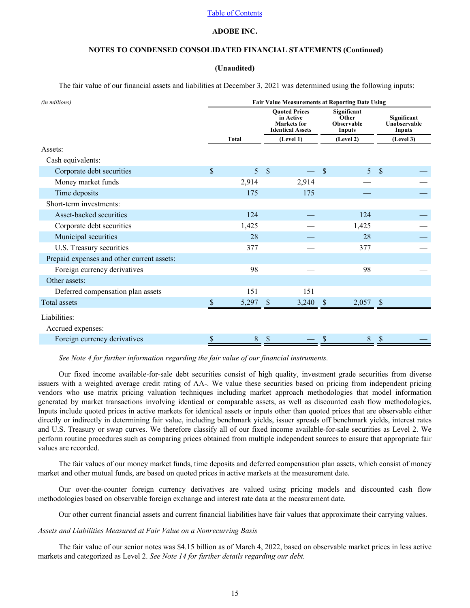## **ADOBE INC.**

# **NOTES TO CONDENSED CONSOLIDATED FINANCIAL STATEMENTS (Continued)**

### **(Unaudited)**

The fair value of our financial assets and liabilities at December 3, 2021 was determined using the following inputs:

| (in millions)                              | <b>Fair Value Measurements at Reporting Date Using</b> |                |               |                                                                                    |               |                                                            |                           |                                       |  |  |
|--------------------------------------------|--------------------------------------------------------|----------------|---------------|------------------------------------------------------------------------------------|---------------|------------------------------------------------------------|---------------------------|---------------------------------------|--|--|
|                                            |                                                        |                |               | <b>Ouoted Prices</b><br>in Active<br><b>Markets</b> for<br><b>Identical Assets</b> |               | <b>Significant</b><br>Other<br><b>Observable</b><br>Inputs |                           | Significant<br>Unobservable<br>Inputs |  |  |
|                                            |                                                        | <b>Total</b>   |               | (Level 1)                                                                          |               | (Level 2)                                                  |                           | (Level 3)                             |  |  |
| Assets:                                    |                                                        |                |               |                                                                                    |               |                                                            |                           |                                       |  |  |
| Cash equivalents:                          |                                                        |                |               |                                                                                    |               |                                                            |                           |                                       |  |  |
| Corporate debt securities                  | $\mathsf{\$}$                                          | $\overline{5}$ | $\sqrt{S}$    |                                                                                    | $\mathcal{S}$ | 5 <sup>1</sup>                                             | $\mathbf{\hat{s}}$        |                                       |  |  |
| Money market funds                         |                                                        | 2,914          |               | 2,914                                                                              |               |                                                            |                           |                                       |  |  |
| Time deposits                              |                                                        | 175            |               | 175                                                                                |               |                                                            |                           |                                       |  |  |
| Short-term investments:                    |                                                        |                |               |                                                                                    |               |                                                            |                           |                                       |  |  |
| Asset-backed securities                    |                                                        | 124            |               |                                                                                    |               | 124                                                        |                           |                                       |  |  |
| Corporate debt securities                  |                                                        | 1,425          |               |                                                                                    |               | 1,425                                                      |                           |                                       |  |  |
| Municipal securities                       |                                                        | 28             |               |                                                                                    |               | 28                                                         |                           |                                       |  |  |
| U.S. Treasury securities                   |                                                        | 377            |               |                                                                                    |               | 377                                                        |                           |                                       |  |  |
| Prepaid expenses and other current assets: |                                                        |                |               |                                                                                    |               |                                                            |                           |                                       |  |  |
| Foreign currency derivatives               |                                                        | 98             |               |                                                                                    |               | 98                                                         |                           |                                       |  |  |
| Other assets:                              |                                                        |                |               |                                                                                    |               |                                                            |                           |                                       |  |  |
| Deferred compensation plan assets          |                                                        | 151            |               | 151                                                                                |               |                                                            |                           |                                       |  |  |
| Total assets                               |                                                        | 5,297          | $\mathcal{S}$ | 3,240                                                                              | -S            | 2,057                                                      | $\boldsymbol{\mathsf{S}}$ |                                       |  |  |
| Liabilities:                               |                                                        |                |               |                                                                                    |               |                                                            |                           |                                       |  |  |
| Accrued expenses:                          |                                                        |                |               |                                                                                    |               |                                                            |                           |                                       |  |  |
| Foreign currency derivatives               |                                                        | $\,8\,$        |               |                                                                                    |               | $8\,$                                                      | $\boldsymbol{\mathsf{S}}$ |                                       |  |  |

*[See Note 4 for further information regarding the fair value of our financial instruments.](#page-11-0)*

Our fixed income available-for-sale debt securities consist of high quality, investment grade securities from diverse issuers with a weighted average credit rating of AA-. We value these securities based on pricing from independent pricing vendors who use matrix pricing valuation techniques including market approach methodologies that model information generated by market transactions involving identical or comparable assets, as well as discounted cash flow methodologies. Inputs include quoted prices in active markets for identical assets or inputs other than quoted prices that are observable either directly or indirectly in determining fair value, including benchmark yields, issuer spreads off benchmark yields, interest rates and U.S. Treasury or swap curves. We therefore classify all of our fixed income available-for-sale securities as Level 2. We perform routine procedures such as comparing prices obtained from multiple independent sources to ensure that appropriate fair values are recorded.

The fair values of our money market funds, time deposits and deferred compensation plan assets, which consist of money market and other mutual funds, are based on quoted prices in active markets at the measurement date.

Our over-the-counter foreign currency derivatives are valued using pricing models and discounted cash flow methodologies based on observable foreign exchange and interest rate data at the measurement date.

Our other current financial assets and current financial liabilities have fair values that approximate their carrying values.

#### *Assets and Liabilities Measured at Fair Value on a Nonrecurring Basis*

The fair value of our senior notes was \$4.15 billion as of March 4, 2022, based on observable market prices in less active markets and categorized as Level 2. *[See Note 14 for further details regarding our debt.](#page-22-0)*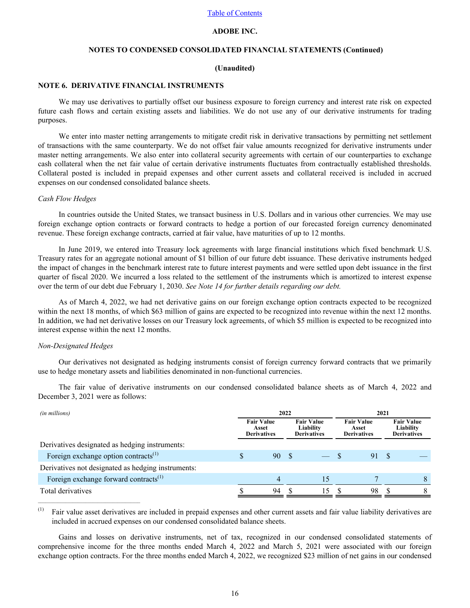# **ADOBE INC.**

# **NOTES TO CONDENSED CONSOLIDATED FINANCIAL STATEMENTS (Continued)**

#### **(Unaudited)**

### **NOTE 6. DERIVATIVE FINANCIAL INSTRUMENTS**

We may use derivatives to partially offset our business exposure to foreign currency and interest rate risk on expected future cash flows and certain existing assets and liabilities. We do not use any of our derivative instruments for trading purposes.

We enter into master netting arrangements to mitigate credit risk in derivative transactions by permitting net settlement of transactions with the same counterparty. We do not offset fair value amounts recognized for derivative instruments under master netting arrangements. We also enter into collateral security agreements with certain of our counterparties to exchange cash collateral when the net fair value of certain derivative instruments fluctuates from contractually established thresholds. Collateral posted is included in prepaid expenses and other current assets and collateral received is included in accrued expenses on our condensed consolidated balance sheets.

#### *Cash Flow Hedges*

In countries outside the United States, we transact business in U.S. Dollars and in various other currencies. We may use foreign exchange option contracts or forward contracts to hedge a portion of our forecasted foreign currency denominated revenue. These foreign exchange contracts, carried at fair value, have maturities of up to 12 months.

In June 2019, we entered into Treasury lock agreements with large financial institutions which fixed benchmark U.S. Treasury rates for an aggregate notional amount of \$1 billion of our future debt issuance. These derivative instruments hedged the impact of changes in the benchmark interest rate to future interest payments and were settled upon debt issuance in the first quarter of fiscal 2020. We incurred a loss related to the settlement of the instruments which is amortized to interest expense over the term of our debt due February 1, 2030. *[See Note 14 for further details regarding our debt.](#page-22-0)*

As of March 4, 2022, we had net derivative gains on our foreign exchange option contracts expected to be recognized within the next 18 months, of which \$63 million of gains are expected to be recognized into revenue within the next 12 months. In addition, we had net derivative losses on our Treasury lock agreements, of which \$5 million is expected to be recognized into interest expense within the next 12 months.

#### *Non-Designated Hedges*

Our derivatives not designated as hedging instruments consist of foreign currency forward contracts that we primarily use to hedge monetary assets and liabilities denominated in non-functional currencies.

The fair value of derivative instruments on our condensed consolidated balance sheets as of March 4, 2022 and December 3, 2021 were as follows:

| (in millions)                                      | 2022<br>2021 |                                                  |     |                                                      |  |                                                  |      |                                                      |  |
|----------------------------------------------------|--------------|--------------------------------------------------|-----|------------------------------------------------------|--|--------------------------------------------------|------|------------------------------------------------------|--|
|                                                    |              | <b>Fair Value</b><br>Asset<br><b>Derivatives</b> |     | <b>Fair Value</b><br>Liability<br><b>Derivatives</b> |  | <b>Fair Value</b><br>Asset<br><b>Derivatives</b> |      | <b>Fair Value</b><br>Liability<br><b>Derivatives</b> |  |
| Derivatives designated as hedging instruments:     |              |                                                  |     |                                                      |  |                                                  |      |                                                      |  |
| Foreign exchange option contracts <sup>(1)</sup>   | S            | 90                                               | - S |                                                      |  | 91                                               | - \$ |                                                      |  |
| Derivatives not designated as hedging instruments: |              |                                                  |     |                                                      |  |                                                  |      |                                                      |  |
| Foreign exchange forward contracts <sup>(1)</sup>  |              | 4                                                |     | 15                                                   |  |                                                  |      |                                                      |  |
| Total derivatives                                  |              | 94                                               |     | 15                                                   |  | 98                                               |      |                                                      |  |
|                                                    |              |                                                  |     |                                                      |  |                                                  |      |                                                      |  |

(1) Fair value asset derivatives are included in prepaid expenses and other current assets and fair value liability derivatives are included in accrued expenses on our condensed consolidated balance sheets.

Gains and losses on derivative instruments, net of tax, recognized in our condensed consolidated statements of comprehensive income for the three months ended March 4, 2022 and March 5, 2021 were associated with our foreign exchange option contracts. For the three months ended March 4, 2022, we recognized \$23 million of net gains in our condensed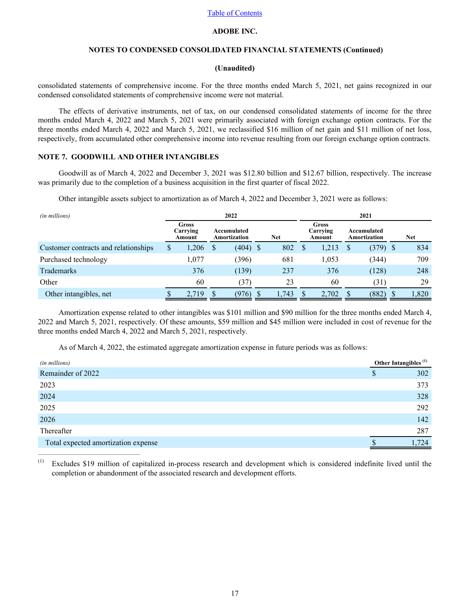# **ADOBE INC.**

# **NOTES TO CONDENSED CONSOLIDATED FINANCIAL STATEMENTS (Continued)**

# **(Unaudited)**

consolidated statements of comprehensive income. For the three months ended March 5, 2021, net gains recognized in our condensed consolidated statements of comprehensive income were not material.

The effects of derivative instruments, net of tax, on our condensed consolidated statements of income for the three months ended March 4, 2022 and March 5, 2021 were primarily associated with foreign exchange option contracts. For the three months ended March 4, 2022 and March 5, 2021, we reclassified \$16 million of net gain and \$11 million of net loss, respectively, from accumulated other comprehensive income into revenue resulting from our foreign exchange option contracts.

# **NOTE 7. GOODWILL AND OTHER INTANGIBLES**

 $\mathcal{L}_\text{max} = \mathcal{L}_\text{max} = \mathcal{L}_\text{max} = \mathcal{L}_\text{max} = \mathcal{L}_\text{max}$ 

Goodwill as of March 4, 2022 and December 3, 2021 was \$12.80 billion and \$12.67 billion, respectively. The increase was primarily due to the completion of a business acquisition in the first quarter of fiscal 2022.

Other intangible assets subject to amortization as of March 4, 2022 and December 3, 2021 were as follows:

| (in millions)                        | 2022 |                             |  |                             |  |            | 2021 |                                    |  |                             |     |            |  |
|--------------------------------------|------|-----------------------------|--|-----------------------------|--|------------|------|------------------------------------|--|-----------------------------|-----|------------|--|
|                                      |      | Gross<br>Carrying<br>Amount |  | Accumulated<br>Amortization |  | <b>Net</b> |      | <b>Gross</b><br>Carrying<br>Amount |  | Accumulated<br>Amortization |     | <b>Net</b> |  |
| Customer contracts and relationships |      | ,206                        |  | $(404)$ \$                  |  | 802        | S    | 1,213                              |  | (379)                       | - S | 834        |  |
| Purchased technology                 |      | .077                        |  | (396)                       |  | 681        |      | 1,053                              |  | (344)                       |     | 709        |  |
| <b>Trademarks</b>                    |      | 376                         |  | (139)                       |  | 237        |      | 376                                |  | (128)                       |     | 248        |  |
| Other                                |      | 60                          |  | (37)                        |  | 23         |      | 60                                 |  | (31)                        |     | 29         |  |
| Other intangibles, net               |      | 2,719                       |  | (976)                       |  | 1,743      |      | 2,702                              |  | (882)                       |     | 1,820      |  |

Amortization expense related to other intangibles was \$101 million and \$90 million for the three months ended March 4, 2022 and March 5, 2021, respectively. Of these amounts, \$59 million and \$45 million were included in cost of revenue for the three months ended March 4, 2022 and March 5, 2021, respectively.

As of March 4, 2022, the estimated aggregate amortization expense in future periods was as follows:

| (in millions)                       | Other Intangibles <sup>(1)</sup> |
|-------------------------------------|----------------------------------|
| Remainder of 2022                   | 302<br>Φ                         |
| 2023                                | 373                              |
| 2024                                | 328                              |
| 2025                                | 292                              |
| 2026                                | 142                              |
| Thereafter                          | 287                              |
| Total expected amortization expense | .724                             |

(1) Excludes \$19 million of capitalized in-process research and development which is considered indefinite lived until the completion or abandonment of the associated research and development efforts.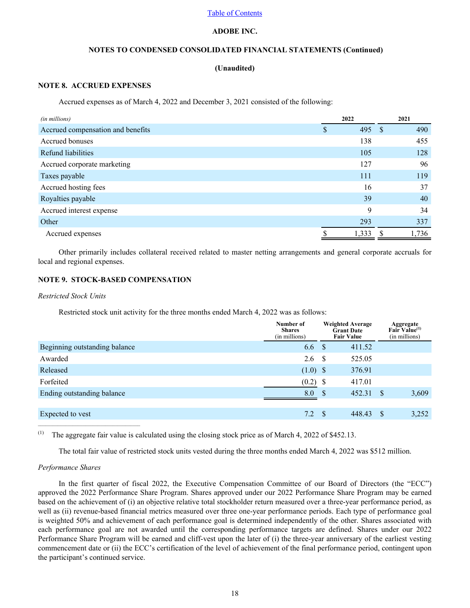# **ADOBE INC.**

# **NOTES TO CONDENSED CONSOLIDATED FINANCIAL STATEMENTS (Continued)**

## **(Unaudited)**

# **NOTE 8. ACCRUED EXPENSES**

Accrued expenses as of March 4, 2022 and December 3, 2021 consisted of the following:

| (in millions)                     | 2022     | 2021        |
|-----------------------------------|----------|-------------|
| Accrued compensation and benefits | 495<br>S | 490<br>- \$ |
| Accrued bonuses                   | 138      | 455         |
| Refund liabilities                | 105      | 128         |
| Accrued corporate marketing       | 127      | 96          |
| Taxes payable                     | 111      | 119         |
| Accrued hosting fees              | 16       | 37          |
| Royalties payable                 | 39       | 40          |
| Accrued interest expense          | 9        | 34          |
| Other                             | 293      | 337         |
| Accrued expenses                  | 1,333    | 1,736       |

Other primarily includes collateral received related to master netting arrangements and general corporate accruals for local and regional expenses.

# **NOTE 9. STOCK-BASED COMPENSATION**

# *Restricted Stock Units*

Restricted stock unit activity for the three months ended March 4, 2022 was as follows:

|                               | Number of<br><b>Shares</b><br>(in millions) |              | <b>Weighted Average</b><br><b>Grant Date</b><br><b>Fair Value</b> |               | Aggregate<br>Fair Value <sup>(1)</sup><br>(in millions) |
|-------------------------------|---------------------------------------------|--------------|-------------------------------------------------------------------|---------------|---------------------------------------------------------|
| Beginning outstanding balance | 6.6                                         | <sup>S</sup> | 411.52                                                            |               |                                                         |
| Awarded                       | 2.6                                         | - \$         | 525.05                                                            |               |                                                         |
| Released                      | $(1.0)$ \$                                  |              | 376.91                                                            |               |                                                         |
| Forfeited                     | (0.2)                                       | - \$         | 417.01                                                            |               |                                                         |
| Ending outstanding balance    | 8.0                                         | <sup>S</sup> | 452.31                                                            | <sup>\$</sup> | 3,609                                                   |
|                               |                                             |              |                                                                   |               |                                                         |
| Expected to vest              | 7.2                                         | <sup>S</sup> | 448.43                                                            | S             | 3,252                                                   |

(1) The aggregate fair value is calculated using the closing stock price as of March 4, 2022 of \$452.13.

The total fair value of restricted stock units vested during the three months ended March 4, 2022 was \$512 million.

## *Performance Shares*

 $\mathcal{L}_\text{max}$ 

In the first quarter of fiscal 2022, the Executive Compensation Committee of our Board of Directors (the "ECC") approved the 2022 Performance Share Program. Shares approved under our 2022 Performance Share Program may be earned based on the achievement of (i) an objective relative total stockholder return measured over a three-year performance period, as well as (ii) revenue-based financial metrics measured over three one-year performance periods. Each type of performance goal is weighted 50% and achievement of each performance goal is determined independently of the other. Shares associated with each performance goal are not awarded until the corresponding performance targets are defined. Shares under our 2022 Performance Share Program will be earned and cliff-vest upon the later of (i) the three-year anniversary of the earliest vesting commencement date or (ii) the ECC's certification of the level of achievement of the final performance period, contingent upon the participant's continued service.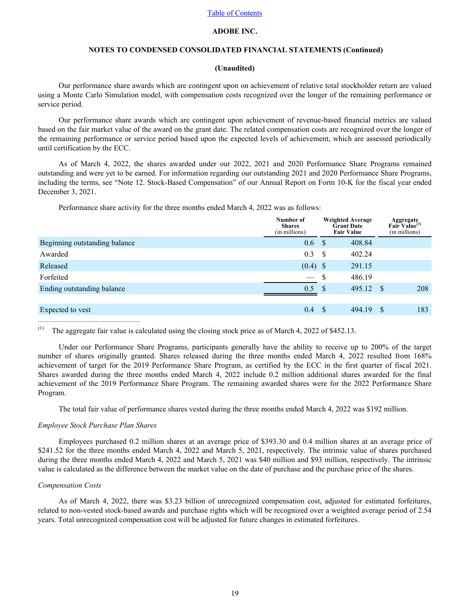# **ADOBE INC.**

# **NOTES TO CONDENSED CONSOLIDATED FINANCIAL STATEMENTS (Continued)**

#### **(Unaudited)**

Our performance share awards which are contingent upon on achievement of relative total stockholder return are valued using a Monte Carlo Simulation model, with compensation costs recognized over the longer of the remaining performance or service period.

Our performance share awards which are contingent upon achievement of revenue-based financial metrics are valued based on the fair market value of the award on the grant date. The related compensation costs are recognized over the longer of the remaining performance or service period based upon the expected levels of achievement, which are assessed periodically until certification by the ECC.

As of March 4, 2022, the shares awarded under our 2022, 2021 and 2020 Performance Share Programs remained outstanding and were yet to be earned. For information regarding our outstanding 2021 and 2020 Performance Share Programs, including the terms, see "Note 12. Stock-Based Compensation" of our Annual Report on Form 10-K for the fiscal year ended December 3, 2021.

Performance share activity for the three months ended March 4, 2022 was as follows:

|                               | Number of<br><b>Shares</b><br>(in millions) |          | <b>Weighted Average</b><br><b>Grant Date</b><br><b>Fair Value</b> |      | <b>Aggregate</b><br>Fair Value <sup>(1)</sup><br>(in millions) |
|-------------------------------|---------------------------------------------|----------|-------------------------------------------------------------------|------|----------------------------------------------------------------|
| Beginning outstanding balance | 0.6                                         | <b>S</b> | 408.84                                                            |      |                                                                |
| Awarded                       | 0.3                                         | - \$     | 402.24                                                            |      |                                                                |
| Released                      | $(0.4)$ \$                                  |          | 291.15                                                            |      |                                                                |
| Forfeited                     |                                             | \$       | 486.19                                                            |      |                                                                |
| Ending outstanding balance    | 0.5                                         | -S       | 495.12                                                            | - \$ | 208                                                            |
|                               |                                             |          |                                                                   |      |                                                                |
| Expected to vest              | 0.4                                         | S        | 494.19                                                            | \$.  | 183                                                            |

(1) The aggregate fair value is calculated using the closing stock price as of March 4, 2022 of \$452.13.

Under our Performance Share Programs, participants generally have the ability to receive up to 200% of the target number of shares originally granted. Shares released during the three months ended March 4, 2022 resulted from 168% achievement of target for the 2019 Performance Share Program, as certified by the ECC in the first quarter of fiscal 2021. Shares awarded during the three months ended March 4, 2022 include 0.2 million additional shares awarded for the final achievement of the 2019 Performance Share Program. The remaining awarded shares were for the 2022 Performance Share Program.

The total fair value of performance shares vested during the three months ended March 4, 2022 was \$192 million.

#### *Employee Stock Purchase Plan Shares*

 $\mathcal{L}_\text{max} = \mathcal{L}_\text{max} = \mathcal{L}_\text{max} = \mathcal{L}_\text{max} = \mathcal{L}_\text{max}$ 

Employees purchased 0.2 million shares at an average price of \$393.30 and 0.4 million shares at an average price of \$241.52 for the three months ended March 4, 2022 and March 5, 2021, respectively. The intrinsic value of shares purchased during the three months ended March 4, 2022 and March 5, 2021 was \$40 million and \$93 million, respectively. The intrinsic value is calculated as the difference between the market value on the date of purchase and the purchase price of the shares.

#### *Compensation Costs*

As of March 4, 2022, there was \$3.23 billion of unrecognized compensation cost, adjusted for estimated forfeitures, related to non-vested stock-based awards and purchase rights which will be recognized over a weighted average period of 2.54 years. Total unrecognized compensation cost will be adjusted for future changes in estimated forfeitures.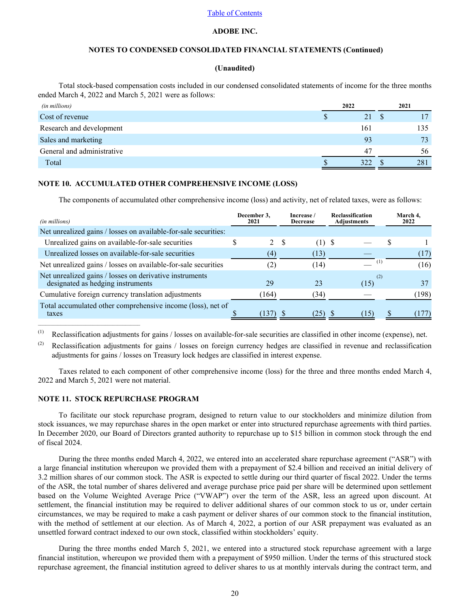# **ADOBE INC.**

# **NOTES TO CONDENSED CONSOLIDATED FINANCIAL STATEMENTS (Continued)**

#### **(Unaudited)**

<span id="page-19-0"></span>Total stock-based compensation costs included in our condensed consolidated statements of income for the three months ended March 4, 2022 and March 5, 2021 were as follows:

| (in millions)              | 2022 |     |   | 2021 |
|----------------------------|------|-----|---|------|
| Cost of revenue            | Ъ    | 21  | S |      |
| Research and development   |      | 161 |   | 135  |
| Sales and marketing        |      | 93  |   | 73   |
| General and administrative |      | 47  |   | 56   |
| Total                      |      | 322 |   | 281  |

### **NOTE 10. ACCUMULATED OTHER COMPREHENSIVE INCOME (LOSS)**

The components of accumulated other comprehensive income (loss) and activity, net of related taxes, were as follows:

| (in millions)                                                                                | December 3,<br>2021 |    | Increase /<br><b>Decrease</b> | <b>Reclassification</b><br><b>Adjustments</b> | March 4.<br>2022 |
|----------------------------------------------------------------------------------------------|---------------------|----|-------------------------------|-----------------------------------------------|------------------|
| Net unrealized gains / losses on available-for-sale securities:                              |                     |    |                               |                                               |                  |
| Unrealized gains on available-for-sale securities                                            | 2                   | -S | $(1)$ S                       |                                               |                  |
| Unrealized losses on available-for-sale securities                                           | (4)                 |    | (13)                          |                                               | (17)             |
| Net unrealized gains / losses on available-for-sale securities                               | (2)                 |    | (14)                          | $\mathbf{I}$                                  | (16)             |
| Net unrealized gains / losses on derivative instruments<br>designated as hedging instruments | 29                  |    | 23                            | (2)<br>(15)                                   | 37               |
| Cumulative foreign currency translation adjustments                                          | (164)               |    | (34)                          |                                               | (198)            |
| Total accumulated other comprehensive income (loss), net of<br>taxes                         | 137)                |    | 25)                           | 15                                            |                  |

(1) Reclassification adjustments for gains / losses on available-for-sale securities are classified in other income (expense), net.

(2) Reclassification adjustments for gains  $\ell$  losses on foreign currency hedges are classified in revenue and reclassification adjustments for gains / losses on Treasury lock hedges are classified in interest expense.

Taxes related to each component of other comprehensive income (loss) for the three and three months ended March 4, 2022 and March 5, 2021 were not material.

#### **NOTE 11. STOCK REPURCHASE PROGRAM**

 $\mathcal{L}_\text{max}$ 

To facilitate our stock repurchase program, designed to return value to our stockholders and minimize dilution from stock issuances, we may repurchase shares in the open market or enter into structured repurchase agreements with third parties. In December 2020, our Board of Directors granted authority to repurchase up to \$15 billion in common stock through the end of fiscal 2024.

During the three months ended March 4, 2022, we entered into an accelerated share repurchase agreement ("ASR") with a large financial institution whereupon we provided them with a prepayment of \$2.4 billion and received an initial delivery of 3.2 million shares of our common stock. The ASR is expected to settle during our third quarter of fiscal 2022. Under the terms of the ASR, the total number of shares delivered and average purchase price paid per share will be determined upon settlement based on the Volume Weighted Average Price ("VWAP") over the term of the ASR, less an agreed upon discount. At settlement, the financial institution may be required to deliver additional shares of our common stock to us or, under certain circumstances, we may be required to make a cash payment or deliver shares of our common stock to the financial institution, with the method of settlement at our election. As of March 4, 2022, a portion of our ASR prepayment was evaluated as an unsettled forward contract indexed to our own stock, classified within stockholders' equity.

During the three months ended March 5, 2021, we entered into a structured stock repurchase agreement with a large financial institution, whereupon we provided them with a prepayment of \$950 million. Under the terms of this structured stock repurchase agreement, the financial institution agreed to deliver shares to us at monthly intervals during the contract term, and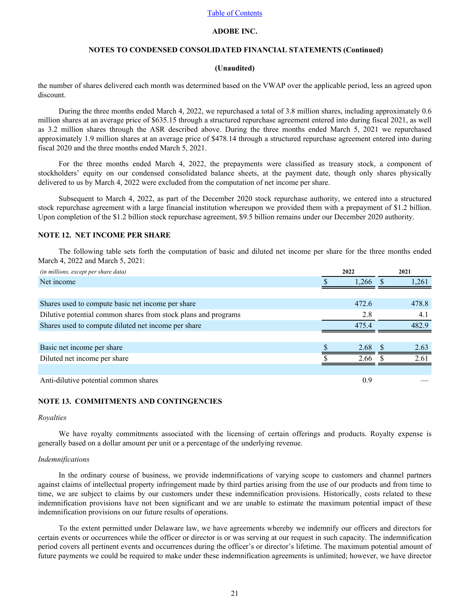# **ADOBE INC.**

# **NOTES TO CONDENSED CONSOLIDATED FINANCIAL STATEMENTS (Continued)**

#### **(Unaudited)**

<span id="page-20-0"></span>the number of shares delivered each month was determined based on the VWAP over the applicable period, less an agreed upon discount.

During the three months ended March 4, 2022, we repurchased a total of 3.8 million shares, including approximately 0.6 million shares at an average price of \$635.15 through a structured repurchase agreement entered into during fiscal 2021, as well as 3.2 million shares through the ASR described above. During the three months ended March 5, 2021 we repurchased approximately 1.9 million shares at an average price of \$478.14 through a structured repurchase agreement entered into during fiscal 2020 and the three months ended March 5, 2021.

For the three months ended March 4, 2022, the prepayments were classified as treasury stock, a component of stockholders' equity on our condensed consolidated balance sheets, at the payment date, though only shares physically delivered to us by March 4, 2022 were excluded from the computation of net income per share.

Subsequent to March 4, 2022, as part of the December 2020 stock repurchase authority, we entered into a structured stock repurchase agreement with a large financial institution whereupon we provided them with a prepayment of \$1.2 billion. Upon completion of the \$1.2 billion stock repurchase agreement, \$9.5 billion remains under our December 2020 authority.

#### **NOTE 12. NET INCOME PER SHARE**

The following table sets forth the computation of basic and diluted net income per share for the three months ended March 4, 2022 and March 5, 2021:

| (in millions, except per share data)                           | 2022  | 2021  |
|----------------------------------------------------------------|-------|-------|
| Net income                                                     | .266  | 1.261 |
|                                                                |       |       |
| Shares used to compute basic net income per share              | 472.6 | 478.8 |
| Dilutive potential common shares from stock plans and programs | 2.8   | 4.1   |
| Shares used to compute diluted net income per share            | 4754  | 482.9 |
|                                                                |       |       |
| Basic net income per share                                     | 2.68  | 2.63  |
| Diluted net income per share                                   | 2.66  | 2.61  |
|                                                                |       |       |
| Anti-dilutive potential common shares                          | 0.9   |       |

# **NOTE 13. COMMITMENTS AND CONTINGENCIES**

#### *Royalties*

We have royalty commitments associated with the licensing of certain offerings and products. Royalty expense is generally based on a dollar amount per unit or a percentage of the underlying revenue.

#### *Indemnifications*

In the ordinary course of business, we provide indemnifications of varying scope to customers and channel partners against claims of intellectual property infringement made by third parties arising from the use of our products and from time to time, we are subject to claims by our customers under these indemnification provisions. Historically, costs related to these indemnification provisions have not been significant and we are unable to estimate the maximum potential impact of these indemnification provisions on our future results of operations.

To the extent permitted under Delaware law, we have agreements whereby we indemnify our officers and directors for certain events or occurrences while the officer or director is or was serving at our request in such capacity. The indemnification period covers all pertinent events and occurrences during the officer's or director's lifetime. The maximum potential amount of future payments we could be required to make under these indemnification agreements is unlimited; however, we have director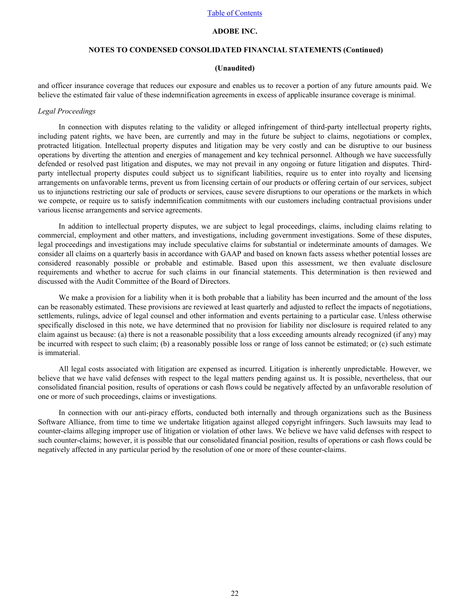# **ADOBE INC.**

## **NOTES TO CONDENSED CONSOLIDATED FINANCIAL STATEMENTS (Continued)**

#### **(Unaudited)**

and officer insurance coverage that reduces our exposure and enables us to recover a portion of any future amounts paid. We believe the estimated fair value of these indemnification agreements in excess of applicable insurance coverage is minimal.

#### *Legal Proceedings*

In connection with disputes relating to the validity or alleged infringement of third-party intellectual property rights, including patent rights, we have been, are currently and may in the future be subject to claims, negotiations or complex, protracted litigation. Intellectual property disputes and litigation may be very costly and can be disruptive to our business operations by diverting the attention and energies of management and key technical personnel. Although we have successfully defended or resolved past litigation and disputes, we may not prevail in any ongoing or future litigation and disputes. Thirdparty intellectual property disputes could subject us to significant liabilities, require us to enter into royalty and licensing arrangements on unfavorable terms, prevent us from licensing certain of our products or offering certain of our services, subject us to injunctions restricting our sale of products or services, cause severe disruptions to our operations or the markets in which we compete, or require us to satisfy indemnification commitments with our customers including contractual provisions under various license arrangements and service agreements.

In addition to intellectual property disputes, we are subject to legal proceedings, claims, including claims relating to commercial, employment and other matters, and investigations, including government investigations. Some of these disputes, legal proceedings and investigations may include speculative claims for substantial or indeterminate amounts of damages. We consider all claims on a quarterly basis in accordance with GAAP and based on known facts assess whether potential losses are considered reasonably possible or probable and estimable. Based upon this assessment, we then evaluate disclosure requirements and whether to accrue for such claims in our financial statements. This determination is then reviewed and discussed with the Audit Committee of the Board of Directors.

We make a provision for a liability when it is both probable that a liability has been incurred and the amount of the loss can be reasonably estimated. These provisions are reviewed at least quarterly and adjusted to reflect the impacts of negotiations, settlements, rulings, advice of legal counsel and other information and events pertaining to a particular case. Unless otherwise specifically disclosed in this note, we have determined that no provision for liability nor disclosure is required related to any claim against us because: (a) there is not a reasonable possibility that a loss exceeding amounts already recognized (if any) may be incurred with respect to such claim; (b) a reasonably possible loss or range of loss cannot be estimated; or (c) such estimate is immaterial.

All legal costs associated with litigation are expensed as incurred. Litigation is inherently unpredictable. However, we believe that we have valid defenses with respect to the legal matters pending against us. It is possible, nevertheless, that our consolidated financial position, results of operations or cash flows could be negatively affected by an unfavorable resolution of one or more of such proceedings, claims or investigations.

In connection with our anti-piracy efforts, conducted both internally and through organizations such as the Business Software Alliance, from time to time we undertake litigation against alleged copyright infringers. Such lawsuits may lead to counter-claims alleging improper use of litigation or violation of other laws. We believe we have valid defenses with respect to such counter-claims; however, it is possible that our consolidated financial position, results of operations or cash flows could be negatively affected in any particular period by the resolution of one or more of these counter-claims.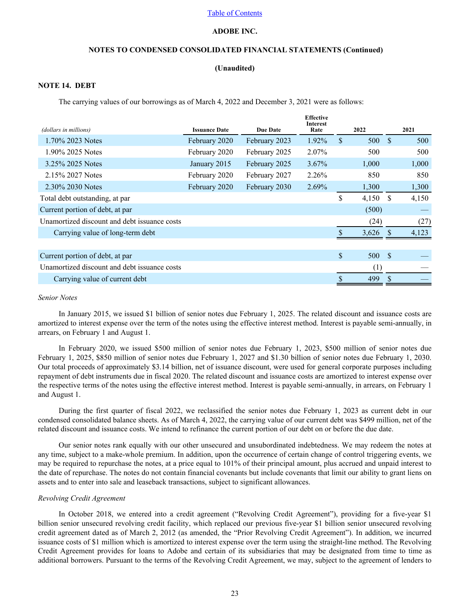# **ADOBE INC.**

# **NOTES TO CONDENSED CONSOLIDATED FINANCIAL STATEMENTS (Continued)**

### **(Unaudited)**

## <span id="page-22-0"></span>**NOTE 14. DEBT**

The carrying values of our borrowings as of March 4, 2022 and December 3, 2021 were as follows:

|                                              |                      |                 | <b>Effective</b><br><b>Interest</b> |      |       |      |       |
|----------------------------------------------|----------------------|-----------------|-------------------------------------|------|-------|------|-------|
| (dollars in millions)                        | <b>Issuance Date</b> | <b>Due Date</b> | Rate                                | 2022 |       |      | 2021  |
| 1.70% 2023 Notes                             | February 2020        | February 2023   | 1.92%                               | \$.  | 500   | -S   | 500   |
| 1.90% 2025 Notes                             | February 2020        | February 2025   | 2.07%                               |      | 500   |      | 500   |
| 3.25% 2025 Notes                             | January 2015         | February 2025   | $3.67\%$                            |      | 1,000 |      | 1,000 |
| 2.15% 2027 Notes                             | February 2020        | February 2027   | 2.26%                               |      | 850   |      | 850   |
| 2.30% 2030 Notes                             | February 2020        | February 2030   | 2.69%                               |      | 1,300 |      | 1,300 |
| Total debt outstanding, at par               |                      |                 |                                     | \$   | 4,150 | -\$  | 4,150 |
| Current portion of debt, at par              |                      |                 |                                     |      | (500) |      |       |
| Unamortized discount and debt issuance costs |                      |                 |                                     |      | (24)  |      | (27)  |
| Carrying value of long-term debt             |                      |                 |                                     |      | 3,626 | -S   | 4,123 |
|                                              |                      |                 |                                     |      |       |      |       |
| Current portion of debt, at par              |                      |                 |                                     | \$   | 500   | - \$ |       |
| Unamortized discount and debt issuance costs |                      |                 |                                     |      | (1)   |      |       |
| Carrying value of current debt               |                      |                 |                                     |      | 499   |      |       |

#### *Senior Notes*

In January 2015, we issued \$1 billion of senior notes due February 1, 2025. The related discount and issuance costs are amortized to interest expense over the term of the notes using the effective interest method. Interest is payable semi-annually, in arrears, on February 1 and August 1.

In February 2020, we issued \$500 million of senior notes due February 1, 2023, \$500 million of senior notes due February 1, 2025, \$850 million of senior notes due February 1, 2027 and \$1.30 billion of senior notes due February 1, 2030. Our total proceeds of approximately \$3.14 billion, net of issuance discount, were used for general corporate purposes including repayment of debt instruments due in fiscal 2020. The related discount and issuance costs are amortized to interest expense over the respective terms of the notes using the effective interest method. Interest is payable semi-annually, in arrears, on February 1 and August 1.

During the first quarter of fiscal 2022, we reclassified the senior notes due February 1, 2023 as current debt in our condensed consolidated balance sheets. As of March 4, 2022, the carrying value of our current debt was \$499 million, net of the related discount and issuance costs. We intend to refinance the current portion of our debt on or before the due date.

Our senior notes rank equally with our other unsecured and unsubordinated indebtedness. We may redeem the notes at any time, subject to a make-whole premium. In addition, upon the occurrence of certain change of control triggering events, we may be required to repurchase the notes, at a price equal to 101% of their principal amount, plus accrued and unpaid interest to the date of repurchase. The notes do not contain financial covenants but include covenants that limit our ability to grant liens on assets and to enter into sale and leaseback transactions, subject to significant allowances.

#### *Revolving Credit Agreement*

In October 2018, we entered into a credit agreement ("Revolving Credit Agreement"), providing for a five-year \$1 billion senior unsecured revolving credit facility, which replaced our previous five-year \$1 billion senior unsecured revolving credit agreement dated as of March 2, 2012 (as amended, the "Prior Revolving Credit Agreement"). In addition, we incurred issuance costs of \$1 million which is amortized to interest expense over the term using the straight-line method. The Revolving Credit Agreement provides for loans to Adobe and certain of its subsidiaries that may be designated from time to time as additional borrowers. Pursuant to the terms of the Revolving Credit Agreement, we may, subject to the agreement of lenders to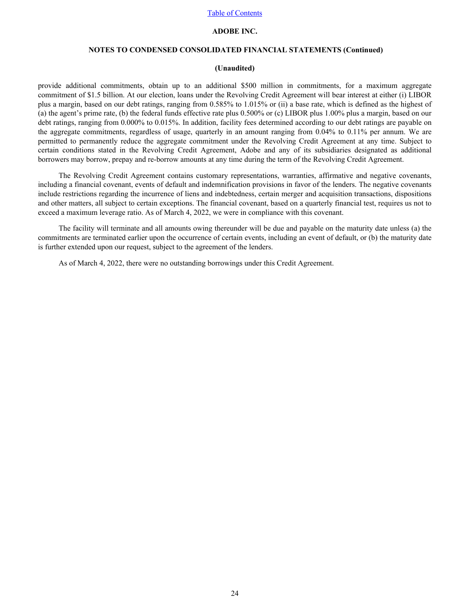# **ADOBE INC.**

# **NOTES TO CONDENSED CONSOLIDATED FINANCIAL STATEMENTS (Continued)**

#### **(Unaudited)**

provide additional commitments, obtain up to an additional \$500 million in commitments, for a maximum aggregate commitment of \$1.5 billion. At our election, loans under the Revolving Credit Agreement will bear interest at either (i) LIBOR plus a margin, based on our debt ratings, ranging from 0.585% to 1.015% or (ii) a base rate, which is defined as the highest of (a) the agent's prime rate, (b) the federal funds effective rate plus 0.500% or (c) LIBOR plus 1.00% plus a margin, based on our debt ratings, ranging from 0.000% to 0.015%. In addition, facility fees determined according to our debt ratings are payable on the aggregate commitments, regardless of usage, quarterly in an amount ranging from 0.04% to 0.11% per annum. We are permitted to permanently reduce the aggregate commitment under the Revolving Credit Agreement at any time. Subject to certain conditions stated in the Revolving Credit Agreement, Adobe and any of its subsidiaries designated as additional borrowers may borrow, prepay and re-borrow amounts at any time during the term of the Revolving Credit Agreement.

The Revolving Credit Agreement contains customary representations, warranties, affirmative and negative covenants, including a financial covenant, events of default and indemnification provisions in favor of the lenders. The negative covenants include restrictions regarding the incurrence of liens and indebtedness, certain merger and acquisition transactions, dispositions and other matters, all subject to certain exceptions. The financial covenant, based on a quarterly financial test, requires us not to exceed a maximum leverage ratio. As of March 4, 2022, we were in compliance with this covenant.

The facility will terminate and all amounts owing thereunder will be due and payable on the maturity date unless (a) the commitments are terminated earlier upon the occurrence of certain events, including an event of default, or (b) the maturity date is further extended upon our request, subject to the agreement of the lenders.

As of March 4, 2022, there were no outstanding borrowings under this Credit Agreement.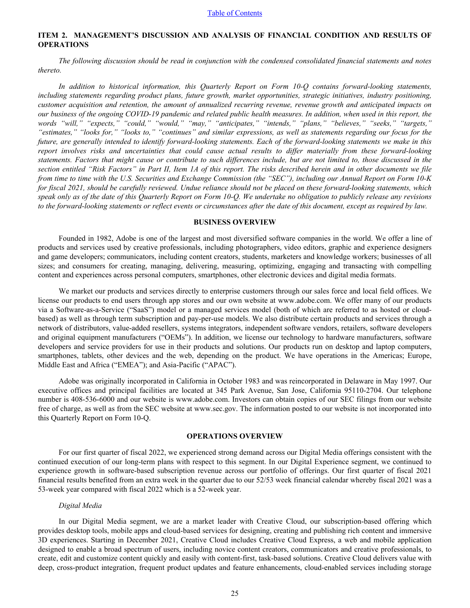# <span id="page-24-0"></span>**ITEM 2. MANAGEMENT'S DISCUSSION AND ANALYSIS OF FINANCIAL CONDITION AND RESULTS OF OPERATIONS**

*The following discussion should be read in conjunction with the condensed consolidated financial statements and notes thereto.*

*In addition to historical information, this Quarterly Report on Form 10-Q contains forward-looking statements, including statements regarding product plans, future growth, market opportunities, strategic initiatives, industry positioning, customer acquisition and retention, the amount of annualized recurring revenue, revenue growth and anticipated impacts on our business of the ongoing COVID-19 pandemic and related public health measures. In addition, when used in this report, the words "will," "expects," "could," "would," "may," "anticipates," "intends," "plans," "believes," "seeks," "targets," "estimates," "looks for," "looks to," "continues" and similar expressions, as well as statements regarding our focus for the future, are generally intended to identify forward-looking statements. Each of the forward-looking statements we make in this report involves risks and uncertainties that could cause actual results to differ materially from these forward-looking statements. Factors that might cause or contribute to such differences include, but are not limited to, those discussed in the section entitled "Risk Factors" in Part II, Item 1A of this report. The risks described herein and in other documents we file from time to time with the U.S. Securities and Exchange Commission (the "SEC"), including our Annual Report on Form 10-K for fiscal 2021, should be carefully reviewed. Undue reliance should not be placed on these forward-looking statements, which speak only as of the date of this Quarterly Report on Form 10-Q. We undertake no obligation to publicly release any revisions to the forward-looking statements or reflect events or circumstances after the date of this document, except as required by law.*

### **BUSINESS OVERVIEW**

Founded in 1982, Adobe is one of the largest and most diversified software companies in the world. We offer a line of products and services used by creative professionals, including photographers, video editors, graphic and experience designers and game developers; communicators, including content creators, students, marketers and knowledge workers; businesses of all sizes; and consumers for creating, managing, delivering, measuring, optimizing, engaging and transacting with compelling content and experiences across personal computers, smartphones, other electronic devices and digital media formats.

We market our products and services directly to enterprise customers through our sales force and local field offices. We license our products to end users through app stores and our own website at www.adobe.com. We offer many of our products via a Software-as-a-Service ("SaaS") model or a managed services model (both of which are referred to as hosted or cloudbased) as well as through term subscription and pay-per-use models. We also distribute certain products and services through a network of distributors, value-added resellers, systems integrators, independent software vendors, retailers, software developers and original equipment manufacturers ("OEMs"). In addition, we license our technology to hardware manufacturers, software developers and service providers for use in their products and solutions. Our products run on desktop and laptop computers, smartphones, tablets, other devices and the web, depending on the product. We have operations in the Americas; Europe, Middle East and Africa ("EMEA"); and Asia-Pacific ("APAC").

Adobe was originally incorporated in California in October 1983 and was reincorporated in Delaware in May 1997. Our executive offices and principal facilities are located at 345 Park Avenue, San Jose, California 95110-2704. Our telephone number is 408-536-6000 and our website is www.adobe.com. Investors can obtain copies of our SEC filings from our website free of charge, as well as from the SEC website at www.sec.gov. The information posted to our website is not incorporated into this Quarterly Report on Form 10-Q.

### **OPERATIONS OVERVIEW**

For our first quarter of fiscal 2022, we experienced strong demand across our Digital Media offerings consistent with the continued execution of our long-term plans with respect to this segment. In our Digital Experience segment, we continued to experience growth in software-based subscription revenue across our portfolio of offerings. Our first quarter of fiscal 2021 financial results benefited from an extra week in the quarter due to our 52/53 week financial calendar whereby fiscal 2021 was a 53-week year compared with fiscal 2022 which is a 52-week year.

### *Digital Media*

In our Digital Media segment, we are a market leader with Creative Cloud, our subscription-based offering which provides desktop tools, mobile apps and cloud-based services for designing, creating and publishing rich content and immersive 3D experiences. Starting in December 2021, Creative Cloud includes Creative Cloud Express, a web and mobile application designed to enable a broad spectrum of users, including novice content creators, communicators and creative professionals, to create, edit and customize content quickly and easily with content-first, task-based solutions. Creative Cloud delivers value with deep, cross-product integration, frequent product updates and feature enhancements, cloud-enabled services including storage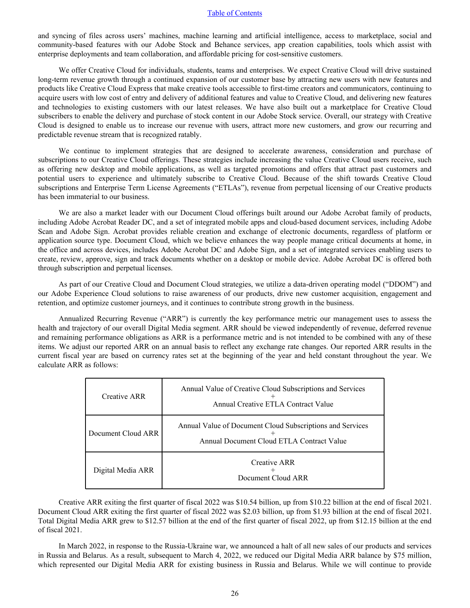and syncing of files across users' machines, machine learning and artificial intelligence, access to marketplace, social and community-based features with our Adobe Stock and Behance services, app creation capabilities, tools which assist with enterprise deployments and team collaboration, and affordable pricing for cost-sensitive customers.

We offer Creative Cloud for individuals, students, teams and enterprises. We expect Creative Cloud will drive sustained long-term revenue growth through a continued expansion of our customer base by attracting new users with new features and products like Creative Cloud Express that make creative tools accessible to first-time creators and communicators, continuing to acquire users with low cost of entry and delivery of additional features and value to Creative Cloud, and delivering new features and technologies to existing customers with our latest releases. We have also built out a marketplace for Creative Cloud subscribers to enable the delivery and purchase of stock content in our Adobe Stock service. Overall, our strategy with Creative Cloud is designed to enable us to increase our revenue with users, attract more new customers, and grow our recurring and predictable revenue stream that is recognized ratably.

We continue to implement strategies that are designed to accelerate awareness, consideration and purchase of subscriptions to our Creative Cloud offerings. These strategies include increasing the value Creative Cloud users receive, such as offering new desktop and mobile applications, as well as targeted promotions and offers that attract past customers and potential users to experience and ultimately subscribe to Creative Cloud. Because of the shift towards Creative Cloud subscriptions and Enterprise Term License Agreements ("ETLAs"), revenue from perpetual licensing of our Creative products has been immaterial to our business.

We are also a market leader with our Document Cloud offerings built around our Adobe Acrobat family of products, including Adobe Acrobat Reader DC, and a set of integrated mobile apps and cloud-based document services, including Adobe Scan and Adobe Sign. Acrobat provides reliable creation and exchange of electronic documents, regardless of platform or application source type. Document Cloud, which we believe enhances the way people manage critical documents at home, in the office and across devices, includes Adobe Acrobat DC and Adobe Sign, and a set of integrated services enabling users to create, review, approve, sign and track documents whether on a desktop or mobile device. Adobe Acrobat DC is offered both through subscription and perpetual licenses.

As part of our Creative Cloud and Document Cloud strategies, we utilize a data-driven operating model ("DDOM") and our Adobe Experience Cloud solutions to raise awareness of our products, drive new customer acquisition, engagement and retention, and optimize customer journeys, and it continues to contribute strong growth in the business.

Annualized Recurring Revenue ("ARR") is currently the key performance metric our management uses to assess the health and trajectory of our overall Digital Media segment. ARR should be viewed independently of revenue, deferred revenue and remaining performance obligations as ARR is a performance metric and is not intended to be combined with any of these items. We adjust our reported ARR on an annual basis to reflect any exchange rate changes. Our reported ARR results in the current fiscal year are based on currency rates set at the beginning of the year and held constant throughout the year. We calculate ARR as follows:

| Creative ARR       | Annual Value of Creative Cloud Subscriptions and Services<br>Annual Creative ETLA Contract Value       |
|--------------------|--------------------------------------------------------------------------------------------------------|
| Document Cloud ARR | Annual Value of Document Cloud Subscriptions and Services<br>Annual Document Cloud ETLA Contract Value |
| Digital Media ARR  | Creative ARR<br>Document Cloud ARR                                                                     |

Creative ARR exiting the first quarter of fiscal 2022 was \$10.54 billion, up from \$10.22 billion at the end of fiscal 2021. Document Cloud ARR exiting the first quarter of fiscal 2022 was \$2.03 billion, up from \$1.93 billion at the end of fiscal 2021. Total Digital Media ARR grew to \$12.57 billion at the end of the first quarter of fiscal 2022, up from \$12.15 billion at the end of fiscal 2021.

In March 2022, in response to the Russia-Ukraine war, we announced a halt of all new sales of our products and services in Russia and Belarus. As a result, subsequent to March 4, 2022, we reduced our Digital Media ARR balance by \$75 million, which represented our Digital Media ARR for existing business in Russia and Belarus. While we will continue to provide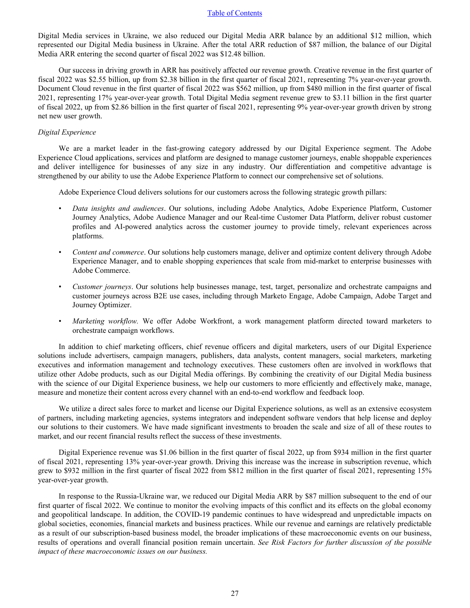Digital Media services in Ukraine, we also reduced our Digital Media ARR balance by an additional \$12 million, which represented our Digital Media business in Ukraine. After the total ARR reduction of \$87 million, the balance of our Digital Media ARR entering the second quarter of fiscal 2022 was \$12.48 billion.

Our success in driving growth in ARR has positively affected our revenue growth. Creative revenue in the first quarter of fiscal 2022 was \$2.55 billion, up from \$2.38 billion in the first quarter of fiscal 2021, representing 7% year-over-year growth. Document Cloud revenue in the first quarter of fiscal 2022 was \$562 million, up from \$480 million in the first quarter of fiscal 2021, representing 17% year-over-year growth. Total Digital Media segment revenue grew to \$3.11 billion in the first quarter of fiscal 2022, up from \$2.86 billion in the first quarter of fiscal 2021, representing 9% year-over-year growth driven by strong net new user growth.

#### *Digital Experience*

We are a market leader in the fast-growing category addressed by our Digital Experience segment. The Adobe Experience Cloud applications, services and platform are designed to manage customer journeys, enable shoppable experiences and deliver intelligence for businesses of any size in any industry. Our differentiation and competitive advantage is strengthened by our ability to use the Adobe Experience Platform to connect our comprehensive set of solutions.

Adobe Experience Cloud delivers solutions for our customers across the following strategic growth pillars:

- *Data insights and audiences*. Our solutions, including Adobe Analytics, Adobe Experience Platform, Customer Journey Analytics, Adobe Audience Manager and our Real-time Customer Data Platform, deliver robust customer profiles and AI-powered analytics across the customer journey to provide timely, relevant experiences across platforms.
- *Content and commerce*. Our solutions help customers manage, deliver and optimize content delivery through Adobe Experience Manager, and to enable shopping experiences that scale from mid-market to enterprise businesses with Adobe Commerce.
- *Customer journeys*. Our solutions help businesses manage, test, target, personalize and orchestrate campaigns and customer journeys across B2E use cases, including through Marketo Engage, Adobe Campaign, Adobe Target and Journey Optimizer.
- *Marketing workflow.* We offer Adobe Workfront, a work management platform directed toward marketers to orchestrate campaign workflows.

In addition to chief marketing officers, chief revenue officers and digital marketers, users of our Digital Experience solutions include advertisers, campaign managers, publishers, data analysts, content managers, social marketers, marketing executives and information management and technology executives. These customers often are involved in workflows that utilize other Adobe products, such as our Digital Media offerings. By combining the creativity of our Digital Media business with the science of our Digital Experience business, we help our customers to more efficiently and effectively make, manage, measure and monetize their content across every channel with an end-to-end workflow and feedback loop.

We utilize a direct sales force to market and license our Digital Experience solutions, as well as an extensive ecosystem of partners, including marketing agencies, systems integrators and independent software vendors that help license and deploy our solutions to their customers. We have made significant investments to broaden the scale and size of all of these routes to market, and our recent financial results reflect the success of these investments.

Digital Experience revenue was \$1.06 billion in the first quarter of fiscal 2022, up from \$934 million in the first quarter of fiscal 2021, representing 13% year-over-year growth. Driving this increase was the increase in subscription revenue, which grew to \$932 million in the first quarter of fiscal 2022 from \$812 million in the first quarter of fiscal 2021, representing 15% year-over-year growth.

In response to the Russia-Ukraine war, we reduced our Digital Media ARR by \$87 million subsequent to the end of our first quarter of fiscal 2022. We continue to monitor the evolving impacts of this conflict and its effects on the global economy and geopolitical landscape. In addition, the COVID-19 pandemic continues to have widespread and unpredictable impacts on global societies, economies, financial markets and business practices. While our revenue and earnings are relatively predictable as a result of our subscription-based business model, the broader implications of these macroeconomic events on our business, results of operations and overall financial position remain uncertain. *[See Risk Factors for further discussion of the possib](#page-37-0)le [impact of these macroeconomic issues on our business.](#page-37-0)*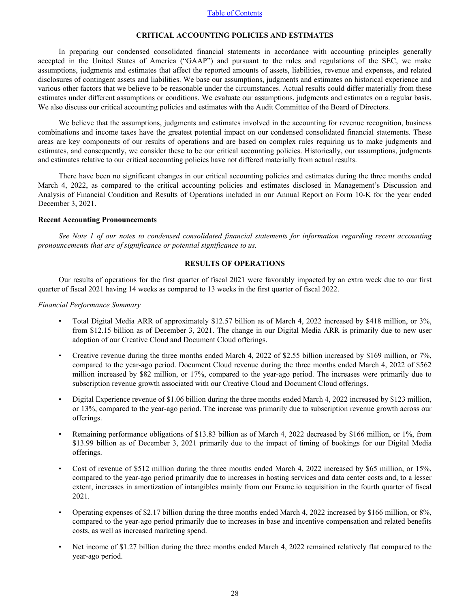### **CRITICAL ACCOUNTING POLICIES AND ESTIMATES**

In preparing our condensed consolidated financial statements in accordance with accounting principles generally accepted in the United States of America ("GAAP") and pursuant to the rules and regulations of the SEC, we make assumptions, judgments and estimates that affect the reported amounts of assets, liabilities, revenue and expenses, and related disclosures of contingent assets and liabilities. We base our assumptions, judgments and estimates on historical experience and various other factors that we believe to be reasonable under the circumstances. Actual results could differ materially from these estimates under different assumptions or conditions. We evaluate our assumptions, judgments and estimates on a regular basis. We also discuss our critical accounting policies and estimates with the Audit Committee of the Board of Directors.

We believe that the assumptions, judgments and estimates involved in the accounting for revenue recognition, business combinations and income taxes have the greatest potential impact on our condensed consolidated financial statements. These areas are key components of our results of operations and are based on complex rules requiring us to make judgments and estimates, and consequently, we consider these to be our critical accounting policies. Historically, our assumptions, judgments and estimates relative to our critical accounting policies have not differed materially from actual results.

There have been no significant changes in our critical accounting policies and estimates during the three months ended March 4, 2022, as compared to the critical accounting policies and estimates disclosed in Management's Discussion and Analysis of Financial Condition and Results of Operations included in our Annual Report on Form 10-K for the year ended December 3, 2021.

#### **Recent Accounting Pronouncements**

*[See Note 1 of our notes to condensed consolidated financial statements for information regarding recent accoun](#page-7-0)ting [pronouncements that are of significance or potential significance to us.](#page-7-0)*

#### **RESULTS OF OPERATIONS**

Our results of operations for the first quarter of fiscal 2021 were favorably impacted by an extra week due to our first quarter of fiscal 2021 having 14 weeks as compared to 13 weeks in the first quarter of fiscal 2022.

#### *Financial Performance Summary*

- Total Digital Media ARR of approximately \$12.57 billion as of March 4, 2022 increased by \$418 million, or 3%, from \$12.15 billion as of December 3, 2021. The change in our Digital Media ARR is primarily due to new user adoption of our Creative Cloud and Document Cloud offerings.
- Creative revenue during the three months ended March 4, 2022 of \$2.55 billion increased by \$169 million, or 7%, compared to the year-ago period. Document Cloud revenue during the three months ended March 4, 2022 of \$562 million increased by \$82 million, or 17%, compared to the year-ago period. The increases were primarily due to subscription revenue growth associated with our Creative Cloud and Document Cloud offerings.
- Digital Experience revenue of \$1.06 billion during the three months ended March 4, 2022 increased by \$123 million, or 13%, compared to the year-ago period. The increase was primarily due to subscription revenue growth across our offerings.
- Remaining performance obligations of \$13.83 billion as of March 4, 2022 decreased by \$166 million, or 1%, from \$13.99 billion as of December 3, 2021 primarily due to the impact of timing of bookings for our Digital Media offerings.
- Cost of revenue of \$512 million during the three months ended March 4, 2022 increased by \$65 million, or 15%, compared to the year-ago period primarily due to increases in hosting services and data center costs and, to a lesser extent, increases in amortization of intangibles mainly from our Frame.io acquisition in the fourth quarter of fiscal 2021.
- Operating expenses of \$2.17 billion during the three months ended March 4, 2022 increased by \$166 million, or 8%, compared to the year-ago period primarily due to increases in base and incentive compensation and related benefits costs, as well as increased marketing spend.
- Net income of \$1.27 billion during the three months ended March 4, 2022 remained relatively flat compared to the year-ago period.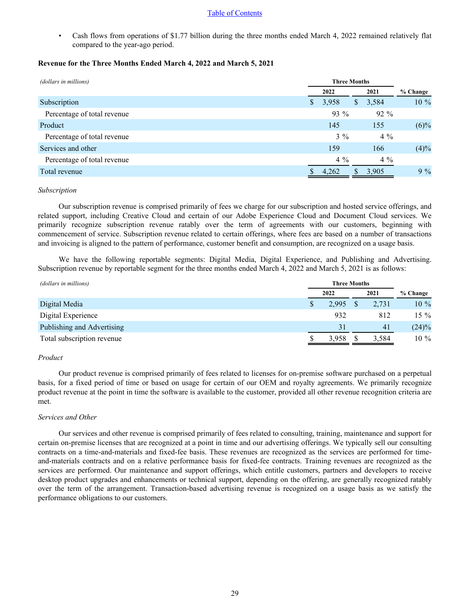• Cash flows from operations of \$1.77 billion during the three months ended March 4, 2022 remained relatively flat compared to the year-ago period.

# **Revenue for the Three Months Ended March 4, 2022 and March 5, 2021**

| (dollars in millions)       | <b>Three Months</b> |        |    |        |          |
|-----------------------------|---------------------|--------|----|--------|----------|
|                             |                     | 2022   |    | 2021   | % Change |
| Subscription                | S.                  | 3,958  | \$ | 3,584  | 10 %     |
| Percentage of total revenue |                     | $93\%$ |    | $92\%$ |          |
| Product                     |                     | 145    |    | 155    | $(6)\%$  |
| Percentage of total revenue |                     | $3\%$  |    | $4\%$  |          |
| Services and other          |                     | 159    |    | 166    | (4)%     |
| Percentage of total revenue |                     | $4\%$  |    | $4\%$  |          |
| Total revenue               |                     | 4,262  | S  | 3,905  | $9\%$    |

## *Subscription*

Our subscription revenue is comprised primarily of fees we charge for our subscription and hosted service offerings, and related support, including Creative Cloud and certain of our Adobe Experience Cloud and Document Cloud services. We primarily recognize subscription revenue ratably over the term of agreements with our customers, beginning with commencement of service. Subscription revenue related to certain offerings, where fees are based on a number of transactions and invoicing is aligned to the pattern of performance, customer benefit and consumption, are recognized on a usage basis.

We have the following reportable segments: Digital Media, Digital Experience, and Publishing and Advertising. Subscription revenue by reportable segment for the three months ended March 4, 2022 and March 5, 2021 is as follows:

| (dollars in millions)      | <b>Three Months</b> |       |          |  |
|----------------------------|---------------------|-------|----------|--|
|                            | 2022                | 2021  | % Change |  |
| Digital Media              | 2.995               | 2,731 | $10\%$   |  |
| Digital Experience         | 932                 | 812   | 15 %     |  |
| Publishing and Advertising | 31                  | 41    | $(24)\%$ |  |
| Total subscription revenue | 3,958               | 3,584 | 10 %     |  |

## *Product*

Our product revenue is comprised primarily of fees related to licenses for on-premise software purchased on a perpetual basis, for a fixed period of time or based on usage for certain of our OEM and royalty agreements. We primarily recognize product revenue at the point in time the software is available to the customer, provided all other revenue recognition criteria are met.

## *Services and Other*

Our services and other revenue is comprised primarily of fees related to consulting, training, maintenance and support for certain on-premise licenses that are recognized at a point in time and our advertising offerings. We typically sell our consulting contracts on a time-and-materials and fixed-fee basis. These revenues are recognized as the services are performed for timeand-materials contracts and on a relative performance basis for fixed-fee contracts. Training revenues are recognized as the services are performed. Our maintenance and support offerings, which entitle customers, partners and developers to receive desktop product upgrades and enhancements or technical support, depending on the offering, are generally recognized ratably over the term of the arrangement. Transaction-based advertising revenue is recognized on a usage basis as we satisfy the performance obligations to our customers.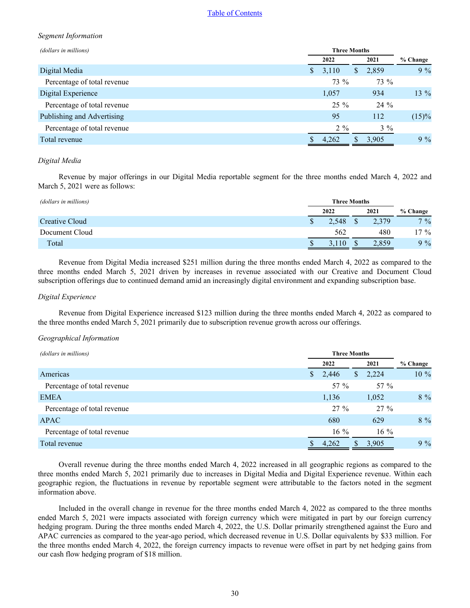## *Segment Information*

| (dollars in millions)       | <b>Three Months</b> |             |          |
|-----------------------------|---------------------|-------------|----------|
|                             | 2022                | 2021        | % Change |
| Digital Media               | 3,110<br>S.         | 2,859<br>\$ | $9\%$    |
| Percentage of total revenue | 73 %                | 73 %        |          |
| Digital Experience          | 1,057               | 934         | $13\%$   |
| Percentage of total revenue | $25\%$              | 24 %        |          |
| Publishing and Advertising  | 95                  | 112         | $(15)\%$ |
| Percentage of total revenue | $2\%$               | $3\%$       |          |
| Total revenue               | 4,262               | 3,905<br>S  | $9\%$    |

## *Digital Media*

Revenue by major offerings in our Digital Media reportable segment for the three months ended March 4, 2022 and March 5, 2021 were as follows:

| (dollars in millions) |       | <b>Three Months</b> |       |          |
|-----------------------|-------|---------------------|-------|----------|
|                       | 2022  |                     | 2021  | % Change |
| Creative Cloud        | 2,548 |                     | 2,379 | $7\%$    |
| Document Cloud        | 562   |                     | 480   | $17 \%$  |
| Total                 | 10    |                     | 2.859 | 9%       |

Revenue from Digital Media increased \$251 million during the three months ended March 4, 2022 as compared to the three months ended March 5, 2021 driven by increases in revenue associated with our Creative and Document Cloud subscription offerings due to continued demand amid an increasingly digital environment and expanding subscription base.

### *Digital Experience*

Revenue from Digital Experience increased \$123 million during the three months ended March 4, 2022 as compared to the three months ended March 5, 2021 primarily due to subscription revenue growth across our offerings.

#### *Geographical Information*

| (dollars in millions)       |                       | <b>Three Months</b>    |          |  |  |  |
|-----------------------------|-----------------------|------------------------|----------|--|--|--|
|                             | 2022                  | 2021                   | % Change |  |  |  |
| Americas                    | 2,446<br><sup>S</sup> | 2,224<br>\$            | 10 %     |  |  |  |
| Percentage of total revenue | 57 %                  | 57 $%$                 |          |  |  |  |
| <b>EMEA</b>                 | 1,136                 | 1,052                  | $8\%$    |  |  |  |
| Percentage of total revenue | $27\%$                | $27\%$                 |          |  |  |  |
| <b>APAC</b>                 | 680                   | 629                    | $8\%$    |  |  |  |
| Percentage of total revenue | $16\%$                | $16\%$                 |          |  |  |  |
| Total revenue               | 4,262                 | 3,905<br><sup>\$</sup> | $9\%$    |  |  |  |

Overall revenue during the three months ended March 4, 2022 increased in all geographic regions as compared to the three months ended March 5, 2021 primarily due to increases in Digital Media and Digital Experience revenue. Within each geographic region, the fluctuations in revenue by reportable segment were attributable to the factors noted in the segment information above.

Included in the overall change in revenue for the three months ended March 4, 2022 as compared to the three months ended March 5, 2021 were impacts associated with foreign currency which were mitigated in part by our foreign currency hedging program. During the three months ended March 4, 2022, the U.S. Dollar primarily strengthened against the Euro and APAC currencies as compared to the year-ago period, which decreased revenue in U.S. Dollar equivalents by \$33 million. For the three months ended March 4, 2022, the foreign currency impacts to revenue were offset in part by net hedging gains from our cash flow hedging program of \$18 million.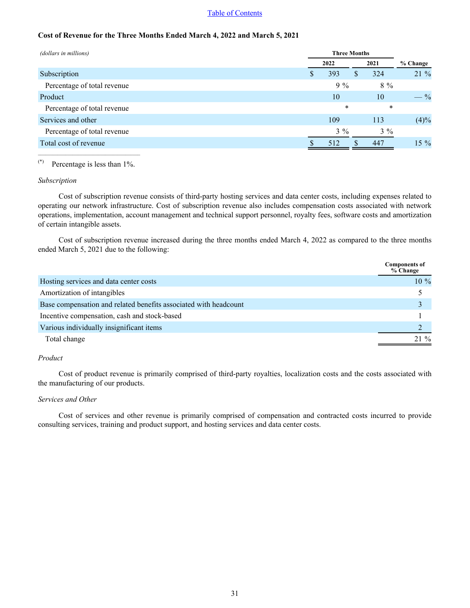# **Cost of Revenue for the Three Months Ended March 4, 2022 and March 5, 2021**

| (dollars in millions)       |          | <b>Three Months</b> |                 |  |  |  |  |
|-----------------------------|----------|---------------------|-----------------|--|--|--|--|
|                             | 2022     | 2021                | % Change        |  |  |  |  |
| Subscription                | 393<br>S | 324<br>\$           | 21 %            |  |  |  |  |
| Percentage of total revenue | $9\%$    | $8\%$               |                 |  |  |  |  |
| Product                     | 10       | 10                  | $- \frac{9}{6}$ |  |  |  |  |
| Percentage of total revenue | $\ast$   | $\ast$              |                 |  |  |  |  |
| Services and other          | 109      | 113                 | (4)%            |  |  |  |  |
| Percentage of total revenue | $3\%$    | $3\%$               |                 |  |  |  |  |
| Total cost of revenue       | 512      | 447<br>\$           | $15 \%$         |  |  |  |  |

# (\*) Percentage is less than 1%.

#### *Subscription*

Cost of subscription revenue consists of third-party hosting services and data center costs, including expenses related to operating our network infrastructure. Cost of subscription revenue also includes compensation costs associated with network operations, implementation, account management and technical support personnel, royalty fees, software costs and amortization of certain intangible assets.

Cost of subscription revenue increased during the three months ended March 4, 2022 as compared to the three months ended March 5, 2021 due to the following:

|                                                                  | <b>Components of</b><br>% Change |
|------------------------------------------------------------------|----------------------------------|
| Hosting services and data center costs                           | $10\%$                           |
| Amortization of intangibles                                      |                                  |
| Base compensation and related benefits associated with headcount |                                  |
| Incentive compensation, cash and stock-based                     |                                  |
| Various individually insignificant items                         |                                  |
| Total change                                                     | $21\%$                           |

# *Product*

Cost of product revenue is primarily comprised of third-party royalties, localization costs and the costs associated with the manufacturing of our products.

#### *Services and Other*

Cost of services and other revenue is primarily comprised of compensation and contracted costs incurred to provide consulting services, training and product support, and hosting services and data center costs.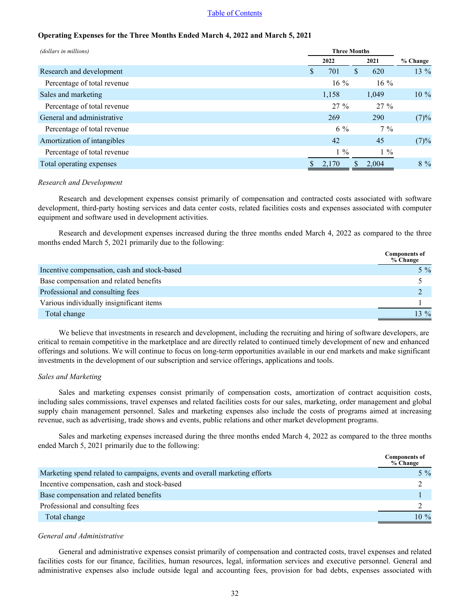# **Operating Expenses for the Three Months Ended March 4, 2022 and March 5, 2021**

| (dollars in millions)       |          | <b>Three Months</b> |          |  |
|-----------------------------|----------|---------------------|----------|--|
|                             | 2022     | 2021                | % Change |  |
| Research and development    | 701<br>S | \$<br>620           | $13\%$   |  |
| Percentage of total revenue | $16\%$   | $16\%$              |          |  |
| Sales and marketing         | 1,158    | 1,049               | $10\%$   |  |
| Percentage of total revenue | $27\%$   | $27\%$              |          |  |
| General and administrative  | 269      | <b>290</b>          | (7)%     |  |
| Percentage of total revenue | $6\%$    | $7\%$               |          |  |
| Amortization of intangibles | 42       | 45                  | (7)%     |  |
| Percentage of total revenue | $1\%$    | $1\%$               |          |  |
| Total operating expenses    | 2,170    | \$<br>2,004         | $8\%$    |  |

#### *Research and Development*

Research and development expenses consist primarily of compensation and contracted costs associated with software development, third-party hosting services and data center costs, related facilities costs and expenses associated with computer equipment and software used in development activities.

Research and development expenses increased during the three months ended March 4, 2022 as compared to the three months ended March 5, 2021 primarily due to the following:

|                                              | <b>Components of</b><br>% Change |
|----------------------------------------------|----------------------------------|
| Incentive compensation, cash and stock-based | $5\%$                            |
| Base compensation and related benefits       |                                  |
| Professional and consulting fees             |                                  |
| Various individually insignificant items     |                                  |
| Total change                                 | $13\%$                           |

We believe that investments in research and development, including the recruiting and hiring of software developers, are critical to remain competitive in the marketplace and are directly related to continued timely development of new and enhanced offerings and solutions. We will continue to focus on long-term opportunities available in our end markets and make significant investments in the development of our subscription and service offerings, applications and tools.

## *Sales and Marketing*

Sales and marketing expenses consist primarily of compensation costs, amortization of contract acquisition costs, including sales commissions, travel expenses and related facilities costs for our sales, marketing, order management and global supply chain management personnel. Sales and marketing expenses also include the costs of programs aimed at increasing revenue, such as advertising, trade shows and events, public relations and other market development programs.

Sales and marketing expenses increased during the three months ended March 4, 2022 as compared to the three months ended March 5, 2021 primarily due to the following:

|                                                                            | <b>Components of</b><br>% Change |
|----------------------------------------------------------------------------|----------------------------------|
| Marketing spend related to campaigns, events and overall marketing efforts | $5\%$                            |
| Incentive compensation, cash and stock-based                               |                                  |
| Base compensation and related benefits                                     |                                  |
| Professional and consulting fees                                           |                                  |
| Total change                                                               | $10\%$                           |

## *General and Administrative*

General and administrative expenses consist primarily of compensation and contracted costs, travel expenses and related facilities costs for our finance, facilities, human resources, legal, information services and executive personnel. General and administrative expenses also include outside legal and accounting fees, provision for bad debts, expenses associated with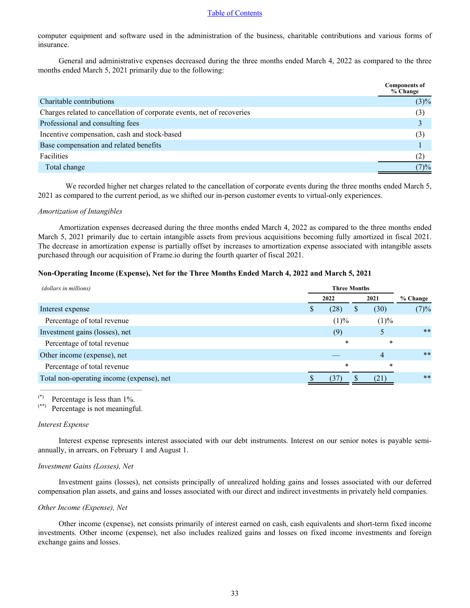computer equipment and software used in the administration of the business, charitable contributions and various forms of insurance.

General and administrative expenses decreased during the three months ended March 4, 2022 as compared to the three months ended March 5, 2021 primarily due to the following:

|                                                                        | <b>Components of</b><br>% Change |
|------------------------------------------------------------------------|----------------------------------|
| Charitable contributions                                               | $(3)\%$                          |
| Charges related to cancellation of corporate events, net of recoveries | (3)                              |
| Professional and consulting fees                                       |                                  |
| Incentive compensation, cash and stock-based                           | (3)                              |
| Base compensation and related benefits                                 |                                  |
| Facilities                                                             | (2)                              |
| Total change                                                           | $(7) \%$                         |

We recorded higher net charges related to the cancellation of corporate events during the three months ended March 5, 2021 as compared to the current period, as we shifted our in-person customer events to virtual-only experiences.

#### *Amortization of Intangibles*

Amortization expenses decreased during the three months ended March 4, 2022 as compared to the three months ended March 5, 2021 primarily due to certain intangible assets from previous acquisitions becoming fully amortized in fiscal 2021. The decrease in amortization expense is partially offset by increases to amortization expense associated with intangible assets purchased through our acquisition of Frame.io during the fourth quarter of fiscal 2021.

#### **Non-Operating Income (Expense), Net for the Three Months Ended March 4, 2022 and March 5, 2021**

| (dollars in millions)                     | <b>Three Months</b> |        |               |        |          |
|-------------------------------------------|---------------------|--------|---------------|--------|----------|
|                                           |                     | 2022   |               | 2021   | % Change |
| Interest expense                          | D                   | (28)   | <sup>\$</sup> | (30)   | (7)%     |
| Percentage of total revenue               |                     | (1)%   |               | (1)%   |          |
| Investment gains (losses), net            |                     | (9)    |               |        | $***$    |
| Percentage of total revenue               |                     | $\ast$ |               | $\ast$ |          |
| Other income (expense), net               |                     |        |               | 4      | $***$    |
| Percentage of total revenue               |                     | $\ast$ |               | $\ast$ |          |
| Total non-operating income (expense), net |                     |        |               |        | $***$    |
|                                           |                     |        |               |        |          |

(\*) Percentage is less than 1%.<br>(\*\*) Percentage is not meaning

Percentage is not meaningful.

#### *Interest Expense*

Interest expense represents interest associated with our debt instruments. Interest on our senior notes is payable semiannually, in arrears, on February 1 and August 1.

#### *Investment Gains (Losses), Net*

Investment gains (losses), net consists principally of unrealized holding gains and losses associated with our deferred compensation plan assets, and gains and losses associated with our direct and indirect investments in privately held companies.

#### *Other Income (Expense), Net*

Other income (expense), net consists primarily of interest earned on cash, cash equivalents and short-term fixed income investments. Other income (expense), net also includes realized gains and losses on fixed income investments and foreign exchange gains and losses.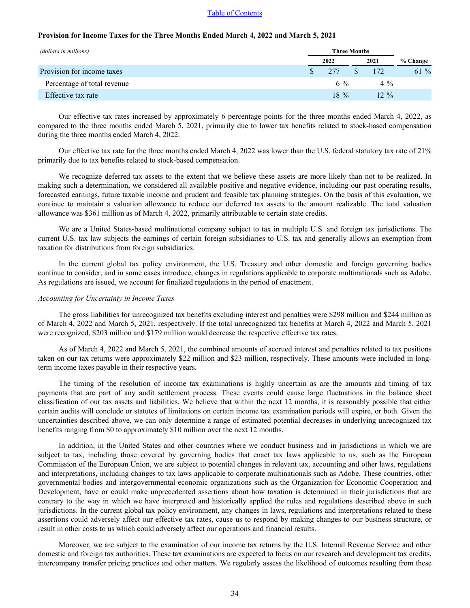#### **Provision for Income Taxes for the Three Months Ended March 4, 2022 and March 5, 2021**

| (dollars in millions)       |        | <b>Three Months</b> |          |  |
|-----------------------------|--------|---------------------|----------|--|
|                             | 2022   | 2021                | % Change |  |
| Provision for income taxes  | 277    | 172                 | $61\%$   |  |
| Percentage of total revenue | 6 %    | $4\%$               |          |  |
| Effective tax rate          | $18\%$ | $12\%$              |          |  |

Our effective tax rates increased by approximately 6 percentage points for the three months ended March 4, 2022, as compared to the three months ended March 5, 2021, primarily due to lower tax benefits related to stock-based compensation during the three months ended March 4, 2022.

Our effective tax rate for the three months ended March 4, 2022 was lower than the U.S. federal statutory tax rate of 21% primarily due to tax benefits related to stock-based compensation.

We recognize deferred tax assets to the extent that we believe these assets are more likely than not to be realized. In making such a determination, we considered all available positive and negative evidence, including our past operating results, forecasted earnings, future taxable income and prudent and feasible tax planning strategies. On the basis of this evaluation, we continue to maintain a valuation allowance to reduce our deferred tax assets to the amount realizable. The total valuation allowance was \$361 million as of March 4, 2022, primarily attributable to certain state credits.

We are a United States-based multinational company subject to tax in multiple U.S. and foreign tax jurisdictions. The current U.S. tax law subjects the earnings of certain foreign subsidiaries to U.S. tax and generally allows an exemption from taxation for distributions from foreign subsidiaries.

In the current global tax policy environment, the U.S. Treasury and other domestic and foreign governing bodies continue to consider, and in some cases introduce, changes in regulations applicable to corporate multinationals such as Adobe. As regulations are issued, we account for finalized regulations in the period of enactment.

#### *Accounting for Uncertainty in Income Taxes*

The gross liabilities for unrecognized tax benefits excluding interest and penalties were \$298 million and \$244 million as of March 4, 2022 and March 5, 2021, respectively. If the total unrecognized tax benefits at March 4, 2022 and March 5, 2021 were recognized, \$203 million and \$179 million would decrease the respective effective tax rates.

As of March 4, 2022 and March 5, 2021, the combined amounts of accrued interest and penalties related to tax positions taken on our tax returns were approximately \$22 million and \$23 million, respectively. These amounts were included in longterm income taxes payable in their respective years.

The timing of the resolution of income tax examinations is highly uncertain as are the amounts and timing of tax payments that are part of any audit settlement process. These events could cause large fluctuations in the balance sheet classification of our tax assets and liabilities. We believe that within the next 12 months, it is reasonably possible that either certain audits will conclude or statutes of limitations on certain income tax examination periods will expire, or both. Given the uncertainties described above, we can only determine a range of estimated potential decreases in underlying unrecognized tax benefits ranging from \$0 to approximately \$10 million over the next 12 months.

In addition, in the United States and other countries where we conduct business and in jurisdictions in which we are subject to tax, including those covered by governing bodies that enact tax laws applicable to us, such as the European Commission of the European Union, we are subject to potential changes in relevant tax, accounting and other laws, regulations and interpretations, including changes to tax laws applicable to corporate multinationals such as Adobe. These countries, other governmental bodies and intergovernmental economic organizations such as the Organization for Economic Cooperation and Development, have or could make unprecedented assertions about how taxation is determined in their jurisdictions that are contrary to the way in which we have interpreted and historically applied the rules and regulations described above in such jurisdictions. In the current global tax policy environment, any changes in laws, regulations and interpretations related to these assertions could adversely affect our effective tax rates, cause us to respond by making changes to our business structure, or result in other costs to us which could adversely affect our operations and financial results.

Moreover, we are subject to the examination of our income tax returns by the U.S. Internal Revenue Service and other domestic and foreign tax authorities. These tax examinations are expected to focus on our research and development tax credits, intercompany transfer pricing practices and other matters. We regularly assess the likelihood of outcomes resulting from these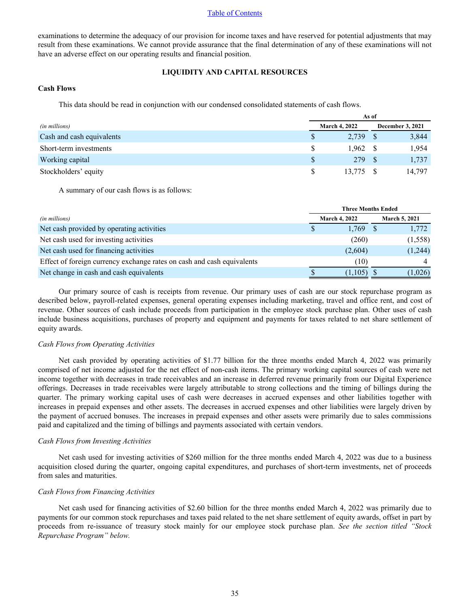examinations to determine the adequacy of our provision for income taxes and have reserved for potential adjustments that may result from these examinations. We cannot provide assurance that the final determination of any of these examinations will not have an adverse effect on our operating results and financial position.

# **LIQUIDITY AND CAPITAL RESOURCES**

# **Cash Flows**

This data should be read in conjunction with our condensed consolidated statements of cash flows.

|                           |   | As of                |  |                         |  |
|---------------------------|---|----------------------|--|-------------------------|--|
| (in millions)             |   | <b>March 4, 2022</b> |  | <b>December 3, 2021</b> |  |
| Cash and cash equivalents | S | 2.739                |  | 3,844                   |  |
| Short-term investments    |   | 1,962                |  | 1,954                   |  |
| Working capital           |   | 279                  |  | 1,737                   |  |
| Stockholders' equity      |   | 13,775               |  | 14,797                  |  |

A summary of our cash flows is as follows:

|                                                                        | <b>Three Months Ended</b> |                      |  |                      |
|------------------------------------------------------------------------|---------------------------|----------------------|--|----------------------|
| (in millions)                                                          |                           | <b>March 4, 2022</b> |  | <b>March 5, 2021</b> |
| Net cash provided by operating activities                              |                           | 1.769                |  | 1,772                |
| Net cash used for investing activities                                 |                           | (260)                |  | (1,558)              |
| Net cash used for financing activities                                 |                           | (2,604)              |  | (1,244)              |
| Effect of foreign currency exchange rates on cash and cash equivalents |                           | (10)                 |  |                      |
| Net change in cash and cash equivalents                                |                           | (1,105)              |  | 1,026)               |

Our primary source of cash is receipts from revenue. Our primary uses of cash are our stock repurchase program as described below, payroll-related expenses, general operating expenses including marketing, travel and office rent, and cost of revenue. Other sources of cash include proceeds from participation in the employee stock purchase plan. Other uses of cash include business acquisitions, purchases of property and equipment and payments for taxes related to net share settlement of equity awards.

#### *Cash Flows from Operating Activities*

Net cash provided by operating activities of \$1.77 billion for the three months ended March 4, 2022 was primarily comprised of net income adjusted for the net effect of non-cash items. The primary working capital sources of cash were net income together with decreases in trade receivables and an increase in deferred revenue primarily from our Digital Experience offerings. Decreases in trade receivables were largely attributable to strong collections and the timing of billings during the quarter. The primary working capital uses of cash were decreases in accrued expenses and other liabilities together with increases in prepaid expenses and other assets. The decreases in accrued expenses and other liabilities were largely driven by the payment of accrued bonuses. The increases in prepaid expenses and other assets were primarily due to sales commissions paid and capitalized and the timing of billings and payments associated with certain vendors.

#### *Cash Flows from Investing Activities*

Net cash used for investing activities of \$260 million for the three months ended March 4, 2022 was due to a business acquisition closed during the quarter, ongoing capital expenditures, and purchases of short-term investments, net of proceeds from sales and maturities.

#### *Cash Flows from Financing Activities*

Net cash used for financing activities of \$2.60 billion for the three months ended March 4, 2022 was primarily due to payments for our common stock repurchases and taxes paid related to the net share settlement of equity awards, offset in part by proceeds from re-issuance of treasury stock mainly for our employee stock purchase plan. *See the section titled "Stock Repurchase Program" below.*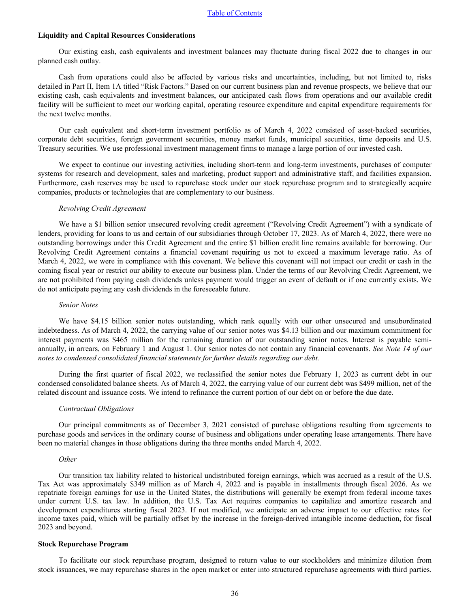### **Liquidity and Capital Resources Considerations**

Our existing cash, cash equivalents and investment balances may fluctuate during fiscal 2022 due to changes in our planned cash outlay.

Cash from operations could also be affected by various risks and uncertainties, including, but not limited to, risks detailed in Part II, Item 1A titled "Risk Factors." Based on our current business plan and revenue prospects, we believe that our existing cash, cash equivalents and investment balances, our anticipated cash flows from operations and our available credit facility will be sufficient to meet our working capital, operating resource expenditure and capital expenditure requirements for the next twelve months.

Our cash equivalent and short-term investment portfolio as of March 4, 2022 consisted of asset-backed securities, corporate debt securities, foreign government securities, money market funds, municipal securities, time deposits and U.S. Treasury securities. We use professional investment management firms to manage a large portion of our invested cash.

We expect to continue our investing activities, including short-term and long-term investments, purchases of computer systems for research and development, sales and marketing, product support and administrative staff, and facilities expansion. Furthermore, cash reserves may be used to repurchase stock under our stock repurchase program and to strategically acquire companies, products or technologies that are complementary to our business.

#### *Revolving Credit Agreement*

We have a \$1 billion senior unsecured revolving credit agreement ("Revolving Credit Agreement") with a syndicate of lenders, providing for loans to us and certain of our subsidiaries through October 17, 2023. As of March 4, 2022, there were no outstanding borrowings under this Credit Agreement and the entire \$1 billion credit line remains available for borrowing. Our Revolving Credit Agreement contains a financial covenant requiring us not to exceed a maximum leverage ratio. As of March 4, 2022, we were in compliance with this covenant. We believe this covenant will not impact our credit or cash in the coming fiscal year or restrict our ability to execute our business plan. Under the terms of our Revolving Credit Agreement, we are not prohibited from paying cash dividends unless payment would trigger an event of default or if one currently exists. We do not anticipate paying any cash dividends in the foreseeable future.

#### *Senior Notes*

We have \$4.15 billion senior notes outstanding, which rank equally with our other unsecured and unsubordinated indebtedness. As of March 4, 2022, the carrying value of our senior notes was \$4.13 billion and our maximum commitment for interest payments was \$465 million for the remaining duration of our outstanding senior notes. Interest is payable semiannually, in arrears, on February 1 and August 1. Our senior notes do not contain any financial covenants. *[See Note 14 of our](#page-22-0)  [notes to condensed consolidated financial statements for further details regarding our debt.](#page-22-0)*

During the first quarter of fiscal 2022, we reclassified the senior notes due February 1, 2023 as current debt in our condensed consolidated balance sheets. As of March 4, 2022, the carrying value of our current debt was \$499 million, net of the related discount and issuance costs. We intend to refinance the current portion of our debt on or before the due date.

#### *Contractual Obligations*

Our principal commitments as of December 3, 2021 consisted of purchase obligations resulting from agreements to purchase goods and services in the ordinary course of business and obligations under operating lease arrangements. There have been no material changes in those obligations during the three months ended March 4, 2022.

#### *Other*

Our transition tax liability related to historical undistributed foreign earnings, which was accrued as a result of the U.S. Tax Act was approximately \$349 million as of March 4, 2022 and is payable in installments through fiscal 2026. As we repatriate foreign earnings for use in the United States, the distributions will generally be exempt from federal income taxes under current U.S. tax law. In addition, the U.S. Tax Act requires companies to capitalize and amortize research and development expenditures starting fiscal 2023. If not modified, we anticipate an adverse impact to our effective rates for income taxes paid, which will be partially offset by the increase in the foreign-derived intangible income deduction, for fiscal 2023 and beyond.

### **Stock Repurchase Program**

To facilitate our stock repurchase program, designed to return value to our stockholders and minimize dilution from stock issuances, we may repurchase shares in the open market or enter into structured repurchase agreements with third parties.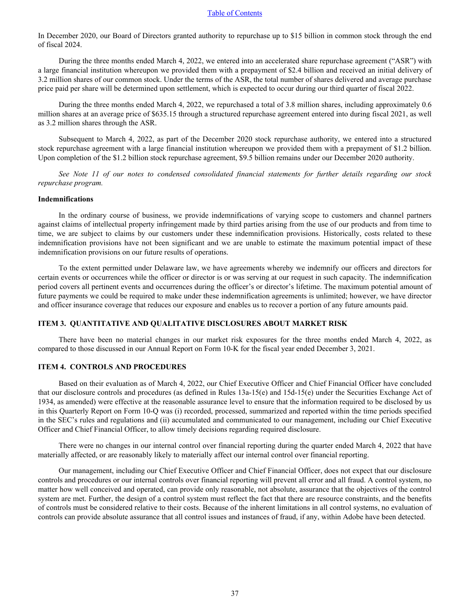<span id="page-36-0"></span>In December 2020, our Board of Directors granted authority to repurchase up to \$15 billion in common stock through the end of fiscal 2024.

During the three months ended March 4, 2022, we entered into an accelerated share repurchase agreement ("ASR") with a large financial institution whereupon we provided them with a prepayment of \$2.4 billion and received an initial delivery of 3.2 million shares of our common stock. Under the terms of the ASR, the total number of shares delivered and average purchase price paid per share will be determined upon settlement, which is expected to occur during our third quarter of fiscal 2022.

During the three months ended March 4, 2022, we repurchased a total of 3.8 million shares, including approximately 0.6 million shares at an average price of \$635.15 through a structured repurchase agreement entered into during fiscal 2021, as well as 3.2 million shares through the ASR.

Subsequent to March 4, 2022, as part of the December 2020 stock repurchase authority, we entered into a structured stock repurchase agreement with a large financial institution whereupon we provided them with a prepayment of \$1.2 billion. Upon completion of the \$1.2 billion stock repurchase agreement, \$9.5 billion remains under our December 2020 authority.

*[See Note 11 of our notes to condensed consolidated financial statements for further details regarding o](#page-19-0)ur stock [repurchase program.](#page-19-0)*

# **Indemnifications**

In the ordinary course of business, we provide indemnifications of varying scope to customers and channel partners against claims of intellectual property infringement made by third parties arising from the use of our products and from time to time, we are subject to claims by our customers under these indemnification provisions. Historically, costs related to these indemnification provisions have not been significant and we are unable to estimate the maximum potential impact of these indemnification provisions on our future results of operations.

To the extent permitted under Delaware law, we have agreements whereby we indemnify our officers and directors for certain events or occurrences while the officer or director is or was serving at our request in such capacity. The indemnification period covers all pertinent events and occurrences during the officer's or director's lifetime. The maximum potential amount of future payments we could be required to make under these indemnification agreements is unlimited; however, we have director and officer insurance coverage that reduces our exposure and enables us to recover a portion of any future amounts paid.

#### **ITEM 3. QUANTITATIVE AND QUALITATIVE DISCLOSURES ABOUT MARKET RISK**

There have been no material changes in our market risk exposures for the three months ended March 4, 2022, as compared to those discussed in our Annual Report on Form 10-K for the fiscal year ended December 3, 2021.

## **ITEM 4. CONTROLS AND PROCEDURES**

Based on their evaluation as of March 4, 2022, our Chief Executive Officer and Chief Financial Officer have concluded that our disclosure controls and procedures (as defined in Rules 13a-15(e) and 15d-15(e) under the Securities Exchange Act of 1934, as amended) were effective at the reasonable assurance level to ensure that the information required to be disclosed by us in this Quarterly Report on Form 10-Q was (i) recorded, processed, summarized and reported within the time periods specified in the SEC's rules and regulations and (ii) accumulated and communicated to our management, including our Chief Executive Officer and Chief Financial Officer, to allow timely decisions regarding required disclosure.

There were no changes in our internal control over financial reporting during the quarter ended March 4, 2022 that have materially affected, or are reasonably likely to materially affect our internal control over financial reporting.

Our management, including our Chief Executive Officer and Chief Financial Officer, does not expect that our disclosure controls and procedures or our internal controls over financial reporting will prevent all error and all fraud. A control system, no matter how well conceived and operated, can provide only reasonable, not absolute, assurance that the objectives of the control system are met. Further, the design of a control system must reflect the fact that there are resource constraints, and the benefits of controls must be considered relative to their costs. Because of the inherent limitations in all control systems, no evaluation of controls can provide absolute assurance that all control issues and instances of fraud, if any, within Adobe have been detected.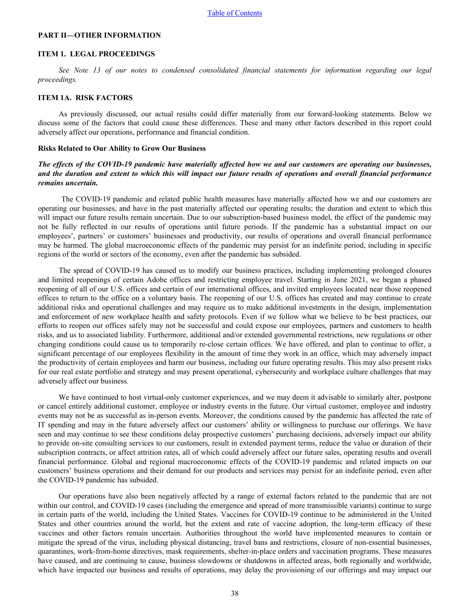## <span id="page-37-0"></span>**PART II—OTHER INFORMATION**

#### **ITEM 1. LEGAL PROCEEDINGS**

*[See Note 13 of our notes to condensed consolidated financial statements for information regarding](#page-20-0) our legal [proceedings.](#page-20-0)*

# **ITEM 1A. RISK FACTORS**

As previously discussed, our actual results could differ materially from our forward-looking statements. Below we discuss some of the factors that could cause these differences. These and many other factors described in this report could adversely affect our operations, performance and financial condition.

#### **Risks Related to Our Ability to Grow Our Business**

# *The effects of the COVID-19 pandemic have materially affected how we and our customers are operating our businesses, and the duration and extent to which this will impact our future results of operations and overall financial performance remains uncertain.*

 The COVID-19 pandemic and related public health measures have materially affected how we and our customers are operating our businesses, and have in the past materially affected our operating results; the duration and extent to which this will impact our future results remain uncertain. Due to our subscription-based business model, the effect of the pandemic may not be fully reflected in our results of operations until future periods. If the pandemic has a substantial impact on our employees', partners' or customers' businesses and productivity, our results of operations and overall financial performance may be harmed. The global macroeconomic effects of the pandemic may persist for an indefinite period, including in specific regions of the world or sectors of the economy, even after the pandemic has subsided.

The spread of COVID-19 has caused us to modify our business practices, including implementing prolonged closures and limited reopenings of certain Adobe offices and restricting employee travel. Starting in June 2021, we began a phased reopening of all of our U.S. offices and certain of our international offices, and invited employees located near those reopened offices to return to the office on a voluntary basis. The reopening of our U.S. offices has created and may continue to create additional risks and operational challenges and may require us to make additional investments in the design, implementation and enforcement of new workplace health and safety protocols. Even if we follow what we believe to be best practices, our efforts to reopen our offices safely may not be successful and could expose our employees, partners and customers to health risks, and us to associated liability. Furthermore, additional and/or extended governmental restrictions, new regulations or other changing conditions could cause us to temporarily re-close certain offices. We have offered, and plan to continue to offer, a significant percentage of our employees flexibility in the amount of time they work in an office, which may adversely impact the productivity of certain employees and harm our business, including our future operating results. This may also present risks for our real estate portfolio and strategy and may present operational, cybersecurity and workplace culture challenges that may adversely affect our business.

We have continued to host virtual-only customer experiences, and we may deem it advisable to similarly alter, postpone or cancel entirely additional customer, employee or industry events in the future. Our virtual customer, employee and industry events may not be as successful as in-person events. Moreover, the conditions caused by the pandemic has affected the rate of IT spending and may in the future adversely affect our customers' ability or willingness to purchase our offerings. We have seen and may continue to see these conditions delay prospective customers' purchasing decisions, adversely impact our ability to provide on-site consulting services to our customers, result in extended payment terms, reduce the value or duration of their subscription contracts, or affect attrition rates, all of which could adversely affect our future sales, operating results and overall financial performance. Global and regional macroeconomic effects of the COVID-19 pandemic and related impacts on our customers' business operations and their demand for our products and services may persist for an indefinite period, even after the COVID-19 pandemic has subsided.

Our operations have also been negatively affected by a range of external factors related to the pandemic that are not within our control, and COVID-19 cases (including the emergence and spread of more transmissible variants) continue to surge in certain parts of the world, including the United States. Vaccines for COVID-19 continue to be administered in the United States and other countries around the world, but the extent and rate of vaccine adoption, the long-term efficacy of these vaccines and other factors remain uncertain. Authorities throughout the world have implemented measures to contain or mitigate the spread of the virus, including physical distancing, travel bans and restrictions, closure of non-essential businesses, quarantines, work-from-home directives, mask requirements, shelter-in-place orders and vaccination programs. These measures have caused, and are continuing to cause, business slowdowns or shutdowns in affected areas, both regionally and worldwide, which have impacted our business and results of operations, may delay the provisioning of our offerings and may impact our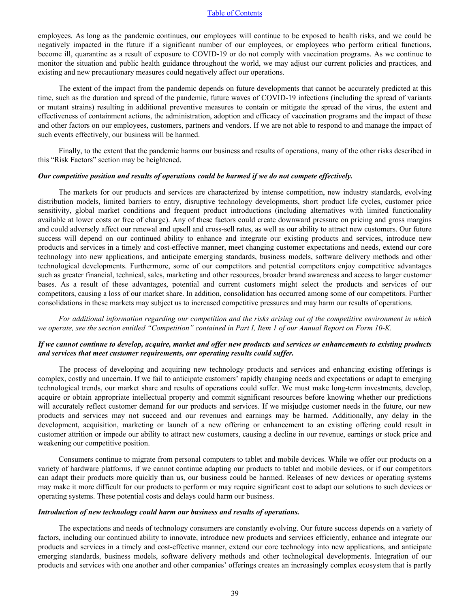employees. As long as the pandemic continues, our employees will continue to be exposed to health risks, and we could be negatively impacted in the future if a significant number of our employees, or employees who perform critical functions, become ill, quarantine as a result of exposure to COVID-19 or do not comply with vaccination programs. As we continue to monitor the situation and public health guidance throughout the world, we may adjust our current policies and practices, and existing and new precautionary measures could negatively affect our operations.

The extent of the impact from the pandemic depends on future developments that cannot be accurately predicted at this time, such as the duration and spread of the pandemic, future waves of COVID-19 infections (including the spread of variants or mutant strains) resulting in additional preventive measures to contain or mitigate the spread of the virus, the extent and effectiveness of containment actions, the administration, adoption and efficacy of vaccination programs and the impact of these and other factors on our employees, customers, partners and vendors. If we are not able to respond to and manage the impact of such events effectively, our business will be harmed.

Finally, to the extent that the pandemic harms our business and results of operations, many of the other risks described in this "Risk Factors" section may be heightened.

#### *Our competitive position and results of operations could be harmed if we do not compete effectively.*

The markets for our products and services are characterized by intense competition, new industry standards, evolving distribution models, limited barriers to entry, disruptive technology developments, short product life cycles, customer price sensitivity, global market conditions and frequent product introductions (including alternatives with limited functionality available at lower costs or free of charge). Any of these factors could create downward pressure on pricing and gross margins and could adversely affect our renewal and upsell and cross-sell rates, as well as our ability to attract new customers. Our future success will depend on our continued ability to enhance and integrate our existing products and services, introduce new products and services in a timely and cost-effective manner, meet changing customer expectations and needs, extend our core technology into new applications, and anticipate emerging standards, business models, software delivery methods and other technological developments. Furthermore, some of our competitors and potential competitors enjoy competitive advantages such as greater financial, technical, sales, marketing and other resources, broader brand awareness and access to larger customer bases. As a result of these advantages, potential and current customers might select the products and services of our competitors, causing a loss of our market share. In addition, consolidation has occurred among some of our competitors. Further consolidations in these markets may subject us to increased competitive pressures and may harm our results of operations.

*For additional information regarding our competition and the risks arising out of the competitive environment in which we operate, see the section entitled "Competition" contained in Part I, Item 1 of our Annual Report on Form 10-K.*

# *If we cannot continue to develop, acquire, market and offer new products and services or enhancements to existing products and services that meet customer requirements, our operating results could suffer.*

The process of developing and acquiring new technology products and services and enhancing existing offerings is complex, costly and uncertain. If we fail to anticipate customers' rapidly changing needs and expectations or adapt to emerging technological trends, our market share and results of operations could suffer. We must make long-term investments, develop, acquire or obtain appropriate intellectual property and commit significant resources before knowing whether our predictions will accurately reflect customer demand for our products and services. If we misjudge customer needs in the future, our new products and services may not succeed and our revenues and earnings may be harmed. Additionally, any delay in the development, acquisition, marketing or launch of a new offering or enhancement to an existing offering could result in customer attrition or impede our ability to attract new customers, causing a decline in our revenue, earnings or stock price and weakening our competitive position.

Consumers continue to migrate from personal computers to tablet and mobile devices. While we offer our products on a variety of hardware platforms, if we cannot continue adapting our products to tablet and mobile devices, or if our competitors can adapt their products more quickly than us, our business could be harmed. Releases of new devices or operating systems may make it more difficult for our products to perform or may require significant cost to adapt our solutions to such devices or operating systems. These potential costs and delays could harm our business.

#### *Introduction of new technology could harm our business and results of operations.*

The expectations and needs of technology consumers are constantly evolving. Our future success depends on a variety of factors, including our continued ability to innovate, introduce new products and services efficiently, enhance and integrate our products and services in a timely and cost-effective manner, extend our core technology into new applications, and anticipate emerging standards, business models, software delivery methods and other technological developments. Integration of our products and services with one another and other companies' offerings creates an increasingly complex ecosystem that is partly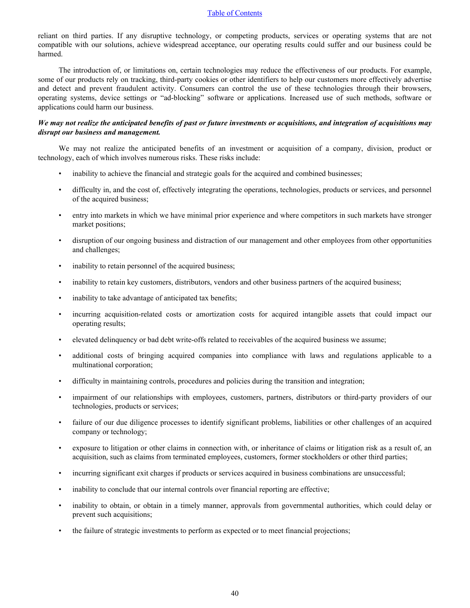reliant on third parties. If any disruptive technology, or competing products, services or operating systems that are not compatible with our solutions, achieve widespread acceptance, our operating results could suffer and our business could be harmed.

The introduction of, or limitations on, certain technologies may reduce the effectiveness of our products. For example, some of our products rely on tracking, third-party cookies or other identifiers to help our customers more effectively advertise and detect and prevent fraudulent activity. Consumers can control the use of these technologies through their browsers, operating systems, device settings or "ad-blocking" software or applications. Increased use of such methods, software or applications could harm our business.

# *We may not realize the anticipated benefits of past or future investments or acquisitions, and integration of acquisitions may disrupt our business and management.*

We may not realize the anticipated benefits of an investment or acquisition of a company, division, product or technology, each of which involves numerous risks. These risks include:

- inability to achieve the financial and strategic goals for the acquired and combined businesses;
- difficulty in, and the cost of, effectively integrating the operations, technologies, products or services, and personnel of the acquired business;
- entry into markets in which we have minimal prior experience and where competitors in such markets have stronger market positions;
- disruption of our ongoing business and distraction of our management and other employees from other opportunities and challenges;
- inability to retain personnel of the acquired business;
- inability to retain key customers, distributors, vendors and other business partners of the acquired business;
- inability to take advantage of anticipated tax benefits;
- incurring acquisition-related costs or amortization costs for acquired intangible assets that could impact our operating results;
- elevated delinquency or bad debt write-offs related to receivables of the acquired business we assume;
- additional costs of bringing acquired companies into compliance with laws and regulations applicable to a multinational corporation;
- difficulty in maintaining controls, procedures and policies during the transition and integration;
- impairment of our relationships with employees, customers, partners, distributors or third-party providers of our technologies, products or services;
- failure of our due diligence processes to identify significant problems, liabilities or other challenges of an acquired company or technology;
- exposure to litigation or other claims in connection with, or inheritance of claims or litigation risk as a result of, an acquisition, such as claims from terminated employees, customers, former stockholders or other third parties;
- incurring significant exit charges if products or services acquired in business combinations are unsuccessful;
- inability to conclude that our internal controls over financial reporting are effective;
- inability to obtain, or obtain in a timely manner, approvals from governmental authorities, which could delay or prevent such acquisitions;
- the failure of strategic investments to perform as expected or to meet financial projections;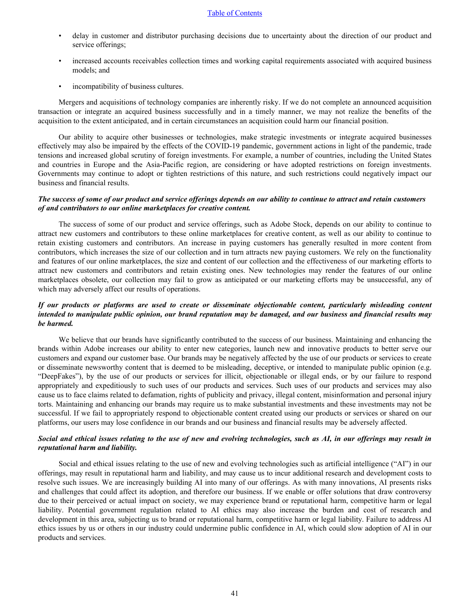- delay in customer and distributor purchasing decisions due to uncertainty about the direction of our product and service offerings;
- increased accounts receivables collection times and working capital requirements associated with acquired business models; and
- incompatibility of business cultures.

Mergers and acquisitions of technology companies are inherently risky. If we do not complete an announced acquisition transaction or integrate an acquired business successfully and in a timely manner, we may not realize the benefits of the acquisition to the extent anticipated, and in certain circumstances an acquisition could harm our financial position.

Our ability to acquire other businesses or technologies, make strategic investments or integrate acquired businesses effectively may also be impaired by the effects of the COVID-19 pandemic, government actions in light of the pandemic, trade tensions and increased global scrutiny of foreign investments. For example, a number of countries, including the United States and countries in Europe and the Asia-Pacific region, are considering or have adopted restrictions on foreign investments. Governments may continue to adopt or tighten restrictions of this nature, and such restrictions could negatively impact our business and financial results.

# *The success of some of our product and service offerings depends on our ability to continue to attract and retain customers of and contributors to our online marketplaces for creative content.*

The success of some of our product and service offerings, such as Adobe Stock, depends on our ability to continue to attract new customers and contributors to these online marketplaces for creative content, as well as our ability to continue to retain existing customers and contributors. An increase in paying customers has generally resulted in more content from contributors, which increases the size of our collection and in turn attracts new paying customers. We rely on the functionality and features of our online marketplaces, the size and content of our collection and the effectiveness of our marketing efforts to attract new customers and contributors and retain existing ones. New technologies may render the features of our online marketplaces obsolete, our collection may fail to grow as anticipated or our marketing efforts may be unsuccessful, any of which may adversely affect our results of operations.

# *If our products or platforms are used to create or disseminate objectionable content, particularly misleading content intended to manipulate public opinion, our brand reputation may be damaged, and our business and financial results may be harmed.*

We believe that our brands have significantly contributed to the success of our business. Maintaining and enhancing the brands within Adobe increases our ability to enter new categories, launch new and innovative products to better serve our customers and expand our customer base. Our brands may be negatively affected by the use of our products or services to create or disseminate newsworthy content that is deemed to be misleading, deceptive, or intended to manipulate public opinion (e.g. "DeepFakes"), by the use of our products or services for illicit, objectionable or illegal ends, or by our failure to respond appropriately and expeditiously to such uses of our products and services. Such uses of our products and services may also cause us to face claims related to defamation, rights of publicity and privacy, illegal content, misinformation and personal injury torts. Maintaining and enhancing our brands may require us to make substantial investments and these investments may not be successful. If we fail to appropriately respond to objectionable content created using our products or services or shared on our platforms, our users may lose confidence in our brands and our business and financial results may be adversely affected.

## *Social and ethical issues relating to the use of new and evolving technologies, such as AI, in our offerings may result in reputational harm and liability.*

Social and ethical issues relating to the use of new and evolving technologies such as artificial intelligence ("AI") in our offerings, may result in reputational harm and liability, and may cause us to incur additional research and development costs to resolve such issues. We are increasingly building AI into many of our offerings. As with many innovations, AI presents risks and challenges that could affect its adoption, and therefore our business. If we enable or offer solutions that draw controversy due to their perceived or actual impact on society, we may experience brand or reputational harm, competitive harm or legal liability. Potential government regulation related to AI ethics may also increase the burden and cost of research and development in this area, subjecting us to brand or reputational harm, competitive harm or legal liability. Failure to address AI ethics issues by us or others in our industry could undermine public confidence in AI, which could slow adoption of AI in our products and services.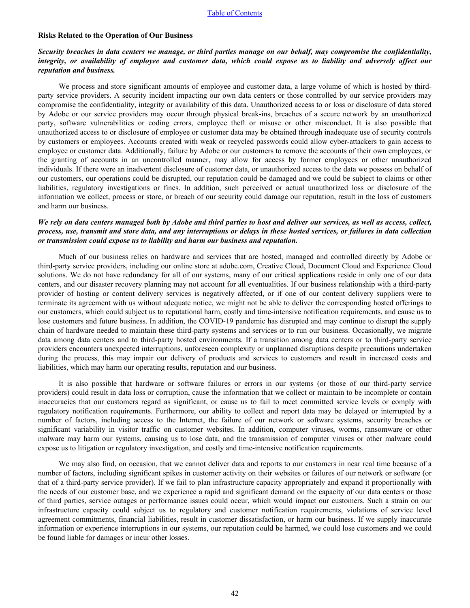### **Risks Related to the Operation of Our Business**

# *Security breaches in data centers we manage, or third parties manage on our behalf, may compromise the confidentiality, integrity, or availability of employee and customer data, which could expose us to liability and adversely affect our reputation and business.*

We process and store significant amounts of employee and customer data, a large volume of which is hosted by thirdparty service providers. A security incident impacting our own data centers or those controlled by our service providers may compromise the confidentiality, integrity or availability of this data. Unauthorized access to or loss or disclosure of data stored by Adobe or our service providers may occur through physical break-ins, breaches of a secure network by an unauthorized party, software vulnerabilities or coding errors, employee theft or misuse or other misconduct. It is also possible that unauthorized access to or disclosure of employee or customer data may be obtained through inadequate use of security controls by customers or employees. Accounts created with weak or recycled passwords could allow cyber-attackers to gain access to employee or customer data. Additionally, failure by Adobe or our customers to remove the accounts of their own employees, or the granting of accounts in an uncontrolled manner, may allow for access by former employees or other unauthorized individuals. If there were an inadvertent disclosure of customer data, or unauthorized access to the data we possess on behalf of our customers, our operations could be disrupted, our reputation could be damaged and we could be subject to claims or other liabilities, regulatory investigations or fines. In addition, such perceived or actual unauthorized loss or disclosure of the information we collect, process or store, or breach of our security could damage our reputation, result in the loss of customers and harm our business.

# *We rely on data centers managed both by Adobe and third parties to host and deliver our services, as well as access, collect, process, use, transmit and store data, and any interruptions or delays in these hosted services, or failures in data collection or transmission could expose us to liability and harm our business and reputation.*

Much of our business relies on hardware and services that are hosted, managed and controlled directly by Adobe or third-party service providers, including our online store at adobe.com, Creative Cloud, Document Cloud and Experience Cloud solutions. We do not have redundancy for all of our systems, many of our critical applications reside in only one of our data centers, and our disaster recovery planning may not account for all eventualities. If our business relationship with a third-party provider of hosting or content delivery services is negatively affected, or if one of our content delivery suppliers were to terminate its agreement with us without adequate notice, we might not be able to deliver the corresponding hosted offerings to our customers, which could subject us to reputational harm, costly and time-intensive notification requirements, and cause us to lose customers and future business. In addition, the COVID-19 pandemic has disrupted and may continue to disrupt the supply chain of hardware needed to maintain these third-party systems and services or to run our business. Occasionally, we migrate data among data centers and to third-party hosted environments. If a transition among data centers or to third-party service providers encounters unexpected interruptions, unforeseen complexity or unplanned disruptions despite precautions undertaken during the process, this may impair our delivery of products and services to customers and result in increased costs and liabilities, which may harm our operating results, reputation and our business.

It is also possible that hardware or software failures or errors in our systems (or those of our third-party service providers) could result in data loss or corruption, cause the information that we collect or maintain to be incomplete or contain inaccuracies that our customers regard as significant, or cause us to fail to meet committed service levels or comply with regulatory notification requirements. Furthermore, our ability to collect and report data may be delayed or interrupted by a number of factors, including access to the Internet, the failure of our network or software systems, security breaches or significant variability in visitor traffic on customer websites. In addition, computer viruses, worms, ransomware or other malware may harm our systems, causing us to lose data, and the transmission of computer viruses or other malware could expose us to litigation or regulatory investigation, and costly and time-intensive notification requirements.

We may also find, on occasion, that we cannot deliver data and reports to our customers in near real time because of a number of factors, including significant spikes in customer activity on their websites or failures of our network or software (or that of a third-party service provider). If we fail to plan infrastructure capacity appropriately and expand it proportionally with the needs of our customer base, and we experience a rapid and significant demand on the capacity of our data centers or those of third parties, service outages or performance issues could occur, which would impact our customers. Such a strain on our infrastructure capacity could subject us to regulatory and customer notification requirements, violations of service level agreement commitments, financial liabilities, result in customer dissatisfaction, or harm our business. If we supply inaccurate information or experience interruptions in our systems, our reputation could be harmed, we could lose customers and we could be found liable for damages or incur other losses.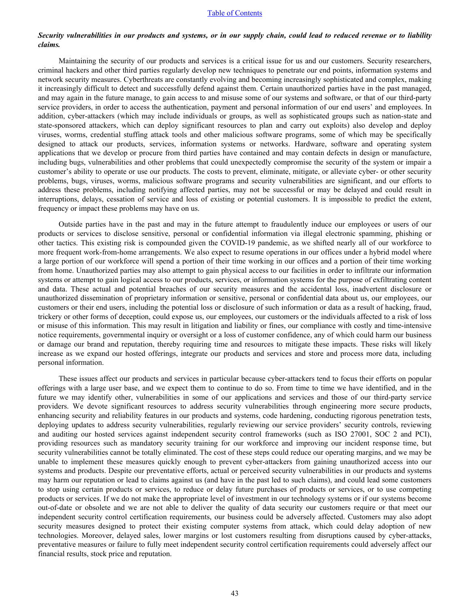### *Security vulnerabilities in our products and systems, or in our supply chain, could lead to reduced revenue or to liability claims.*

Maintaining the security of our products and services is a critical issue for us and our customers. Security researchers, criminal hackers and other third parties regularly develop new techniques to penetrate our end points, information systems and network security measures. Cyberthreats are constantly evolving and becoming increasingly sophisticated and complex, making it increasingly difficult to detect and successfully defend against them. Certain unauthorized parties have in the past managed, and may again in the future manage, to gain access to and misuse some of our systems and software, or that of our third-party service providers, in order to access the authentication, payment and personal information of our end users' and employees. In addition, cyber-attackers (which may include individuals or groups, as well as sophisticated groups such as nation-state and state-sponsored attackers, which can deploy significant resources to plan and carry out exploits) also develop and deploy viruses, worms, credential stuffing attack tools and other malicious software programs, some of which may be specifically designed to attack our products, services, information systems or networks. Hardware, software and operating system applications that we develop or procure from third parties have contained and may contain defects in design or manufacture, including bugs, vulnerabilities and other problems that could unexpectedly compromise the security of the system or impair a customer's ability to operate or use our products. The costs to prevent, eliminate, mitigate, or alleviate cyber- or other security problems, bugs, viruses, worms, malicious software programs and security vulnerabilities are significant, and our efforts to address these problems, including notifying affected parties, may not be successful or may be delayed and could result in interruptions, delays, cessation of service and loss of existing or potential customers. It is impossible to predict the extent, frequency or impact these problems may have on us.

Outside parties have in the past and may in the future attempt to fraudulently induce our employees or users of our products or services to disclose sensitive, personal or confidential information via illegal electronic spamming, phishing or other tactics. This existing risk is compounded given the COVID-19 pandemic, as we shifted nearly all of our workforce to more frequent work-from-home arrangements. We also expect to resume operations in our offices under a hybrid model where a large portion of our workforce will spend a portion of their time working in our offices and a portion of their time working from home. Unauthorized parties may also attempt to gain physical access to our facilities in order to infiltrate our information systems or attempt to gain logical access to our products, services, or information systems for the purpose of exfiltrating content and data. These actual and potential breaches of our security measures and the accidental loss, inadvertent disclosure or unauthorized dissemination of proprietary information or sensitive, personal or confidential data about us, our employees, our customers or their end users, including the potential loss or disclosure of such information or data as a result of hacking, fraud, trickery or other forms of deception, could expose us, our employees, our customers or the individuals affected to a risk of loss or misuse of this information. This may result in litigation and liability or fines, our compliance with costly and time-intensive notice requirements, governmental inquiry or oversight or a loss of customer confidence, any of which could harm our business or damage our brand and reputation, thereby requiring time and resources to mitigate these impacts. These risks will likely increase as we expand our hosted offerings, integrate our products and services and store and process more data, including personal information.

These issues affect our products and services in particular because cyber-attackers tend to focus their efforts on popular offerings with a large user base, and we expect them to continue to do so. From time to time we have identified, and in the future we may identify other, vulnerabilities in some of our applications and services and those of our third-party service providers. We devote significant resources to address security vulnerabilities through engineering more secure products, enhancing security and reliability features in our products and systems, code hardening, conducting rigorous penetration tests, deploying updates to address security vulnerabilities, regularly reviewing our service providers' security controls, reviewing and auditing our hosted services against independent security control frameworks (such as ISO 27001, SOC 2 and PCI), providing resources such as mandatory security training for our workforce and improving our incident response time, but security vulnerabilities cannot be totally eliminated. The cost of these steps could reduce our operating margins, and we may be unable to implement these measures quickly enough to prevent cyber-attackers from gaining unauthorized access into our systems and products. Despite our preventative efforts, actual or perceived security vulnerabilities in our products and systems may harm our reputation or lead to claims against us (and have in the past led to such claims), and could lead some customers to stop using certain products or services, to reduce or delay future purchases of products or services, or to use competing products or services. If we do not make the appropriate level of investment in our technology systems or if our systems become out-of-date or obsolete and we are not able to deliver the quality of data security our customers require or that meet our independent security control certification requirements, our business could be adversely affected. Customers may also adopt security measures designed to protect their existing computer systems from attack, which could delay adoption of new technologies. Moreover, delayed sales, lower margins or lost customers resulting from disruptions caused by cyber-attacks, preventative measures or failure to fully meet independent security control certification requirements could adversely affect our financial results, stock price and reputation.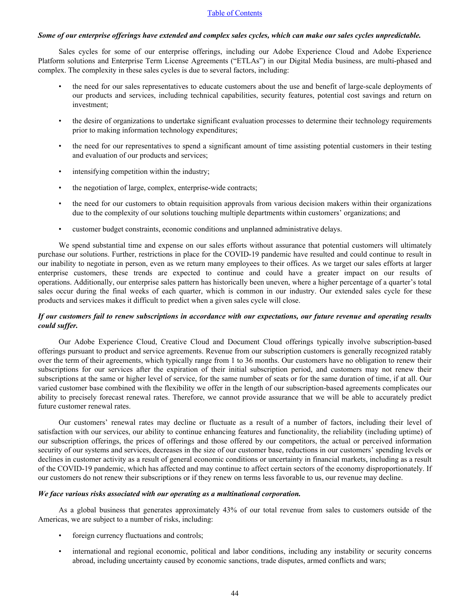# *Some of our enterprise offerings have extended and complex sales cycles, which can make our sales cycles unpredictable.*

Sales cycles for some of our enterprise offerings, including our Adobe Experience Cloud and Adobe Experience Platform solutions and Enterprise Term License Agreements ("ETLAs") in our Digital Media business, are multi-phased and complex. The complexity in these sales cycles is due to several factors, including:

- the need for our sales representatives to educate customers about the use and benefit of large-scale deployments of our products and services, including technical capabilities, security features, potential cost savings and return on investment;
- the desire of organizations to undertake significant evaluation processes to determine their technology requirements prior to making information technology expenditures;
- the need for our representatives to spend a significant amount of time assisting potential customers in their testing and evaluation of our products and services;
- intensifying competition within the industry;
- the negotiation of large, complex, enterprise-wide contracts;
- the need for our customers to obtain requisition approvals from various decision makers within their organizations due to the complexity of our solutions touching multiple departments within customers' organizations; and
- customer budget constraints, economic conditions and unplanned administrative delays.

We spend substantial time and expense on our sales efforts without assurance that potential customers will ultimately purchase our solutions. Further, restrictions in place for the COVID-19 pandemic have resulted and could continue to result in our inability to negotiate in person, even as we return many employees to their offices. As we target our sales efforts at larger enterprise customers, these trends are expected to continue and could have a greater impact on our results of operations. Additionally, our enterprise sales pattern has historically been uneven, where a higher percentage of a quarter's total sales occur during the final weeks of each quarter, which is common in our industry. Our extended sales cycle for these products and services makes it difficult to predict when a given sales cycle will close.

# *If our customers fail to renew subscriptions in accordance with our expectations, our future revenue and operating results could suffer.*

Our Adobe Experience Cloud, Creative Cloud and Document Cloud offerings typically involve subscription-based offerings pursuant to product and service agreements. Revenue from our subscription customers is generally recognized ratably over the term of their agreements, which typically range from 1 to 36 months. Our customers have no obligation to renew their subscriptions for our services after the expiration of their initial subscription period, and customers may not renew their subscriptions at the same or higher level of service, for the same number of seats or for the same duration of time, if at all. Our varied customer base combined with the flexibility we offer in the length of our subscription-based agreements complicates our ability to precisely forecast renewal rates. Therefore, we cannot provide assurance that we will be able to accurately predict future customer renewal rates.

Our customers' renewal rates may decline or fluctuate as a result of a number of factors, including their level of satisfaction with our services, our ability to continue enhancing features and functionality, the reliability (including uptime) of our subscription offerings, the prices of offerings and those offered by our competitors, the actual or perceived information security of our systems and services, decreases in the size of our customer base, reductions in our customers' spending levels or declines in customer activity as a result of general economic conditions or uncertainty in financial markets, including as a result of the COVID-19 pandemic, which has affected and may continue to affect certain sectors of the economy disproportionately. If our customers do not renew their subscriptions or if they renew on terms less favorable to us, our revenue may decline.

## *We face various risks associated with our operating as a multinational corporation.*

As a global business that generates approximately 43% of our total revenue from sales to customers outside of the Americas, we are subject to a number of risks, including:

- foreign currency fluctuations and controls;
- international and regional economic, political and labor conditions, including any instability or security concerns abroad, including uncertainty caused by economic sanctions, trade disputes, armed conflicts and wars;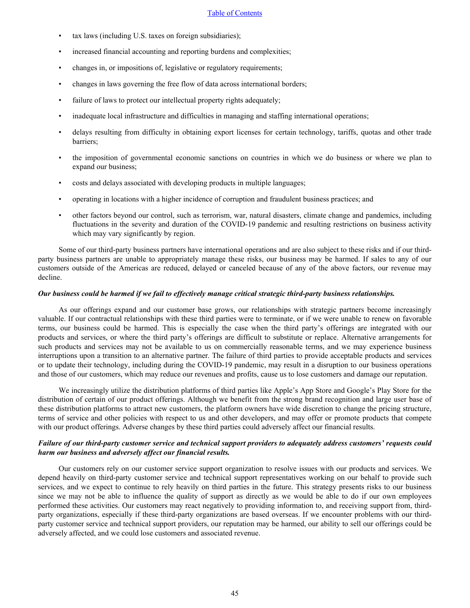- tax laws (including U.S. taxes on foreign subsidiaries);
- increased financial accounting and reporting burdens and complexities;
- changes in, or impositions of, legislative or regulatory requirements;
- changes in laws governing the free flow of data across international borders;
- failure of laws to protect our intellectual property rights adequately;
- inadequate local infrastructure and difficulties in managing and staffing international operations;
- delays resulting from difficulty in obtaining export licenses for certain technology, tariffs, quotas and other trade barriers;
- the imposition of governmental economic sanctions on countries in which we do business or where we plan to expand our business;
- costs and delays associated with developing products in multiple languages;
- operating in locations with a higher incidence of corruption and fraudulent business practices; and
- other factors beyond our control, such as terrorism, war, natural disasters, climate change and pandemics, including fluctuations in the severity and duration of the COVID-19 pandemic and resulting restrictions on business activity which may vary significantly by region.

Some of our third-party business partners have international operations and are also subject to these risks and if our thirdparty business partners are unable to appropriately manage these risks, our business may be harmed. If sales to any of our customers outside of the Americas are reduced, delayed or canceled because of any of the above factors, our revenue may decline.

#### *Our business could be harmed if we fail to effectively manage critical strategic third-party business relationships.*

As our offerings expand and our customer base grows, our relationships with strategic partners become increasingly valuable. If our contractual relationships with these third parties were to terminate, or if we were unable to renew on favorable terms, our business could be harmed. This is especially the case when the third party's offerings are integrated with our products and services, or where the third party's offerings are difficult to substitute or replace. Alternative arrangements for such products and services may not be available to us on commercially reasonable terms, and we may experience business interruptions upon a transition to an alternative partner. The failure of third parties to provide acceptable products and services or to update their technology, including during the COVID-19 pandemic, may result in a disruption to our business operations and those of our customers, which may reduce our revenues and profits, cause us to lose customers and damage our reputation.

We increasingly utilize the distribution platforms of third parties like Apple's App Store and Google's Play Store for the distribution of certain of our product offerings. Although we benefit from the strong brand recognition and large user base of these distribution platforms to attract new customers, the platform owners have wide discretion to change the pricing structure, terms of service and other policies with respect to us and other developers, and may offer or promote products that compete with our product offerings. Adverse changes by these third parties could adversely affect our financial results.

# *Failure of our third-party customer service and technical support providers to adequately address customers' requests could harm our business and adversely affect our financial results.*

Our customers rely on our customer service support organization to resolve issues with our products and services. We depend heavily on third-party customer service and technical support representatives working on our behalf to provide such services, and we expect to continue to rely heavily on third parties in the future. This strategy presents risks to our business since we may not be able to influence the quality of support as directly as we would be able to do if our own employees performed these activities. Our customers may react negatively to providing information to, and receiving support from, thirdparty organizations, especially if these third-party organizations are based overseas. If we encounter problems with our thirdparty customer service and technical support providers, our reputation may be harmed, our ability to sell our offerings could be adversely affected, and we could lose customers and associated revenue.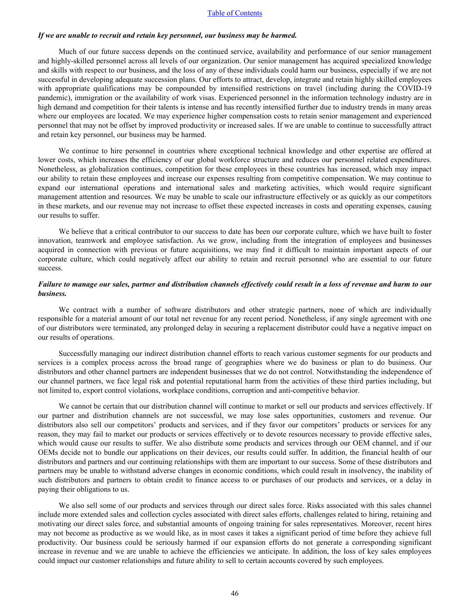#### *If we are unable to recruit and retain key personnel, our business may be harmed.*

Much of our future success depends on the continued service, availability and performance of our senior management and highly-skilled personnel across all levels of our organization. Our senior management has acquired specialized knowledge and skills with respect to our business, and the loss of any of these individuals could harm our business, especially if we are not successful in developing adequate succession plans. Our efforts to attract, develop, integrate and retain highly skilled employees with appropriate qualifications may be compounded by intensified restrictions on travel (including during the COVID-19 pandemic), immigration or the availability of work visas. Experienced personnel in the information technology industry are in high demand and competition for their talents is intense and has recently intensified further due to industry trends in many areas where our employees are located. We may experience higher compensation costs to retain senior management and experienced personnel that may not be offset by improved productivity or increased sales. If we are unable to continue to successfully attract and retain key personnel, our business may be harmed.

We continue to hire personnel in countries where exceptional technical knowledge and other expertise are offered at lower costs, which increases the efficiency of our global workforce structure and reduces our personnel related expenditures. Nonetheless, as globalization continues, competition for these employees in these countries has increased, which may impact our ability to retain these employees and increase our expenses resulting from competitive compensation. We may continue to expand our international operations and international sales and marketing activities, which would require significant management attention and resources. We may be unable to scale our infrastructure effectively or as quickly as our competitors in these markets, and our revenue may not increase to offset these expected increases in costs and operating expenses, causing our results to suffer.

We believe that a critical contributor to our success to date has been our corporate culture, which we have built to foster innovation, teamwork and employee satisfaction. As we grow, including from the integration of employees and businesses acquired in connection with previous or future acquisitions, we may find it difficult to maintain important aspects of our corporate culture, which could negatively affect our ability to retain and recruit personnel who are essential to our future success.

# *Failure to manage our sales, partner and distribution channels effectively could result in a loss of revenue and harm to our business.*

We contract with a number of software distributors and other strategic partners, none of which are individually responsible for a material amount of our total net revenue for any recent period. Nonetheless, if any single agreement with one of our distributors were terminated, any prolonged delay in securing a replacement distributor could have a negative impact on our results of operations.

Successfully managing our indirect distribution channel efforts to reach various customer segments for our products and services is a complex process across the broad range of geographies where we do business or plan to do business. Our distributors and other channel partners are independent businesses that we do not control. Notwithstanding the independence of our channel partners, we face legal risk and potential reputational harm from the activities of these third parties including, but not limited to, export control violations, workplace conditions, corruption and anti-competitive behavior.

We cannot be certain that our distribution channel will continue to market or sell our products and services effectively. If our partner and distribution channels are not successful, we may lose sales opportunities, customers and revenue. Our distributors also sell our competitors' products and services, and if they favor our competitors' products or services for any reason, they may fail to market our products or services effectively or to devote resources necessary to provide effective sales, which would cause our results to suffer. We also distribute some products and services through our OEM channel, and if our OEMs decide not to bundle our applications on their devices, our results could suffer. In addition, the financial health of our distributors and partners and our continuing relationships with them are important to our success. Some of these distributors and partners may be unable to withstand adverse changes in economic conditions, which could result in insolvency, the inability of such distributors and partners to obtain credit to finance access to or purchases of our products and services, or a delay in paying their obligations to us.

We also sell some of our products and services through our direct sales force. Risks associated with this sales channel include more extended sales and collection cycles associated with direct sales efforts, challenges related to hiring, retaining and motivating our direct sales force, and substantial amounts of ongoing training for sales representatives. Moreover, recent hires may not become as productive as we would like, as in most cases it takes a significant period of time before they achieve full productivity. Our business could be seriously harmed if our expansion efforts do not generate a corresponding significant increase in revenue and we are unable to achieve the efficiencies we anticipate. In addition, the loss of key sales employees could impact our customer relationships and future ability to sell to certain accounts covered by such employees.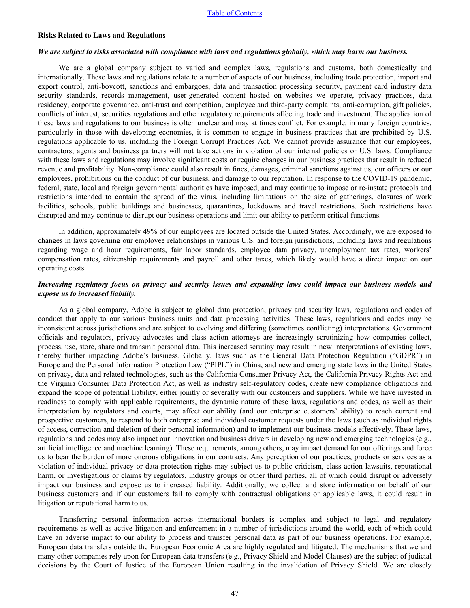#### **Risks Related to Laws and Regulations**

#### *We are subject to risks associated with compliance with laws and regulations globally, which may harm our business.*

We are a global company subject to varied and complex laws, regulations and customs, both domestically and internationally. These laws and regulations relate to a number of aspects of our business, including trade protection, import and export control, anti-boycott, sanctions and embargoes, data and transaction processing security, payment card industry data security standards, records management, user-generated content hosted on websites we operate, privacy practices, data residency, corporate governance, anti-trust and competition, employee and third-party complaints, anti-corruption, gift policies, conflicts of interest, securities regulations and other regulatory requirements affecting trade and investment. The application of these laws and regulations to our business is often unclear and may at times conflict. For example, in many foreign countries, particularly in those with developing economies, it is common to engage in business practices that are prohibited by U.S. regulations applicable to us, including the Foreign Corrupt Practices Act. We cannot provide assurance that our employees, contractors, agents and business partners will not take actions in violation of our internal policies or U.S. laws. Compliance with these laws and regulations may involve significant costs or require changes in our business practices that result in reduced revenue and profitability. Non-compliance could also result in fines, damages, criminal sanctions against us, our officers or our employees, prohibitions on the conduct of our business, and damage to our reputation. In response to the COVID-19 pandemic, federal, state, local and foreign governmental authorities have imposed, and may continue to impose or re-instate protocols and restrictions intended to contain the spread of the virus, including limitations on the size of gatherings, closures of work facilities, schools, public buildings and businesses, quarantines, lockdowns and travel restrictions. Such restrictions have disrupted and may continue to disrupt our business operations and limit our ability to perform critical functions.

In addition, approximately 49% of our employees are located outside the United States. Accordingly, we are exposed to changes in laws governing our employee relationships in various U.S. and foreign jurisdictions, including laws and regulations regarding wage and hour requirements, fair labor standards, employee data privacy, unemployment tax rates, workers' compensation rates, citizenship requirements and payroll and other taxes, which likely would have a direct impact on our operating costs.

# *Increasing regulatory focus on privacy and security issues and expanding laws could impact our business models and expose us to increased liability.*

As a global company, Adobe is subject to global data protection, privacy and security laws, regulations and codes of conduct that apply to our various business units and data processing activities. These laws, regulations and codes may be inconsistent across jurisdictions and are subject to evolving and differing (sometimes conflicting) interpretations. Government officials and regulators, privacy advocates and class action attorneys are increasingly scrutinizing how companies collect, process, use, store, share and transmit personal data. This increased scrutiny may result in new interpretations of existing laws, thereby further impacting Adobe's business. Globally, laws such as the General Data Protection Regulation ("GDPR") in Europe and the Personal Information Protection Law ("PIPL") in China, and new and emerging state laws in the United States on privacy, data and related technologies, such as the California Consumer Privacy Act, the California Privacy Rights Act and the Virginia Consumer Data Protection Act, as well as industry self-regulatory codes, create new compliance obligations and expand the scope of potential liability, either jointly or severally with our customers and suppliers. While we have invested in readiness to comply with applicable requirements, the dynamic nature of these laws, regulations and codes, as well as their interpretation by regulators and courts, may affect our ability (and our enterprise customers' ability) to reach current and prospective customers, to respond to both enterprise and individual customer requests under the laws (such as individual rights of access, correction and deletion of their personal information) and to implement our business models effectively. These laws, regulations and codes may also impact our innovation and business drivers in developing new and emerging technologies (e.g., artificial intelligence and machine learning). These requirements, among others, may impact demand for our offerings and force us to bear the burden of more onerous obligations in our contracts. Any perception of our practices, products or services as a violation of individual privacy or data protection rights may subject us to public criticism, class action lawsuits, reputational harm, or investigations or claims by regulators, industry groups or other third parties, all of which could disrupt or adversely impact our business and expose us to increased liability. Additionally, we collect and store information on behalf of our business customers and if our customers fail to comply with contractual obligations or applicable laws, it could result in litigation or reputational harm to us.

Transferring personal information across international borders is complex and subject to legal and regulatory requirements as well as active litigation and enforcement in a number of jurisdictions around the world, each of which could have an adverse impact to our ability to process and transfer personal data as part of our business operations. For example, European data transfers outside the European Economic Area are highly regulated and litigated. The mechanisms that we and many other companies rely upon for European data transfers (e.g., Privacy Shield and Model Clauses) are the subject of judicial decisions by the Court of Justice of the European Union resulting in the invalidation of Privacy Shield. We are closely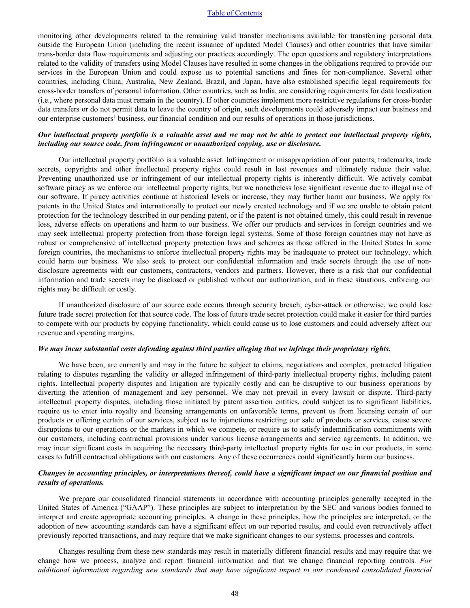monitoring other developments related to the remaining valid transfer mechanisms available for transferring personal data outside the European Union (including the recent issuance of updated Model Clauses) and other countries that have similar trans-border data flow requirements and adjusting our practices accordingly. The open questions and regulatory interpretations related to the validity of transfers using Model Clauses have resulted in some changes in the obligations required to provide our services in the European Union and could expose us to potential sanctions and fines for non-compliance. Several other countries, including China, Australia, New Zealand, Brazil, and Japan, have also established specific legal requirements for cross-border transfers of personal information. Other countries, such as India, are considering requirements for data localization (i.e., where personal data must remain in the country). If other countries implement more restrictive regulations for cross-border data transfers or do not permit data to leave the country of origin, such developments could adversely impact our business and our enterprise customers' business, our financial condition and our results of operations in those jurisdictions.

# *Our intellectual property portfolio is a valuable asset and we may not be able to protect our intellectual property rights, including our source code, from infringement or unauthorized copying, use or disclosure.*

Our intellectual property portfolio is a valuable asset. Infringement or misappropriation of our patents, trademarks, trade secrets, copyrights and other intellectual property rights could result in lost revenues and ultimately reduce their value. Preventing unauthorized use or infringement of our intellectual property rights is inherently difficult. We actively combat software piracy as we enforce our intellectual property rights, but we nonetheless lose significant revenue due to illegal use of our software. If piracy activities continue at historical levels or increase, they may further harm our business. We apply for patents in the United States and internationally to protect our newly created technology and if we are unable to obtain patent protection for the technology described in our pending patent, or if the patent is not obtained timely, this could result in revenue loss, adverse effects on operations and harm to our business. We offer our products and services in foreign countries and we may seek intellectual property protection from those foreign legal systems. Some of those foreign countries may not have as robust or comprehensive of intellectual property protection laws and schemes as those offered in the United States In some foreign countries, the mechanisms to enforce intellectual property rights may be inadequate to protect our technology, which could harm our business. We also seek to protect our confidential information and trade secrets through the use of nondisclosure agreements with our customers, contractors, vendors and partners. However, there is a risk that our confidential information and trade secrets may be disclosed or published without our authorization, and in these situations, enforcing our rights may be difficult or costly.

If unauthorized disclosure of our source code occurs through security breach, cyber-attack or otherwise, we could lose future trade secret protection for that source code. The loss of future trade secret protection could make it easier for third parties to compete with our products by copying functionality, which could cause us to lose customers and could adversely affect our revenue and operating margins.

#### *We may incur substantial costs defending against third parties alleging that we infringe their proprietary rights.*

We have been, are currently and may in the future be subject to claims, negotiations and complex, protracted litigation relating to disputes regarding the validity or alleged infringement of third-party intellectual property rights, including patent rights. Intellectual property disputes and litigation are typically costly and can be disruptive to our business operations by diverting the attention of management and key personnel. We may not prevail in every lawsuit or dispute. Third-party intellectual property disputes, including those initiated by patent assertion entities, could subject us to significant liabilities, require us to enter into royalty and licensing arrangements on unfavorable terms, prevent us from licensing certain of our products or offering certain of our services, subject us to injunctions restricting our sale of products or services, cause severe disruptions to our operations or the markets in which we compete, or require us to satisfy indemnification commitments with our customers, including contractual provisions under various license arrangements and service agreements. In addition, we may incur significant costs in acquiring the necessary third-party intellectual property rights for use in our products, in some cases to fulfill contractual obligations with our customers. Any of these occurrences could significantly harm our business.

# *Changes in accounting principles, or interpretations thereof, could have a significant impact on our financial position and results of operations.*

We prepare our consolidated financial statements in accordance with accounting principles generally accepted in the United States of America ("GAAP"). These principles are subject to interpretation by the SEC and various bodies formed to interpret and create appropriate accounting principles. A change in these principles, how the principles are interpreted, or the adoption of new accounting standards can have a significant effect on our reported results, and could even retroactively affect previously reported transactions, and may require that we make significant changes to our systems, processes and controls.

Changes resulting from these new standards may result in materially different financial results and may require that we change how we process, analyze and report financial information and that we change financial reporting controls. *[For](#page-7-0)  [additional information regarding new standards that may have significant impact to our condensed consolidated fina](#page-7-0)ncial*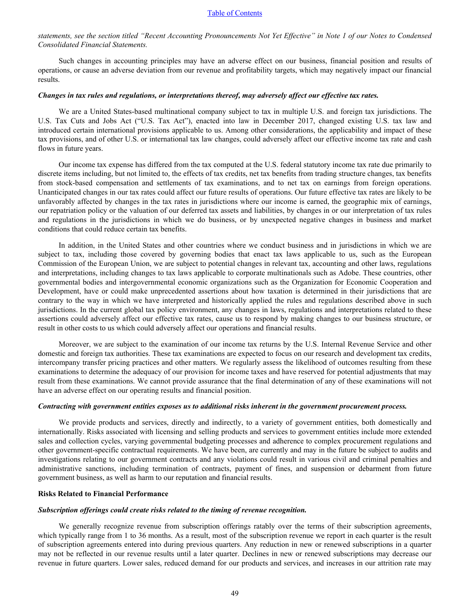*[statements, see the section titled "Recent Accounting Pronouncements Not Yet Effective" in Note 1 of our Notes to Condense](#page-7-0)d [Consolidated Financial Statements.](#page-7-0)*

Such changes in accounting principles may have an adverse effect on our business, financial position and results of operations, or cause an adverse deviation from our revenue and profitability targets, which may negatively impact our financial results.

### *Changes in tax rules and regulations, or interpretations thereof, may adversely affect our effective tax rates.*

We are a United States-based multinational company subject to tax in multiple U.S. and foreign tax jurisdictions. The U.S. Tax Cuts and Jobs Act ("U.S. Tax Act"), enacted into law in December 2017, changed existing U.S. tax law and introduced certain international provisions applicable to us. Among other considerations, the applicability and impact of these tax provisions, and of other U.S. or international tax law changes, could adversely affect our effective income tax rate and cash flows in future years.

Our income tax expense has differed from the tax computed at the U.S. federal statutory income tax rate due primarily to discrete items including, but not limited to, the effects of tax credits, net tax benefits from trading structure changes, tax benefits from stock-based compensation and settlements of tax examinations, and to net tax on earnings from foreign operations. Unanticipated changes in our tax rates could affect our future results of operations. Our future effective tax rates are likely to be unfavorably affected by changes in the tax rates in jurisdictions where our income is earned, the geographic mix of earnings, our repatriation policy or the valuation of our deferred tax assets and liabilities, by changes in or our interpretation of tax rules and regulations in the jurisdictions in which we do business, or by unexpected negative changes in business and market conditions that could reduce certain tax benefits.

In addition, in the United States and other countries where we conduct business and in jurisdictions in which we are subject to tax, including those covered by governing bodies that enact tax laws applicable to us, such as the European Commission of the European Union, we are subject to potential changes in relevant tax, accounting and other laws, regulations and interpretations, including changes to tax laws applicable to corporate multinationals such as Adobe. These countries, other governmental bodies and intergovernmental economic organizations such as the Organization for Economic Cooperation and Development, have or could make unprecedented assertions about how taxation is determined in their jurisdictions that are contrary to the way in which we have interpreted and historically applied the rules and regulations described above in such jurisdictions. In the current global tax policy environment, any changes in laws, regulations and interpretations related to these assertions could adversely affect our effective tax rates, cause us to respond by making changes to our business structure, or result in other costs to us which could adversely affect our operations and financial results.

Moreover, we are subject to the examination of our income tax returns by the U.S. Internal Revenue Service and other domestic and foreign tax authorities. These tax examinations are expected to focus on our research and development tax credits, intercompany transfer pricing practices and other matters. We regularly assess the likelihood of outcomes resulting from these examinations to determine the adequacy of our provision for income taxes and have reserved for potential adjustments that may result from these examinations. We cannot provide assurance that the final determination of any of these examinations will not have an adverse effect on our operating results and financial position.

#### *Contracting with government entities exposes us to additional risks inherent in the government procurement process.*

We provide products and services, directly and indirectly, to a variety of government entities, both domestically and internationally. Risks associated with licensing and selling products and services to government entities include more extended sales and collection cycles, varying governmental budgeting processes and adherence to complex procurement regulations and other government-specific contractual requirements. We have been, are currently and may in the future be subject to audits and investigations relating to our government contracts and any violations could result in various civil and criminal penalties and administrative sanctions, including termination of contracts, payment of fines, and suspension or debarment from future government business, as well as harm to our reputation and financial results.

#### **Risks Related to Financial Performance**

#### *Subscription offerings could create risks related to the timing of revenue recognition.*

We generally recognize revenue from subscription offerings ratably over the terms of their subscription agreements, which typically range from 1 to 36 months. As a result, most of the subscription revenue we report in each quarter is the result of subscription agreements entered into during previous quarters. Any reduction in new or renewed subscriptions in a quarter may not be reflected in our revenue results until a later quarter. Declines in new or renewed subscriptions may decrease our revenue in future quarters. Lower sales, reduced demand for our products and services, and increases in our attrition rate may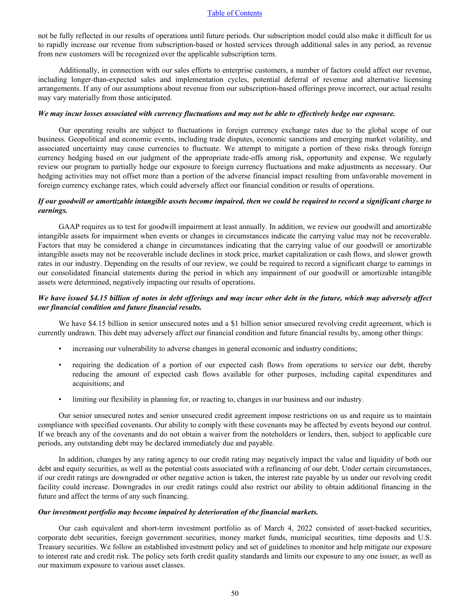not be fully reflected in our results of operations until future periods. Our subscription model could also make it difficult for us to rapidly increase our revenue from subscription-based or hosted services through additional sales in any period, as revenue from new customers will be recognized over the applicable subscription term.

Additionally, in connection with our sales efforts to enterprise customers, a number of factors could affect our revenue, including longer-than-expected sales and implementation cycles, potential deferral of revenue and alternative licensing arrangements. If any of our assumptions about revenue from our subscription-based offerings prove incorrect, our actual results may vary materially from those anticipated.

#### *We may incur losses associated with currency fluctuations and may not be able to effectively hedge our exposure.*

Our operating results are subject to fluctuations in foreign currency exchange rates due to the global scope of our business. Geopolitical and economic events, including trade disputes, economic sanctions and emerging market volatility, and associated uncertainty may cause currencies to fluctuate. We attempt to mitigate a portion of these risks through foreign currency hedging based on our judgment of the appropriate trade-offs among risk, opportunity and expense. We regularly review our program to partially hedge our exposure to foreign currency fluctuations and make adjustments as necessary. Our hedging activities may not offset more than a portion of the adverse financial impact resulting from unfavorable movement in foreign currency exchange rates, which could adversely affect our financial condition or results of operations.

# *If our goodwill or amortizable intangible assets become impaired, then we could be required to record a significant charge to earnings.*

GAAP requires us to test for goodwill impairment at least annually. In addition, we review our goodwill and amortizable intangible assets for impairment when events or changes in circumstances indicate the carrying value may not be recoverable. Factors that may be considered a change in circumstances indicating that the carrying value of our goodwill or amortizable intangible assets may not be recoverable include declines in stock price, market capitalization or cash flows, and slower growth rates in our industry. Depending on the results of our review, we could be required to record a significant charge to earnings in our consolidated financial statements during the period in which any impairment of our goodwill or amortizable intangible assets were determined, negatively impacting our results of operations.

# *We have issued \$4.15 billion of notes in debt offerings and may incur other debt in the future, which may adversely affect our financial condition and future financial results.*

We have \$4.15 billion in senior unsecured notes and a \$1 billion senior unsecured revolving credit agreement, which is currently undrawn. This debt may adversely affect our financial condition and future financial results by, among other things:

- increasing our vulnerability to adverse changes in general economic and industry conditions;
- requiring the dedication of a portion of our expected cash flows from operations to service our debt, thereby reducing the amount of expected cash flows available for other purposes, including capital expenditures and acquisitions; and
- limiting our flexibility in planning for, or reacting to, changes in our business and our industry.

Our senior unsecured notes and senior unsecured credit agreement impose restrictions on us and require us to maintain compliance with specified covenants. Our ability to comply with these covenants may be affected by events beyond our control. If we breach any of the covenants and do not obtain a waiver from the noteholders or lenders, then, subject to applicable cure periods, any outstanding debt may be declared immediately due and payable.

In addition, changes by any rating agency to our credit rating may negatively impact the value and liquidity of both our debt and equity securities, as well as the potential costs associated with a refinancing of our debt. Under certain circumstances, if our credit ratings are downgraded or other negative action is taken, the interest rate payable by us under our revolving credit facility could increase. Downgrades in our credit ratings could also restrict our ability to obtain additional financing in the future and affect the terms of any such financing.

#### *Our investment portfolio may become impaired by deterioration of the financial markets.*

Our cash equivalent and short-term investment portfolio as of March 4, 2022 consisted of asset-backed securities, corporate debt securities, foreign government securities, money market funds, municipal securities, time deposits and U.S. Treasury securities. We follow an established investment policy and set of guidelines to monitor and help mitigate our exposure to interest rate and credit risk. The policy sets forth credit quality standards and limits our exposure to any one issuer, as well as our maximum exposure to various asset classes.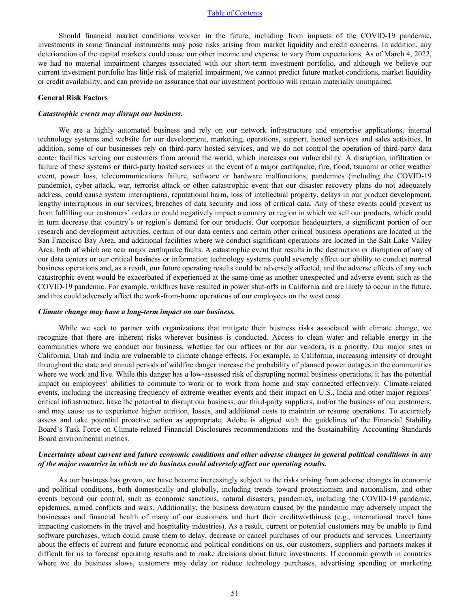Should financial market conditions worsen in the future, including from impacts of the COVID-19 pandemic, investments in some financial instruments may pose risks arising from market liquidity and credit concerns. In addition, any deterioration of the capital markets could cause our other income and expense to vary from expectations. As of March 4, 2022, we had no material impairment charges associated with our short-term investment portfolio, and although we believe our current investment portfolio has little risk of material impairment, we cannot predict future market conditions, market liquidity or credit availability, and can provide no assurance that our investment portfolio will remain materially unimpaired.

#### **General Risk Factors**

#### *Catastrophic events may disrupt our business.*

We are a highly automated business and rely on our network infrastructure and enterprise applications, internal technology systems and website for our development, marketing, operations, support, hosted services and sales activities. In addition, some of our businesses rely on third-party hosted services, and we do not control the operation of third-party data center facilities serving our customers from around the world, which increases our vulnerability. A disruption, infiltration or failure of these systems or third-party hosted services in the event of a major earthquake, fire, flood, tsunami or other weather event, power loss, telecommunications failure, software or hardware malfunctions, pandemics (including the COVID-19 pandemic), cyber-attack, war, terrorist attack or other catastrophic event that our disaster recovery plans do not adequately address, could cause system interruptions, reputational harm, loss of intellectual property, delays in our product development, lengthy interruptions in our services, breaches of data security and loss of critical data. Any of these events could prevent us from fulfilling our customers' orders or could negatively impact a country or region in which we sell our products, which could in turn decrease that country's or region's demand for our products. Our corporate headquarters, a significant portion of our research and development activities, certain of our data centers and certain other critical business operations are located in the San Francisco Bay Area, and additional facilities where we conduct significant operations are located in the Salt Lake Valley Area, both of which are near major earthquake faults. A catastrophic event that results in the destruction or disruption of any of our data centers or our critical business or information technology systems could severely affect our ability to conduct normal business operations and, as a result, our future operating results could be adversely affected, and the adverse effects of any such catastrophic event would be exacerbated if experienced at the same time as another unexpected and adverse event, such as the COVID-19 pandemic. For example, wildfires have resulted in power shut-offs in California and are likely to occur in the future, and this could adversely affect the work-from-home operations of our employees on the west coast.

#### *Climate change may have a long-term impact on our business.*

While we seek to partner with organizations that mitigate their business risks associated with climate change, we recognize that there are inherent risks wherever business is conducted. Access to clean water and reliable energy in the communities where we conduct our business, whether for our offices or for our vendors, is a priority. Our major sites in California, Utah and India are vulnerable to climate change effects. For example, in California, increasing intensity of drought throughout the state and annual periods of wildfire danger increase the probability of planned power outages in the communities where we work and live. While this danger has a low-assessed risk of disrupting normal business operations, it has the potential impact on employees' abilities to commute to work or to work from home and stay connected effectively. Climate-related events, including the increasing frequency of extreme weather events and their impact on U.S., India and other major regions' critical infrastructure, have the potential to disrupt our business, our third-party suppliers, and/or the business of our customers, and may cause us to experience higher attrition, losses, and additional costs to maintain or resume operations. To accurately assess and take potential proactive action as appropriate, Adobe is aligned with the guidelines of the Financial Stability Board's Task Force on Climate-related Financial Disclosures recommendations and the Sustainability Accounting Standards Board environmental metrics.

# *Uncertainty about current and future economic conditions and other adverse changes in general political conditions in any of the major countries in which we do business could adversely affect our operating results.*

As our business has grown, we have become increasingly subject to the risks arising from adverse changes in economic and political conditions, both domestically and globally, including trends toward protectionism and nationalism, and other events beyond our control, such as economic sanctions, natural disasters, pandemics, including the COVID-19 pandemic, epidemics, armed conflicts and wars. Additionally, the business downturn caused by the pandemic may adversely impact the businesses and financial health of many of our customers and hurt their creditworthiness (e.g., international travel bans impacting customers in the travel and hospitality industries). As a result, current or potential customers may be unable to fund software purchases, which could cause them to delay, decrease or cancel purchases of our products and services. Uncertainty about the effects of current and future economic and political conditions on us, our customers, suppliers and partners makes it difficult for us to forecast operating results and to make decisions about future investments. If economic growth in countries where we do business slows, customers may delay or reduce technology purchases, advertising spending or marketing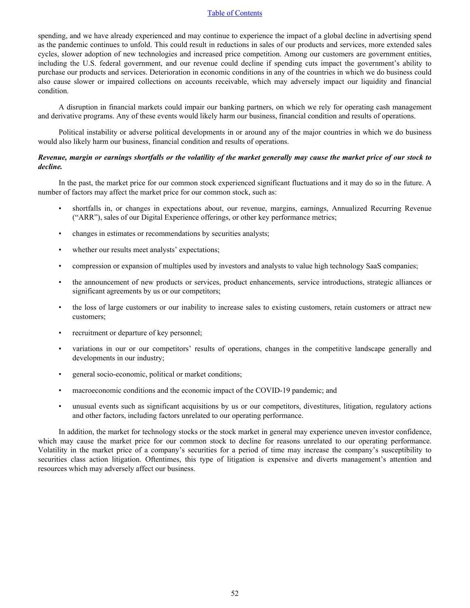spending, and we have already experienced and may continue to experience the impact of a global decline in advertising spend as the pandemic continues to unfold. This could result in reductions in sales of our products and services, more extended sales cycles, slower adoption of new technologies and increased price competition. Among our customers are government entities, including the U.S. federal government, and our revenue could decline if spending cuts impact the government's ability to purchase our products and services. Deterioration in economic conditions in any of the countries in which we do business could also cause slower or impaired collections on accounts receivable, which may adversely impact our liquidity and financial condition.

A disruption in financial markets could impair our banking partners, on which we rely for operating cash management and derivative programs. Any of these events would likely harm our business, financial condition and results of operations.

Political instability or adverse political developments in or around any of the major countries in which we do business would also likely harm our business, financial condition and results of operations.

# *Revenue, margin or earnings shortfalls or the volatility of the market generally may cause the market price of our stock to decline.*

In the past, the market price for our common stock experienced significant fluctuations and it may do so in the future. A number of factors may affect the market price for our common stock, such as:

- shortfalls in, or changes in expectations about, our revenue, margins, earnings, Annualized Recurring Revenue ("ARR"), sales of our Digital Experience offerings, or other key performance metrics;
- changes in estimates or recommendations by securities analysts;
- whether our results meet analysts' expectations;
- compression or expansion of multiples used by investors and analysts to value high technology SaaS companies;
- the announcement of new products or services, product enhancements, service introductions, strategic alliances or significant agreements by us or our competitors;
- the loss of large customers or our inability to increase sales to existing customers, retain customers or attract new customers;
- recruitment or departure of key personnel;
- variations in our or our competitors' results of operations, changes in the competitive landscape generally and developments in our industry;
- general socio-economic, political or market conditions;
- macroeconomic conditions and the economic impact of the COVID-19 pandemic; and
- unusual events such as significant acquisitions by us or our competitors, divestitures, litigation, regulatory actions and other factors, including factors unrelated to our operating performance.

In addition, the market for technology stocks or the stock market in general may experience uneven investor confidence, which may cause the market price for our common stock to decline for reasons unrelated to our operating performance. Volatility in the market price of a company's securities for a period of time may increase the company's susceptibility to securities class action litigation. Oftentimes, this type of litigation is expensive and diverts management's attention and resources which may adversely affect our business.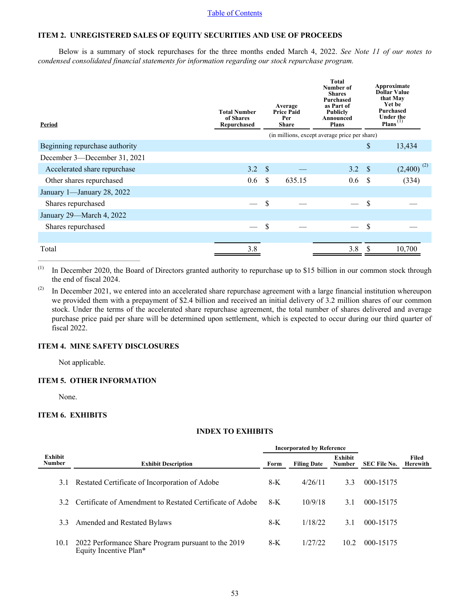# <span id="page-52-0"></span>**ITEM 2. UNREGISTERED SALES OF EQUITY SECURITIES AND USE OF PROCEEDS**

Below is a summary of stock repurchases for the three months ended March 4, 2022. *[See Note 11 of our notes t](#page-19-0)o [condensed consolidated financial statements for information regarding our stock repurchase program.](#page-19-0)*

| Period                         | <b>Total Number</b><br>of Shares<br>Repurchased |               | Average<br><b>Price Paid</b><br>Per<br><b>Share</b> | <b>Total</b><br>Number of<br><b>Shares</b><br>Purchased<br>as Part of<br><b>Publicly</b><br>Announced<br><b>Plans</b><br>(in millions, except average price per share) |      | Approximate<br><b>Dollar Value</b><br>that May<br>Yet be<br><b>Purchased</b><br><b>Under the</b><br>Plans <sup>(1)</sup> |
|--------------------------------|-------------------------------------------------|---------------|-----------------------------------------------------|------------------------------------------------------------------------------------------------------------------------------------------------------------------------|------|--------------------------------------------------------------------------------------------------------------------------|
| Beginning repurchase authority |                                                 |               |                                                     |                                                                                                                                                                        | \$   | 13,434                                                                                                                   |
| December 3—December 31, 2021   |                                                 |               |                                                     |                                                                                                                                                                        |      |                                                                                                                          |
| Accelerated share repurchase   | 3.2                                             | $\mathcal{S}$ |                                                     | 3.2 S                                                                                                                                                                  |      | $(2,400)^{(2)}$                                                                                                          |
| Other shares repurchased       | 0.6                                             | -S            | 635.15                                              | 0.6                                                                                                                                                                    | - \$ | (334)                                                                                                                    |
| January 1-January 28, 2022     |                                                 |               |                                                     |                                                                                                                                                                        |      |                                                                                                                          |
| Shares repurchased             |                                                 | <sup>\$</sup> |                                                     |                                                                                                                                                                        | S    |                                                                                                                          |
| January 29-March 4, 2022       |                                                 |               |                                                     |                                                                                                                                                                        |      |                                                                                                                          |
| Shares repurchased             |                                                 | S             |                                                     |                                                                                                                                                                        | \$   |                                                                                                                          |
|                                |                                                 |               |                                                     |                                                                                                                                                                        |      |                                                                                                                          |
| Total                          | 3.8                                             |               |                                                     | 3.8                                                                                                                                                                    |      | 10,700                                                                                                                   |

(1) In December 2020, the Board of Directors granted authority to repurchase up to \$15 billion in our common stock through the end of fiscal 2024.

(2) In December 2021, we entered into an accelerated share repurchase agreement with a large financial institution whereupon we provided them with a prepayment of \$2.4 billion and received an initial delivery of 3.2 million shares of our common stock. Under the terms of the accelerated share repurchase agreement, the total number of shares delivered and average purchase price paid per share will be determined upon settlement, which is expected to occur during our third quarter of fiscal 2022.

## **ITEM 4. MINE SAFETY DISCLOSURES**

Not applicable.

 $\mathcal{L}_\text{max} = \mathcal{L}_\text{max} = \mathcal{L}_\text{max} = \mathcal{L}_\text{max} = \mathcal{L}_\text{max}$ 

# **ITEM 5. OTHER INFORMATION**

None.

L,

# **ITEM 6. EXHIBITS**

# **INDEX TO EXHIBITS**

|                          |                                                                               | <b>Incorporated by Reference</b> |                    |                          |                     |                   |
|--------------------------|-------------------------------------------------------------------------------|----------------------------------|--------------------|--------------------------|---------------------|-------------------|
| Exhibit<br><b>Number</b> | <b>Exhibit Description</b>                                                    | Form                             | <b>Filing Date</b> | Exhibit<br><b>Number</b> | <b>SEC File No.</b> | Filed<br>Herewith |
| 3.1                      | Restated Certificate of Incorporation of Adobe                                | $8-K$                            | 4/26/11            | 3.3                      | 000-15175           |                   |
| 32                       | Certificate of Amendment to Restated Certificate of Adobe                     | $8-K$                            | 10/9/18            | 31                       | 000-15175           |                   |
| 3.3                      | Amended and Restated Bylaws                                                   | $8-K$                            | 1/18/22            | 3.1                      | 000-15175           |                   |
| 10.1                     | 2022 Performance Share Program pursuant to the 2019<br>Equity Incentive Plan* | 8-K                              | 1/27/22            | 10.2                     | 000-15175           |                   |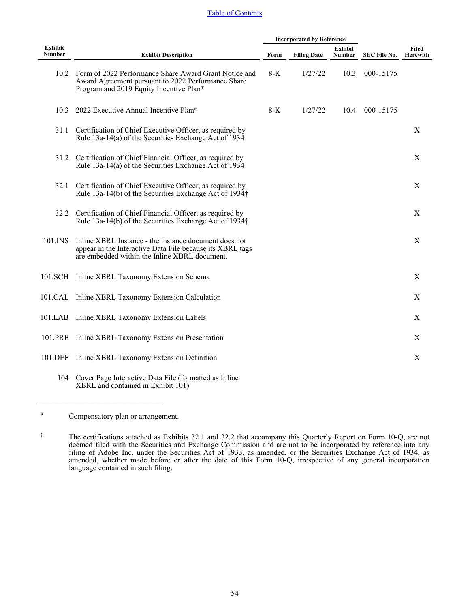|                          |                                                                                                                                                                     | <b>Incorporated by Reference</b> |                    |                          |                     |                          |
|--------------------------|---------------------------------------------------------------------------------------------------------------------------------------------------------------------|----------------------------------|--------------------|--------------------------|---------------------|--------------------------|
| Exhibit<br><b>Number</b> | <b>Exhibit Description</b>                                                                                                                                          | Form                             | <b>Filing Date</b> | <b>Exhibit</b><br>Number | <b>SEC File No.</b> | Filed<br><b>Herewith</b> |
|                          | 10.2 Form of 2022 Performance Share Award Grant Notice and<br>Award Agreement pursuant to 2022 Performance Share<br>Program and 2019 Equity Incentive Plan*         | $8-K$                            | 1/27/22            | 10.3                     | 000-15175           |                          |
| 10.3                     | 2022 Executive Annual Incentive Plan*                                                                                                                               | $8-K$                            | 1/27/22            | 10.4                     | 000-15175           |                          |
|                          | 31.1 Certification of Chief Executive Officer, as required by<br>Rule $13a-14(a)$ of the Securities Exchange Act of $1934$                                          |                                  |                    |                          |                     | X                        |
|                          | 31.2 Certification of Chief Financial Officer, as required by<br>Rule 13a-14(a) of the Securities Exchange Act of 1934                                              |                                  |                    |                          |                     | X                        |
| 32.1                     | Certification of Chief Executive Officer, as required by<br>Rule 13a-14(b) of the Securities Exchange Act of 1934†                                                  |                                  |                    |                          |                     | X                        |
|                          | 32.2 Certification of Chief Financial Officer, as required by<br>Rule 13a-14(b) of the Securities Exchange Act of 1934†                                             |                                  |                    |                          |                     | X                        |
| 101.INS                  | Inline XBRL Instance - the instance document does not<br>appear in the Interactive Data File because its XBRL tags<br>are embedded within the Inline XBRL document. |                                  |                    |                          |                     | $\mathbf X$              |
|                          | 101.SCH Inline XBRL Taxonomy Extension Schema                                                                                                                       |                                  |                    |                          |                     | X                        |
|                          | 101.CAL Inline XBRL Taxonomy Extension Calculation                                                                                                                  |                                  |                    |                          |                     | X                        |
|                          | 101.LAB Inline XBRL Taxonomy Extension Labels                                                                                                                       |                                  |                    |                          |                     | X                        |
| 101.PRE                  | Inline XBRL Taxonomy Extension Presentation                                                                                                                         |                                  |                    |                          |                     | $\mathbf X$              |
| 101.DEF                  | Inline XBRL Taxonomy Extension Definition                                                                                                                           |                                  |                    |                          |                     | $\mathbf X$              |
| 104                      | Cover Page Interactive Data File (formatted as Inline                                                                                                               |                                  |                    |                          |                     |                          |

<sup>\*</sup> Compensatory plan or arrangement.

 $\mathcal{L}_\text{max}$ 

XBRL and contained in Exhibit 101)

<sup>†</sup> The certifications attached as Exhibits 32.1 and 32.2 that accompany this Quarterly Report on Form 10-Q, are not deemed filed with the Securities and Exchange Commission and are not to be incorporated by reference into any filing of Adobe Inc. under the Securities Act of 1933, as amended, or the Securities Exchange Act of 1934, as amended, whether made before or after the date of this Form 10-Q, irrespective of any general incorporation language contained in such filing.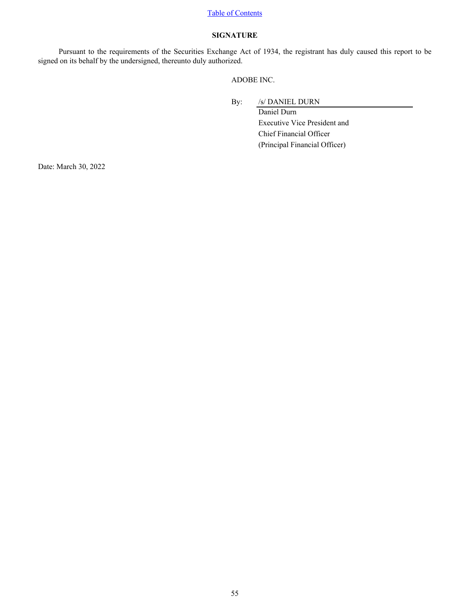# **SIGNATURE**

<span id="page-54-0"></span>Pursuant to the requirements of the Securities Exchange Act of 1934, the registrant has duly caused this report to be signed on its behalf by the undersigned, thereunto duly authorized.

ADOBE INC.

By: /s/ DANIEL DURN

Daniel Durn Executive Vice President and Chief Financial Officer (Principal Financial Officer)

Date: March 30, 2022